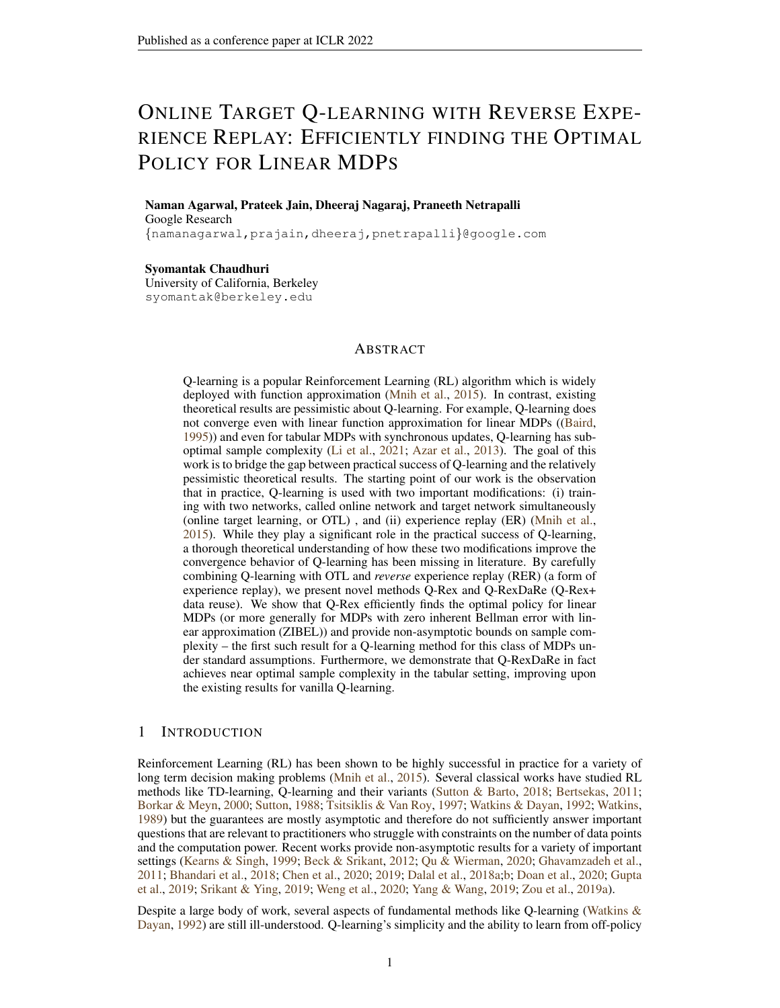# ONLINE TARGET Q-LEARNING WITH REVERSE EXPE-RIENCE REPLAY: EFFICIENTLY FINDING THE OPTIMAL POLICY FOR LINEAR MDPS

Naman Agarwal, Prateek Jain, Dheeraj Nagaraj, Praneeth Netrapalli Google Research

{namanagarwal,prajain,dheeraj,pnetrapalli}@google.com

Syomantak Chaudhuri University of California, Berkeley syomantak@berkeley.edu

## ABSTRACT

Q-learning is a popular Reinforcement Learning (RL) algorithm which is widely deployed with function approximation [\(Mnih et al.,](#page-11-0) [2015\)](#page-11-0). In contrast, existing theoretical results are pessimistic about Q-learning. For example, Q-learning does not converge even with linear function approximation for linear MDPs ([\(Baird,](#page-10-0) [1995\)](#page-10-0)) and even for tabular MDPs with synchronous updates, Q-learning has suboptimal sample complexity [\(Li et al.,](#page-11-1) [2021;](#page-11-1) [Azar et al.,](#page-10-1) [2013\)](#page-10-1). The goal of this work is to bridge the gap between practical success of Q-learning and the relatively pessimistic theoretical results. The starting point of our work is the observation that in practice, Q-learning is used with two important modifications: (i) training with two networks, called online network and target network simultaneously (online target learning, or OTL) , and (ii) experience replay (ER) [\(Mnih et al.,](#page-11-0) [2015\)](#page-11-0). While they play a significant role in the practical success of Q-learning, a thorough theoretical understanding of how these two modifications improve the convergence behavior of Q-learning has been missing in literature. By carefully combining Q-learning with OTL and *reverse* experience replay (RER) (a form of experience replay), we present novel methods Q-Rex and Q-RexDaRe (Q-Rex+ data reuse). We show that Q-Rex efficiently finds the optimal policy for linear MDPs (or more generally for MDPs with zero inherent Bellman error with linear approximation (ZIBEL)) and provide non-asymptotic bounds on sample complexity – the first such result for a Q-learning method for this class of MDPs under standard assumptions. Furthermore, we demonstrate that Q-RexDaRe in fact achieves near optimal sample complexity in the tabular setting, improving upon the existing results for vanilla Q-learning.

## 1 INTRODUCTION

Reinforcement Learning (RL) has been shown to be highly successful in practice for a variety of long term decision making problems [\(Mnih et al.,](#page-11-0) [2015\)](#page-11-0). Several classical works have studied RL methods like TD-learning, Q-learning and their variants [\(Sutton & Barto,](#page-12-0) [2018;](#page-12-0) [Bertsekas,](#page-10-2) [2011;](#page-10-2) [Borkar & Meyn,](#page-10-3) [2000;](#page-10-3) [Sutton,](#page-12-1) [1988;](#page-12-1) [Tsitsiklis & Van Roy,](#page-12-2) [1997;](#page-12-2) [Watkins & Dayan,](#page-12-3) [1992;](#page-12-3) [Watkins,](#page-12-4) [1989\)](#page-12-4) but the guarantees are mostly asymptotic and therefore do not sufficiently answer important questions that are relevant to practitioners who struggle with constraints on the number of data points and the computation power. Recent works provide non-asymptotic results for a variety of important settings [\(Kearns & Singh,](#page-11-2) [1999;](#page-11-2) [Beck & Srikant,](#page-10-4) [2012;](#page-10-4) [Qu & Wierman,](#page-12-5) [2020;](#page-12-5) [Ghavamzadeh et al.,](#page-11-3) [2011;](#page-11-3) [Bhandari et al.,](#page-10-5) [2018;](#page-10-5) [Chen et al.,](#page-10-6) [2020;](#page-10-6) [2019;](#page-10-7) [Dalal et al.,](#page-10-8) [2018a;](#page-10-8)[b;](#page-10-9) [Doan et al.,](#page-10-10) [2020;](#page-10-10) [Gupta](#page-11-4) [et al.,](#page-11-4) [2019;](#page-11-4) [Srikant & Ying,](#page-12-6) [2019;](#page-12-6) [Weng et al.,](#page-12-7) [2020;](#page-12-7) [Yang & Wang,](#page-12-8) [2019;](#page-12-8) [Zou et al.,](#page-12-9) [2019a\)](#page-12-9).

Despite a large body of work, several aspects of fundamental methods like Q-learning [\(Watkins &](#page-12-3) [Dayan,](#page-12-3) [1992\)](#page-12-3) are still ill-understood. Q-learning's simplicity and the ability to learn from off-policy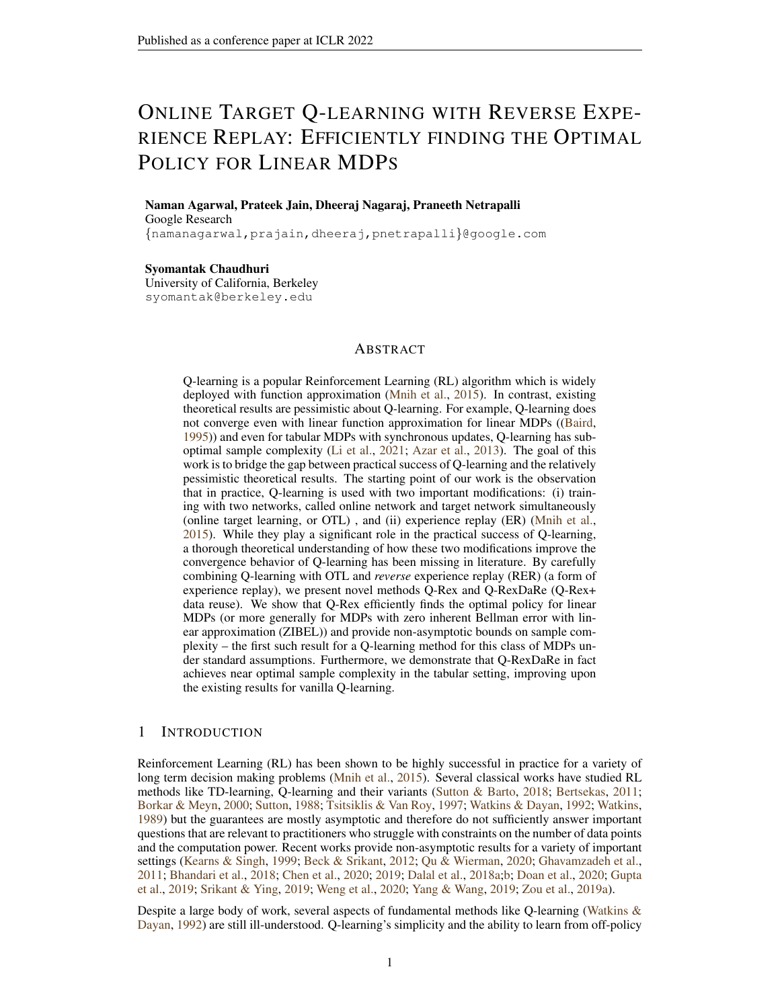data makes it widely applicable. However, theoretical analyses show that even with *linear function approximation* and when the approximation is *exact*, Q-learning can fail to converge even in simple examples [\(Baird,](#page-10-0) [1995;](#page-10-0) [Boyan & Moore,](#page-10-11) [1995;](#page-10-11) [Tsitsiklis & Van Roy,](#page-12-10) [1996\)](#page-12-10). Furthermore, even in the simple case of tabular RL with synchronous updates, Q-learning is known to have sub-optimal sample complexity [\(Wainwright,](#page-12-11) [2019a;](#page-12-11) [Li et al.,](#page-11-1) [2021\)](#page-11-1).

However, Q-learning has seen tremendous practical success when deployed with "heuristic" modifications like experience replay (ER) and online target learning (OTL). ER is used to alleviate the issues arising due highly dependent samples in an episode whereas OTL helps stabilize the Q iteration. [Mnih et al.](#page-11-0) [\(2015\)](#page-11-0) conducted extensive experiments to show that *both* these techniques, are essential for the success of Q-learning. But, existing analyses for ER with Q-learning either require stringent assumptions [\(Carvalho et al.,](#page-10-12) [2020\)](#page-10-12) to ensure convergence to a good Q value, or assume that ER provides i.i.d. samples which might not hold in practice [\(Fan et al.,](#page-10-13) [2020;](#page-10-13) [Carvalho et al.,](#page-10-12) [2020\)](#page-10-12). In this paper, we attempt to bridge the gap between theory and practice, by rigorously investigating how Q-learning performs with these practical heuristics. We thus introduce two model free algorithms: Q-Rex and Q-RexDaRe that combine the standard Q-learning with OTL and *reverse* experience replay (RER). RER is a form of ER which was recently studied to unravel spurious correlations present while learning form Markovian data in the context of system identification [\(Jain](#page-11-5) [et al.,](#page-11-5) [2021b\)](#page-11-5). We show that OTL stabilizes the Q value by essentially serving as a variance reduction technique and RER unravels the spurious correlations present in the Markovian data to remove inherent biases introduced in vanilla Q learning.

These simple modifications have surprisingly far-reaching consequences. Firstly, this allows us to show that unlike vanilla Q-learning, Q-Rex finds the optimal policy for MDPs with an exact linear function representation of the Bellman operator. and allows us to derive non-asymptotic sample complexity bounds. In the *tabular setting*, Q-Rex even with asynchronous data is able to match the best known bounds for Q-learning with synchronous data. Its variant Q-RexDaRe , which reuses old samples, admits nearly optimal sample complexity for recovering the optimal Q-function in the tabular setting. Previously, only Q-learning methods with explicit variance-reduction techniques (not popular in practice) [\(Wainwright,](#page-12-12) [2019b;](#page-12-12) [Li et al.,](#page-11-6) [2020b\)](#page-11-6) or model based methods [\(Agarwal et al.,](#page-10-14) [2020;](#page-10-14) [Li et al.,](#page-11-7) [2020a\)](#page-11-7) were known to achieve such a sample complexity bound. Our experiments show that when the algorithmic parameters are chosen carefully, Q-Rex and its variants outperform both vanilla Q-learning and OTL+ER+Q-learning with the same parameters (see Appendix [A\)](#page-13-0).

To summarize, in this work, we study Q-learning with practical heuristics like ER and OTL, and propose two concrete methods Q-Rex and Q-RexDaRe based on OTL and reverse experience replay – a modification of the standard ER used in practice. We show that Q-Rex is able to find the optimal policy for ZIBEL MDPs, with a strong sample complexity bound which is the first such result for Q-learning. We also show that Q-RexDaRe obtains nearly optimal sample complexity for the simpler tabular setting despite not using any explicit variance reduction technique. See Table [1](#page-2-0) for a comparison of our guarantees against the state-of-the-results for the tabular setting.

Organization We review related works in next subsection. In Section [2](#page-3-0) we develop the MDP problem which we seek to solve and present our algorithm, Q-Rex in Section [3.](#page-6-0) The main theoretical results are presented in Section [4.](#page-7-0) We present a brief overview of the analysis in Section [5](#page-8-0) and present our experiments in Section [A.](#page-13-0) We provide minimax lower bounds for the asynchronous tabular setting in Section [K.](#page-27-0) Most of the formal proofs are relegated to the appendix.

#### 1.1 RELATED WORKS

Tabular Q-learning Tabular MDPs are the most basic examples of MDPs where the state space  $(S)$  and the action space  $(A)$  are both finite and the Q-values are represented by assigning a unique co-ordinate to each state-action pair. This setting has been well studied over the last few decades and convergence guarantees have been derived in both asymptotic and non-asymptotic regimes for popular model-free and model-based algorithms. [Azar et al.](#page-10-1) [\(2013\)](#page-10-1) shows that the minimax lower bounds on the sample complexity of obtaining the optimal Q-function up-to  $\epsilon$  error is  $\frac{\sqrt{S}}{(1-\gamma)^3 \epsilon^2}$ , where  $\gamma$  is the discount factor. Near sample-optimal estimation is achieved by several model-based algorithms [\(Agarwal et al.,](#page-10-14) [2020;](#page-10-14) [Li et al.,](#page-11-7) [2020a\)](#page-11-7) and model-free algorithms like variance reduced Q-learning [\(Wainwright,](#page-12-12) [2019b;](#page-12-12) [Li et al.,](#page-11-6) [2020b\)](#page-11-6). [\(Li et al.,](#page-11-1) [2021\)](#page-11-1) also shows that vanilla Q-learning with standard step sizes, even in the synchronous data setting – where transitions corresponding to each state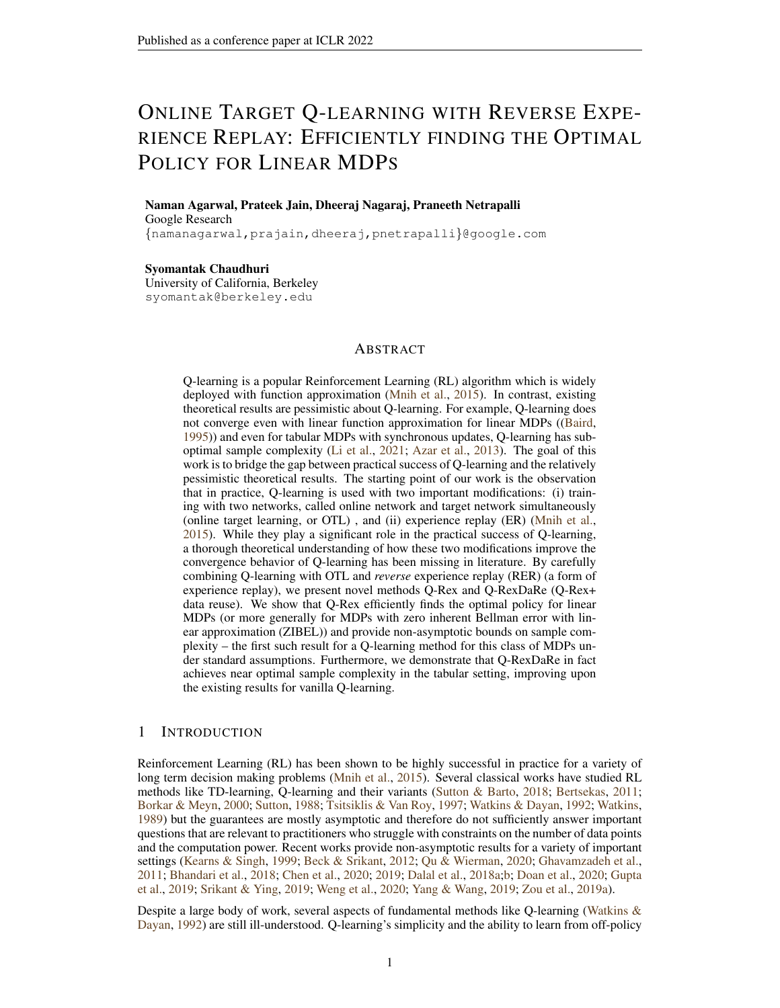| Paper                      | <b>Algorithm</b>                             | Data Type           | <b>Sample Complexity</b>                                       |
|----------------------------|----------------------------------------------|---------------------|----------------------------------------------------------------|
| (GHAVAMZADEH ET AL., 2011) | <b>SPEEDY Q-LEARNING</b>                     | <b>SYNCHRONOUS</b>  |                                                                |
| (WAINWRIGHT, 2019B)        | <b>VARIANCE REDUCED</b><br><b>O-LEARNING</b> | <b>SYNCHRONOUS</b>  | $\frac{\int S \int J}{\epsilon^2 (1-\gamma)^3}$                |
| (LI ET AL., 2020B)         | <b>VARIANCE REDUCED</b><br><b>Q-LEARNING</b> | <b>ASYNCHRONOUS</b> | $\mu_{\min} \epsilon^2 (1-\gamma)^3$                           |
| (LI ET AL., 2020B)         | <b>Q-LEARNING</b>                            | <b>ASYNCHRONOUS</b> | $\sqrt{\gamma^{5}}$<br>$\mu_{\min} \epsilon^2(1)$              |
| (LI ET AL., 2021)          | <b>O-LEARNING</b>                            | <b>SYNCHRONOUS</b>  | $\epsilon^2(1-\gamma)^4$                                       |
| THIS WORK, THEOREM 2       | <b>O-LEARNING+ OTL</b><br>$+$ RER (O-REX)    | <b>ASYNCHRONOUS</b> | jSjjAj<br>$\epsilon^2(1-\gamma)^4$                             |
| THIS WORK, THEOREM 3       | <b>O-REX+ DATA-REUSE</b><br>$(O$ -REXDARE)   | <b>ASYNCHRONOUS</b> | $\max(\bar{d},\frac{1}{2})$<br>$(\gamma)^3$<br>$\mu_{\min}(1)$ |

<span id="page-2-0"></span>Table 1: Comparison of tabular Q-learning based algorithms.  $\bar{d} \leq |\mathcal{S}|$  is maximum size of support of  $P(\cdot|s, a)$ . In the case of asynchronous setting,  $\frac{1}{\mu_{\min}}$  is roughly equivalent to  $|S||A|$  in the synchronous setting. We use the color green to represent results with optimal dependence on  $(1 - \gamma)^{-1}$ .

action pair are sampled independently at each step – suffers from a sample complexity of  $\frac{[S][A]}{(1-\gamma)^4\epsilon^2}$ and the best known bounds in the asynchronous setting – where data is derived from a Markovian trajectory and only one Q value is updated in each step – is  $\frac{|\mathcal{S}|j|\mathcal{A}|}{(1-\gamma)^5\epsilon^2}$ . These results seem unsatisfactory since  $\gamma \in (0.99, 1)$  in most practical applications. In contrast, our algorithm Q-Rex with *asynchronous* data has a sample complexity that matches Q-learning bound with *synchronous* data and its data-efficient variant Q-RexDaRe has near minimax optimal sample complexity (see Table [1\)](#page-2-0). For details on model based algorithms, and previous works with sub-optimal guarantees we refer to [\(Agarwal et al.,](#page-10-14) [2020;](#page-10-14) [Li et al.,](#page-11-6) [2020b\)](#page-11-6). We note that the lower bounds apply only to the synchronous case (i.e, when every state-action pair is sampled at every step). We provide minimax lower-bounds which show that the bound is tight in the asynchronous case too (see Theorem [5](#page-27-1) in Section [K\)](#page-27-0), where  $|S||A|$  in the synchronous case of [\(Azar et al.,](#page-10-1) [2013\)](#page-10-1) is replaced by  $\frac{1}{\mu_{\min}}$ .

Q-learning with Linear Function Approximation Since tabular Q-learning is intractable in most practical RL problems due to a large state space  $S$ , function approximation is deployed. Linear function approximation is the simplest such case where the Q-function is approximated with a linear function of the 'feature embedding' associated with each state-action pair. However, Q-learning can be shown to diverge even in the simplest cases as was first noticed in [\(Baird,](#page-10-0) [1995\)](#page-10-0), which also introduced residual gradient methods which converged rather slowly but provably. We will only discuss recent works closest to our work and refer the reader to [\(Carvalho et al.,](#page-10-12) [2020;](#page-10-12) [Yang &](#page-12-8) [Wang,](#page-12-8) [2019\)](#page-12-8) for a full survey of various works in this direction. SARSA is the on-policy control variant of Q-learning where the challenge is to explore the state-space while learning the optimal policy. Unlike Q-learning, SARSA is inherently stable due to its on-policy nature [\(Gordon,](#page-11-8) [2000\)](#page-11-8). Therefore, we do not compare our results to the results of on-policy control algorithms like SARSA. We refer to [\(Zou et al.,](#page-12-13) [2019b;](#page-12-13) [Perkins & Precup,](#page-12-14) [2002;](#page-12-14) [Melo et al.,](#page-11-9) [2008\)](#page-11-9) for further details.

[Yang & Wang](#page-12-8) [\(2019\)](#page-12-8) consider MDPs with approximate linear function representation. They require additional assumptions like finite state-action space and existence of *known* anchor subsets which might not hold in practice. Our results on the other hand hold with standard assumptions, with *asynchronous* updates and can handle *infinite* state-action spaces (see Theorem [1\)](#page-7-2). Similarly, [Chen](#page-10-7) [et al.](#page-10-7) [\(2019\)](#page-10-7) consider Q-learning with linear function approximation which need not be exact. But the result requires the restrictive assumption that the offline policy is close to the optimal policy. In contrast, we consider the less general but well-studied case of MDPs with zero inherent Bellman error and provide global convergence without restrictive assumptions on the behaviour policy.

Under the most general conditions [Maei et al.](#page-11-10) [\(2010\)](#page-11-10) present the Greedy-GQ algorithm which converges to a point asymptotically instead of diverging. Similar results are obtained by [Carvalho et al.](#page-10-12) [\(2020\)](#page-10-12) for Coupled Q-learning, a 2-timescale variant of Q-learning which uses a version of OTL and  $ER<sup>1</sup>$  $ER<sup>1</sup>$  $ER<sup>1</sup>$ . This algorithm experimentally resolves the popular counter-examples provided by [\(Tsitsiklis](#page-12-10) [& Van Roy,](#page-12-10) [1996;](#page-12-10) [Baird,](#page-10-0) [1995\)](#page-10-0). However, the value function guarantees in [Carvalho et al.](#page-10-12) [\(2020,](#page-10-12)

<span id="page-2-1"></span><sup>1</sup>The version of ER used in [Carvalho et al.](#page-10-12) [\(2020\)](#page-10-12) makes the setting completely *synchronous* as opposed to the *asynchronous* setting considered by us.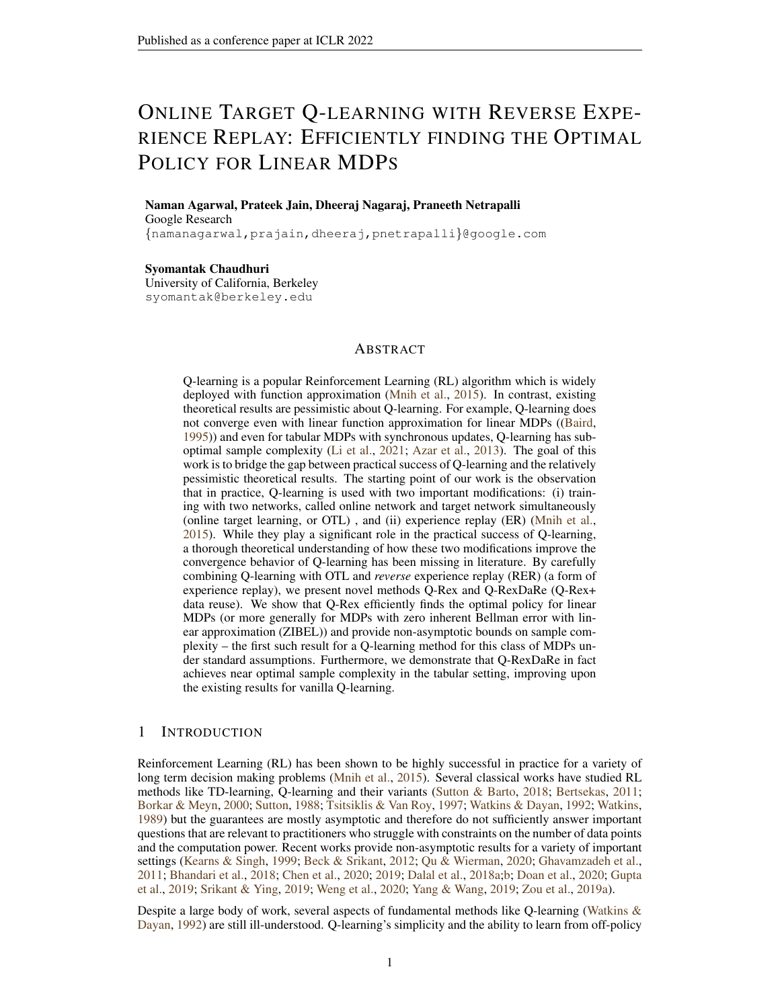Theorem 2) (albeit without sample complexity guarantees) requires very stringent assumptions and even in the case of tabular Q-learning might not converge to the optimal policy.

Experience Replay and Reverse Experience Replay Reinforcement learning involves learning on-the-go with highly correlated correlated data. Iterative learning algorithms like Q-learning can sometimes get coupled to the Markov chain resulting in sub-optimal convergence. Experience replay (ER) was introduced in order to mitigate this drawback [\(Lin,](#page-11-11) [1992\)](#page-11-11) – here a large FIFO buffer of a fixed size stores the streaming data and the learning algorithm samples a data point uniformly at random from this buffer at each step. This makes the samples look roughly i.i.d., thus breaking the harmful correlations. Reverse experience replay (RER) is a form of ER which stores data in a buffer but processes the data points in the reverse order as stored in the buffer. This was introduced in entirely different contexts by [\(Rotinov,](#page-12-15) [2019;](#page-12-15) [Jain et al.,](#page-11-5) [2021b](#page-11-5)[;a\)](#page-11-12). In this work, we note that reverse order traversal endows a super-martingale structure which yields the strong concentration result in Theorem [4,](#page-19-0) which is not possible with forward order traversal (see [\(Jain et al.,](#page-11-5) [2021b,](#page-11-5) Section 3.1) for a brief demonstration of this fact). We can also look at RER is through the lens of Dynamic programming [\(Bertsekas,](#page-10-2) [2011\)](#page-10-2) – where the value function is evaluated backwards starting from time  $T$  to time 1 - similar to how RER bootstraps present to the future.

In the context of reinforcement learning, works like [Bhandari et al.](#page-10-5) [\(2018\)](#page-10-5); [Zou et al.](#page-12-13) [\(2019b\)](#page-12-13) obtain finite time convergence guarantees for RL algorithms under the mixing assumptions just like this work. The strategy followed in these works is that if two samples are  $\hat{O}(\tau_{mix})$  time apart, then they are approximately independent and thus analysis for i.i.d. data can be applied. The sample complexity to obtain  $\epsilon$  error here is  $O(\frac{\tau_{\text{mix}}}{\epsilon^2})$ . Note that this is no better than keeping one every  $\tau_{\text{mix}}$ samples and throwing away the rest and under general mis-specified linear function representation, we might not be able to do any better [\(Bresler et al.,](#page-10-15) [2020\)](#page-10-15). In this work, we show that when the linear approximation is well specifed (ZIBEL), we can use RER to obtain a sample complexity of  $O(\tau_{\text{mix}} + \frac{1}{\epsilon^2})$ , where the mixing time serves as a cut-off.

Online Target Learning OTL [\(Mnih et al.,](#page-11-0) [2015\)](#page-11-0) maintains two different Q-values (called online Q-value and target Q-value) where the target Q-value is held constant for some time and only the online Q-value is updated by 'bootstrapping' to the target. After a number of such iterations, the target Q-value is set to the current online Q value. OTL thus attempts to mitigate the destabilizing effects of bootstrapping by removing the 'moving target'. This technique has been noted to allow for an unbiased estimation of the bellman operator [\(Fan et al.,](#page-10-13) [2020\)](#page-10-13) and when trained with large batch sizes is similar to the well known neural fitted Q-iteration [\(Riedmiller,](#page-12-16) [2005\)](#page-12-16).

## <span id="page-3-0"></span>2 PROBLEM SETTING

Markov Decision Process We consider infinite horizon, time homogenous Markov Decision Processes (MDPs) and we denote an MDP by MDP( $S$ ,  $A$ ,  $\gamma$ ,  $P$ ,  $R$ ) where  $S$  is the state space,  $A$  is the action space,  $\gamma \in [0, 1)$  is the discount factor,  $P(s^{\theta}|s, a)$  is the probability of transition to state  $s^{\theta}$ from the state s on action a. We assume that S and A are compact subsets of  $\mathbb{R}^n$  (for some  $n \in \mathbb{N}$ ).  $R : S \times A \rightarrow [0, 1]$  is the deterministic reward associated with every state-action pair.

We will think of an MDP as an agent that is aware of its current state and it can choose the action to be taken. Suppose the agent takes action  $\pi(s)$ , where  $\pi : S \to A$ , at state  $s \in S$ , then P along with the 'policy'  $\pi$  induces a Markov chain over S, whose transition kernel is denoted by  $P^{\pi}$ . We write the  $\gamma$ -discounted value function of the MDP starting at state s to be:

$$
V(s,\pi) = \mathbb{E}[\sum_{t=0}^{\infty} \gamma^t R(S_t, A_t) | S_0 = s, A_t = \pi(S_t) \forall t].
$$
 (1)

It is well-known that under mild assumptions, there exists at least one optimal policy  $\pi$  such that the value function  $V(s,\pi)$  is maximized for every sand that there is an optimal Q-function,  $Q$ :  $S \times A \rightarrow \mathbb{R}$ , such that one can find the optimal policy as  $\pi(s) = \arg \max_{a \geq A} Q(s, a)$ , optimal value function as  $V(s) = \max_{a \ge A} Q(s, a)$  and it satisfies the following fixed point equation.

$$
Q(s,a) = R(s,a) + \gamma \mathbb{E}_{s'} \left[ P(j_{s,a}) \left[ \max_{a' \geq A} Q(s^{\theta}, a^{\theta}) \right] \right] \quad \forall (s,a) \in \mathcal{S} \times \mathcal{A}.
$$
 (2)

[\(2\)](#page-3-1) can be alternately viewed as  $Q$  being the fixed point of the Bellman operator  $T$ , where

<span id="page-3-1"></span>
$$
\mathcal{T}(Q)(s,a) = R(s,a) + \gamma \mathbb{E}_{s'} \left[ P(j,s,a) \left[ \max_{a'} Q(s^{\theta}, a^{\theta}) \right] \right].
$$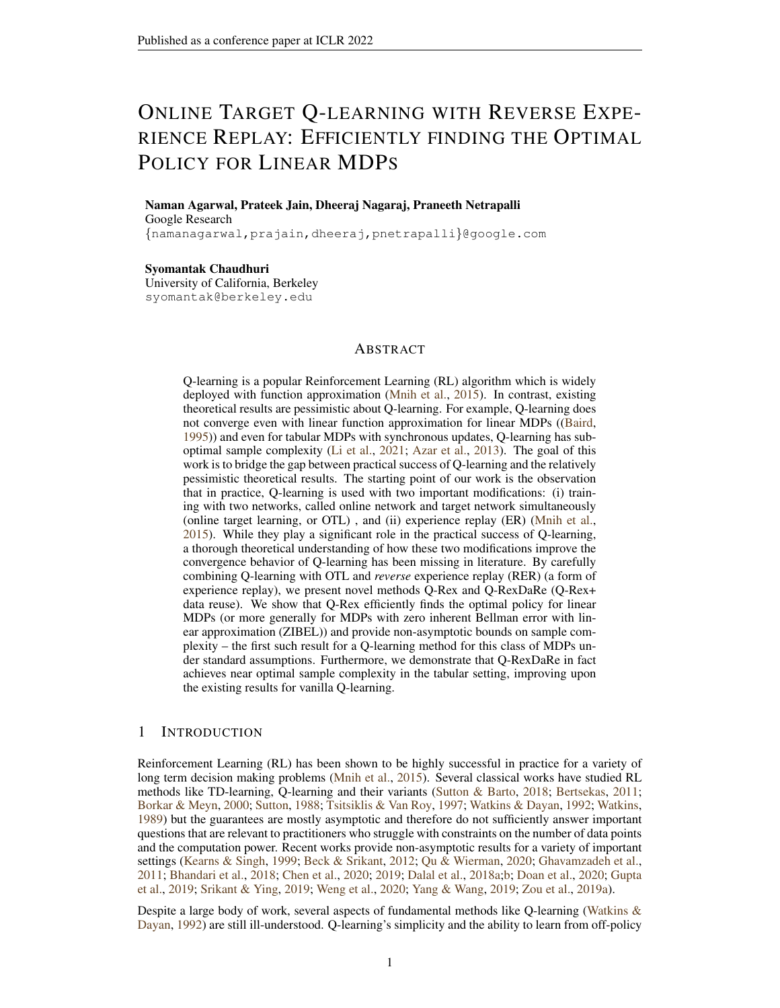The basic task at hand is to estimate  $Q(s, a)$  from a single trajectory  $(s_t, a_t)_{t=1}^T$  such that  $s_{t+1} \sim P(\cdot | s_t, a_t)$  along with rewards  $(r_t)_{t=1}^T$ , where  $r_1, \ldots, r_T$  are random variables such that  $E[r_t|s_t = s, a_t = a] = R(s, a)$ . We refer to Section [B](#page-15-0) for rigorous definitions.

**Q-learning** Since the transition kernel P (and hence the Bellman operator  $T$ ) is often unknown in practice, Equation [\(2\)](#page-3-1) cannot be directly used to to estimate the optimal Q-function. To this end, we resort to estimating Q using observations from the MDP. An agent traverses the MDP and we obtain the state, action, and the reward obtained at each time step. We assume the *off-policy* setting which means that the agent is not in our control, i.e., it is not possible to choose the agent's actions; rather, we just observe the state, the action, and the corresponding reward. Further, we assume that the agent follows a time homogeneous policy  $\pi(s)$  for choosing its action at state s.

Given a trajectory  $\{s_t, a_t, r_t\}_{t=1}^T$  generated using some unknown behaviour policy  $\pi$ , we aim to estimate Q in a *model-free* manner - i.e, estimate Q without directly estimating P. We further assume that the trajectory is given to us as a data stream so we can not arbitrarily fetch the data for any time instant. A popular method to estimate  $Q$  is using the Q-learning algorithm. In this online algorithm, we maintain an estimate of  $Q(s, a)$  at time t,  $Q_t(s, a)$  and the estimate is updated at time t for  $(s, a) = (s_t, a_t)$  in the trajectory. Formally, with step-sizes given as  $\{\eta_t\}$ , Q-learning performs the following update at time  $t$ ,

<span id="page-4-1"></span>
$$
Q_{t+1}(s_t, a_t) = (1 - \eta_t)Q_t(s_t, a_t) + \eta_t \left[ r_t + \gamma \max_{a' \ge A} Q_t(s_{t+1}, a') \right]
$$
  

$$
Q_{t+1}(s, a) = Q_t(s, a) \quad \forall (s, a) \ne (s_t, a_t).
$$
 (3)

In this work, we focus on two special classes of MDPs which are popular in literature.

Linear Markov Decision Process Linear MDPs [\(Jin et al.,](#page-11-13) [2020\)](#page-11-13) is a popular example of exact linear approximation for which statistically and computationally tractable algorithms are available. We use the definition from [Jin et al.](#page-11-13) [\(2020\)](#page-11-13), stated as Definition [1.](#page-4-0)

<span id="page-4-0"></span>**Definition 1.** An MDP(S,  $A, \gamma, \varphi, R$ ) is a linear MDP with feature map  $\phi : \mathcal{S} \times A \to \mathbb{R}^d$ , if

- *1. there exists a vector*  $\theta \in \mathbb{R}^d$  *such that*  $R(s, a) = \langle \phi(s, a), \theta \rangle$ *, and*
- *2. there exists* d *unknown (signed) measures over*  $S(\theta) = \{\beta_1(\cdot), \dots, \beta_d(\cdot)\}\$  *such that the transition probability*  $P(\cdot|s, a) = \langle \phi(s, a), \beta(\cdot) \rangle$ *.*

In the rest of this paper, in the tabular setting we assume that the dimension  $d = |\mathcal{S} \times \mathcal{A}|$  and we use a one hot embedding where we map  $(s, a) \rightarrow \phi(s, a) = e_{s,a}$ , a unique standard basis vector. It is easy to show that this system is a linear MDP [\(Jin et al.,](#page-11-13) [2020\)](#page-11-13) and Q-learning in this setting reduces to the standard tabular Q-learning [\(3\)](#page-4-1). However, when the assumption of a tabular MDP allows us to obtain stronger results, we will present the analysis separately.

<span id="page-4-2"></span>Inherent Bellman Error There is another widely studied class of MDPs which admit a good linear representation [\(Zanette et al.,](#page-12-17) [2020;](#page-12-17) Munos & Szepesvári, [2008;](#page-11-14) Szepesvári & Smart, [2004\)](#page-12-18). **Definition 2.** (ZIBEL MDP) For an  $\mathcal{M} = MDP(\mathcal{S}, \mathcal{A}, \gamma, \mathsf{P}, R)$  with a feature map  $\phi : \mathcal{S} \times \mathcal{A} \to \mathsf{R}^d$ , *we define the inherent Bellman error (*IBE(M)*) as:*

$$
\sup_{\theta \geq \mathbb{R}^d} \inf_{\theta' \geq \mathbb{R}^d} \sup_{(s,a) \geq S} \left| \langle \phi(s,a), \theta^\emptyset \rangle - R(s,a) - \gamma \mathbb{E}_{s'} \right|_{P(\cdot|s,a)} \sup_{a' \geq A} \langle \theta, \phi(s^\emptyset, a^\emptyset) \rangle \right|
$$

*If* IBE(M) = 0*, then call this MDP a ZIBEL (zero inherent Bellman error with linear function approximation) MDP.*

The class of ZIBEL MDPs is strictly more general than the class of linear MDPs [\(Zanette et al.,](#page-12-17) [2020\)](#page-12-17). Both these classes of MDPs have the property that there exists a vector  $w \in \mathbb{R}^d$  such that the optimal Q-function,  $Q(s, a) = \langle \phi(s, a), w \rangle$  for every  $(s, a) \in S \times A$ , which can be explicity expressed as a function of  $\theta$ ,  $\beta$  and  $Q$ . More generally, they allow us to lift the Bellman iteration to  $R^d$  *exactly* and update our estimates for w values directly (Lemmas [3,](#page-17-0) [4\)](#page-17-1).

Hence, we can focus on estimating  $Q$  by estimating  $w$ . To this end, the standard Q-Learning approach to learning the Q function can be extended to the linear case as follows: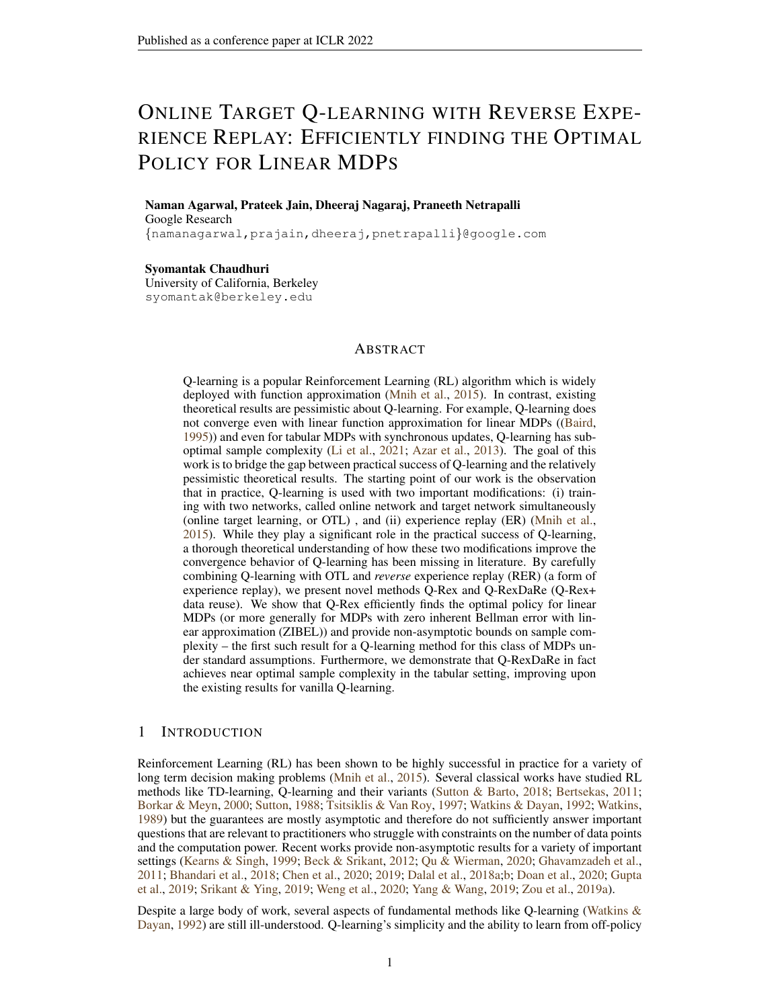$$
w_{t+1} = w_t + \eta_t \left[ r_t + \gamma \max_{a' \geq A} \langle \phi(s_{t+1}, a^{\theta}), w_t \rangle - \langle \phi(s_t, a_t), w_t \rangle \right] \phi(s_t, a_t).
$$

The above update can be seen as a gradient descent step on the loss function  $f(\mathbf{w}_t)$  =  $(\langle \phi(s_t, a_t), \hat{w_t} \rangle$  – target)<sup>2</sup> where target =  $r_t + \gamma \max_{a'} \langle \phi(s_{t+1}, a^{\theta}), \hat{w_t} \rangle$ . This update while heavily used in practice, has been known to be unstable and does not converge to  $w$  in general. The reason often cited for this phenomenon is the presence of the 'deadly triad' of bootstrapping, function approximation, and off-policy learning.

#### <span id="page-5-2"></span>2.1 ASSUMPTIONS

We make the following assumptions on the MDPs considered through the paper in order to present our theoretical results.

<span id="page-5-4"></span>**Assumption 1.** The MDP M has  $\text{IBE}(\mathcal{M}) = 0$  (Definition [2\)](#page-4-2),  $\|\phi(s, a)\|_2 \leq 1$ . Furthermore,  $R(s, a) \in [0, 1].$ 

<span id="page-5-5"></span>Assumption 2. Let  $\Phi := \{ \phi(s, a) : (s, a) \in S \times A \}$ .  $\Phi$  *is compact,* span $(\Phi) = \mathbb{R}^d$  *and*  $(s, a) \to a$  $\phi(s, a)$  *is measurable.* 

Even when span $(\Phi) \neq \mathbb{R}^d$ , our results hold after we discard the space orthogonal to the span of em-bedding vectors in Assumption [4](#page-5-0) and note that Q-Rex does not update the iterates along span( $\Phi$ )<sup>?</sup>.

<span id="page-5-3"></span>**Definition 3.** *For*  $r > 0$ , let  $\mathcal{N}(\Phi, \| \cdot \|_2, r)$  *be the r-covering number under the standard Euclidean norm over* R d *. Define:*

$$
C_{\Phi} := \int_0^{\tau} \sqrt{\log \mathcal{N}(\Phi, \|\|_2, r)} dr
$$

Observe that since  $\Phi$  is a subset of the unit Euclidean ball in  $\mathbb{R}^d$ ,  $C_{\Phi} \leq C$ √ idean ball in  $\mathbb{R}^d$ ,  $C_{\Phi} \le C \sqrt{d}$ . However, in the case of tabular MDPs it is easy to show that  $C_{\Phi} \leq C \sqrt{\log d}$ .

**Definition 4.** We define the norm  $\|\cdot\|_{\phi}$  over  $\mathbb{R}^d$  by  $\|x\|_{\phi} = \sup_{(s,a)} |\langle \phi(s, a), x \rangle|$ .

This is the natural norm of interest for the problem (Lemmas [2](#page-17-2) and [4\)](#page-17-1). We assume the existence of a fixed (random) behaviour policy  $\pi : S \to \Delta(\mathcal{A})$  which selects a random action corresponding to each state. At each step, given  $(s_t, a_t) = (s, a)$ ,  $s_{t+1} \sim P(\cdot | s, a)$  and  $a_{t+1} \sim \pi(s_{t+1})$ . This gives us a Markov kernel over  $S \times A$  which specifies the law of  $(s_{t+1}, a_{t+1})$  conditioned on  $(s_t, a_t)$ . We will denote this kernel by P π . This setting is commonly known as the off-policy *asynchronous* setting. We make the following assumption which is standard in this line of work.

<span id="page-5-1"></span>Assumption 3. *There exists a unique stationary distribution* µ *for the kernel* P π *. Moreover, this Markov chain is exponentially ergodic in the total variation distance with mixing time*  $\tau_{\text{mix}}$ *. That is, there exist a constant*  $C_{\text{mix}}$  *for every*  $t \in \mathbb{N}$ 

$$
\sup_{x \geq S} \mathsf{TV}((P^{\pi})^t(x,\cdot),\mu) \leq C_{\mathsf{mix}} \exp(-t/\tau_{\mathsf{mix}})
$$

*In the tabular setting, we will use the standard definition of*  $\tau_{mix}$  *instead:* 

$$
\tau_{\text{mix}} = \inf\{t: \sup_{x \geq S} \, \mathrm{TV}((P^\pi)^t(x,\cdot),\mu) \leq 1/4\}\,.
$$

*Here* TV *refers to the total variation distance.*

<span id="page-5-0"></span>**Assumption 4.** *There exists*  $\kappa > 0$  *such that:*  $E_{(s,a) \mu} \phi(s,a) \phi^>(s,a) \succeq \frac{I}{\kappa}$ .

Remark 1. *[\(Bresler et al.,](#page-10-15) [2020,](#page-10-15) Theorem 1) shows that even linear regression with Markovian data,*  $z$ ero noise and  $\ell^2$  recovery is hard when the condition number  $\kappa$  or the mixing time  $\tau_{\sf mix}$  are too large. *Hence, our setup of noisy reinforcement learning with*  $\ell^1$  *error also requires these quantities to be small. Therefore, Assumptions [3](#page-5-1) and [4](#page-5-0) are necessary in order to obtain non-trivial bounds.*

In the tabular setting, Assumption [4](#page-5-0) manifests itself as  $\frac{1}{\kappa} = \mu_{\min} := \min_{(s,a)} \mu(s,a)$  which is also standard [\(Li et al.,](#page-11-6) [2020b\)](#page-11-6). Whenever we discuss high probability bounds (i.e, probability at least  $1 - \delta$ ), we assume that  $\delta \in (0, 1/2)$ . Similarly, we will assume that the discount factor  $\gamma \in (1/2, 1)$ so that we can absorb poly $(1/\gamma)$  factors into constants.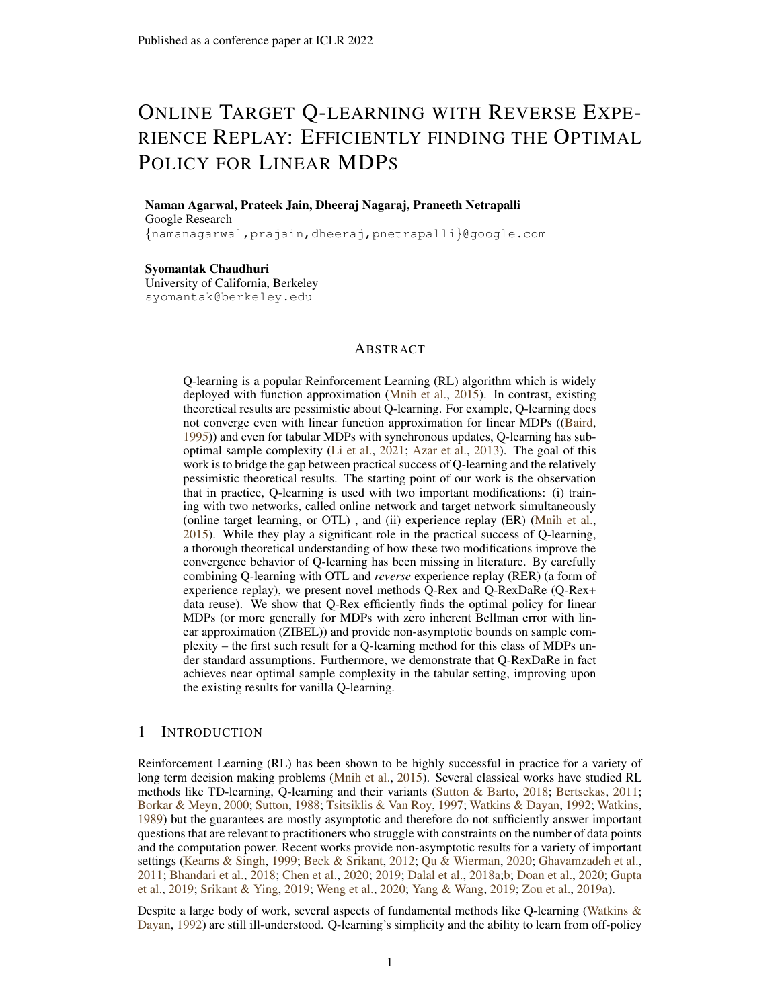#### <span id="page-6-1"></span>Algorithm 1 Q-Rex

1: **Input:** learning rates  $\eta$ , horizon T, discount factor  $\gamma$ , trajectory  $X_t = \{s_t, a_t, r_t\}$ , Buffer size  $B$ , Buffer gap  $u$ , Number of inner loop buffers  $N$ 2: Total buffer size:  $S \leftarrow B + u$ , Outer-loop length:  $K \leftarrow \frac{T}{NS}$ , Initialization  $w_1^{1,1} = 0$ 3: for  $k = 1, ..., K$  do 4: **for**  $j = 1, ..., N$  **do** 5: Form buffer Buf  $= \{X_1^{k,j}, \dots, X_S^{k,j}\}$ , where,  $X_i^{k,j} \leftarrow X_{NS(k-1)+S(j-1)+i}$ 6: Define for all  $i \in [1, S], \phi_i^{k,j}$ ,  $\phi(s_i^{k,j}, a_i^{k,j})$ . 7: **for**  $i = 1, \ldots, B$  **do** 8:  $w_{i+1}^{k,j} = w_i^{k,j} + \eta \left[ r_{B+1-i}^{k,j} + \gamma \max_{a' \ge A} \langle \phi(s_{B+2-i}^{k,j}, a^{\emptyset}), w_1^{k,1} \rangle - \langle \phi_{B+1-i}^{k,j}, w_i^{k,j} \rangle \right] \phi_{B+1-i}^{k,j}$ 9: **Option I**:  $w_1^{k,j+1} = w_{B+1}^{k,j}$ 10: **Option II:**  $w_1^{k,j+1} = \frac{1}{B} \sum_{i=1}^B w_{i+1}^{k,j}$ 11: **Option I:**  $w_1^{k+1,1} = w_1^{k,N+1}$ 12: **Option II:**  $w_1^{k+1,1} = \frac{1}{N} \sum_{l=2}^{N+1} w_1^{k,l}$ 13: **Return**  $w_1^{K+1,1}$ 



<span id="page-6-2"></span>Figure 1: Illustration of Online Target Q-learning with Reverse Experience Replay

## <span id="page-6-0"></span>3 OUR ALGORITHM

As discussed in the introduction, we incorporate RER and OTL into Q-learning and introduce the algorithms Q-Rex (Online Target Q-learning with reverse experience replay, Algorithm [1\)](#page-6-1), its sample efficient variant Q-RexDaRe (Q-Rex + data reuse, Algorithm [2\)](#page-15-1) and its episodic variant EpiQ-Rex (Episodic Q-Rex, Algorithm [3\)](#page-16-0). Since Q-RexDaRe and EpiQ-Rex are only minor modifications of Q-Rex, we refer the reader to the appendix for their pseudocode.

Q-Rex is parametrized by K the number of iterations in the outer-loop, N the number of buffers within an outer-loop iteration,  $B$  the size of a buffer and  $u$  the gap between the buffers. The algorithm has a three-loop structure where at the start of every outer-loop iteration (indexed by  $k \in [K]$ ), we checkpoint our current guess of the  $Q$  function given by  $w_1^{k,1}$ . Each outer-loop iteration corresponds to an inner-loop over the buffer collection with N buffers, i.e. at iteration  $j \in [N]$ , we collect a buffer of size  $B + u$  consecutive state-action-reward tuples. For every collected buffer we consider the first B collected experiences and perform the target based Q-learning update in the reverse order for these experiences. We refer Figure [1](#page-6-2) for an illustration of the processing order. Of note, is the usage of checkpointed target network in the RHS of the Q-learning update through the entirety of the outer-loop iteration, i.e. for a fixed k and for all  $j, i$ , our algorithm sets

$$
w_{i+1}^{k,j} = w_i^{k,j} + \eta \left[ r_{B+1-i}^{k,j} + \gamma \max_{a' \geq A} \langle \phi(s_{B+2-i}^{k,j}, a^\emptyset), \mathbf{w_1^{k,1}} \rangle - \langle \phi_{B+1-i}^{k,j}, w_i^{k,j} \rangle \right] \phi_{B+1-i}^{k,j}
$$

Figure [1](#page-6-2) provides an illustration of the processing order for our updates. It can be seen that the number of experiences collected through the run of the algorithm is  $T = KN(B + u)$ . For the sake of simplicity, we will assume that the initial point,  $w_1^{1,1} = 0$ . Essentially the same results hold for arbitrary initial conditions. Q-RexDaRe is a modification of Q-Rex where we re-use the data from the first outer-loop iteration (i.e, data from  $k = 1$ ) in every outer-loop iteration (i.e,  $k > 1$ ).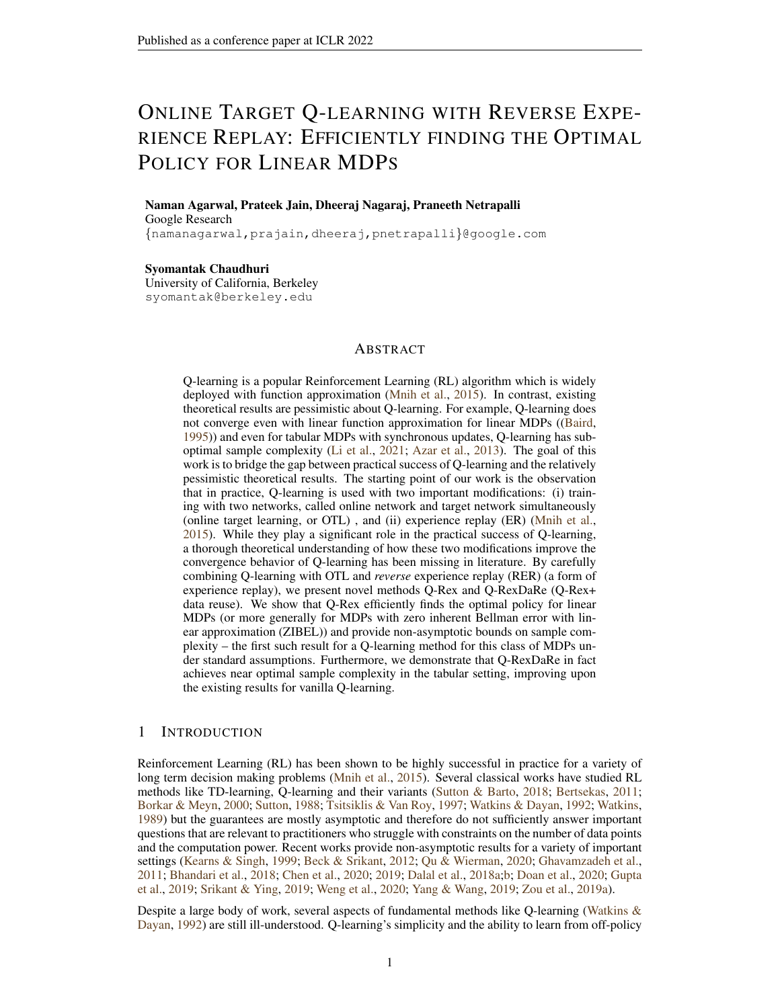| <b>Setting</b>                    | К                                                                       |                                                                                                             | $\boldsymbol{u}$                                                    | B      | п                                                                                                                                         |
|-----------------------------------|-------------------------------------------------------------------------|-------------------------------------------------------------------------------------------------------------|---------------------------------------------------------------------|--------|-------------------------------------------------------------------------------------------------------------------------------------------|
| ZIBEL MDP<br>(THEOREM 1)          | >1                                                                      | $>\frac{C_3}{B}\frac{\kappa}{\eta}\log\left(\frac{K\kappa}{\delta(1-\gamma)}\right)$                        | $\geq C_1 \tau_{\text{mix}} \log(\frac{C_{\text{mix}} KN}{\delta})$ | $=10u$ | $\langle C_2 \min(\frac{(1-\gamma)^2}{C_*^2 + \log(K/\delta))}, \frac{1}{B})$                                                             |
| TABULAR MDP<br>(THEOREM 2)        | $C_2 \frac{\left(\log\left(\frac{1}{1-\gamma}\right)\right)}{1-\gamma}$ | $> \frac{C_4}{B} \frac{\tau_{\text{mix}}}{\mu_{\text{min}}} \log(\frac{ S /A/K}{\delta})$                   | $\geq C_1 \tau_{\text{mix}} \log(\frac{KN}{5})$                     | $=10u$ | $\frac{C_3}{\log(\frac{f(S)/A}{f})}$                                                                                                      |
| <b>TABULAR MDP</b><br>(THEOREM 3) | $\geq C_2 \frac{\log\left(\frac{1}{1-\gamma}\right)}{1-\gamma}$         | $> \frac{C_4}{B} \frac{\tau_{\text{mix}}}{\mu_{\text{min}}} \log(\frac{f_{\text{S}}/f_{\text{A}}}{\delta})$ | $\geq C_1 \tau_{\text{mix}} \log(\frac{KN}{\delta})$                | $=10u$ | $\leq C_3 \frac{(1-\gamma)^2}{\bar{d}\log\left(\frac{jSj/Aj}{s}\right)}$                                                                  |
| ZIBEL MDP<br>(THEOREM 1)          | $\frac{\beta_1}{(1-\gamma)}$                                            | $\kappa\beta_2 \max\left(\frac{C_{\Phi}^2 + \beta_2}{\epsilon^2 (1-\gamma)^4 \tau_{\min}}, 1\right)$        | $\tau_{\text{mix}}\log\left(\frac{KN}{\delta}\right)$               | 10u    | $\min\left(\frac{(1-\gamma)^4\epsilon^2}{C_s^2+\beta_3},\frac{1}{B}\right)$                                                               |
| TABULAR MDP<br>(THEOREM 2)        | $\frac{\beta_1^2}{1-\gamma}$                                            | $\frac{1}{\mu_{\min}} \max \left( \beta_5, \frac{\beta_1}{\eta \tau_{\max}} \right)$                        | $\tau_{\text{mix}}\log\left(\frac{KN}{\delta}\right)$               | 10u    | $\frac{(1-\gamma)^3}{\beta \kappa} \min(\epsilon, \epsilon^2)$                                                                            |
| TABULAR MDP<br>(THEOREM 3)        | $\frac{\beta_1}{(1-\gamma)}$                                            | $\frac{1}{\mu_{\min}} \max \left( \beta_5, \frac{\beta_1}{\eta \tau_{\max}} \right)$                        | $\tau_{\text{mix}}\log\left(\frac{KN}{\delta}\right)$               | 10u    | $\min\left(\frac{\epsilon^2(1-\gamma)^3}{\beta_4},\frac{(1-\gamma)^2}{\bar{d}\beta_5},\frac{\epsilon(1-\gamma)^3}{\bar{d}\beta_4}\right)$ |

<span id="page-7-3"></span>Table 2: Parameter constraints (first 3 rows) and choice for  $\lt \epsilon$  error (last 3 rows) for our algorithms. Here the poly-log factors  $\beta_i$  are given by  $\beta_1 = \log(\frac{1}{(1-\gamma)\min(\epsilon,1)})$ ,  $\beta_3 = \log(\frac{1}{(1-\gamma)\delta \min(\epsilon,1)})$ ,  $\beta_2 = \log(\kappa) + \beta_3, \beta_4 = \log\left(\frac{|\mathcal{S}|jA|K}{\delta}\right), \beta_5 = \log\left(\frac{|\mathcal{S}|jA|}{\delta}\right).$ 

Remark 2. *For the sake of clarity, we only analyze the algorithms Q-Rex and Q-RexDaRe for data from a single trajectory with Option I. Option II involves averaging of the iterates which boosts the convergence – indeed we can obtain much better bounds in this setting by using standard analysis.*

## <span id="page-7-0"></span>4 MAIN RESULTS

*with probability* 

We will now provide finite time convergence analysis and sample complexity for the algorithms Q-Rex and Q-RexDaRe. Recall that K is the number of outer-loops, N is the number of buffers inside an outer-loop iteration,  $B$  is the buffer size and  $u$  is the size of the gap. In what follows, we will take  $u = \tilde{O}(\tau_{mix}), B = 10u, K = \tilde{O}(\frac{1}{1-\gamma})$ . We also note that the total number of samples used is  $NK(B + u)$  for Q-Rex and  $N(B + u)$  for Q-RexDaRe since we reuse data in each outer-loop iteration. In what follows, by  $Q_1^{K+1,1}(s, a)$ , we denote  $\langle \phi(s, a), w_1^{K+1,1} \rangle$  which is our estimate for the optimal Q function. Here  $w_1^{K+1,1}$  is the output of either Q-Rex or Q-RexDaRe at the end of K outer-loop iterations. Define  $||Q_1^{K+1,1} - Q||_1 := \sup_{(s,a)\geq S} |Q_1^{K+1,1}(s,a) - Q_1(s,a)|$ . We first consider the performance of Q-Rex with data derived from a linear MDP (Defintion [1\)](#page-4-0) or a ZIBEL MDP (Definition [2\)](#page-4-2) and satisfying the Assumptions in Section [2.1.](#page-5-2)

<span id="page-7-2"></span>Theorem 1 (ZIBEL /Linear MDP). *Suppose we run Q-Rex using Option I with data from an MDP with* IBE = 0*. There exists constants*  $C_1, C_2, C_3, C_4, C_5 > 0$  *such that whenever the parameter bounds given in Table* [2](#page-7-3) *(row 1) are satisfied, then with probability at-least*  $1 - \delta$ *, we must have:* 

$$
\|Q_1^{K+1,1}-Q_-\|_{\mathcal{I}} \ \leq \tfrac{\gamma^K}{1-\gamma} + C_4 \sqrt{\tfrac{K\kappa}{\delta(1-\gamma)^4}}\exp\left(-\tfrac{\eta NB}{\kappa}\right) + C_5 \sqrt{\tfrac{\eta\left[C^2_\Phi+\log\left(\tfrac{K}{\delta}\right)\right]}{(1-\gamma)^4}}
$$

*Given*  $\epsilon \in (0, \frac{1}{(1-\gamma)}]$ , and the parameters as given in Table [2](#page-7-3) (row 4)(up to constant factors), then

at-least 
$$
1 - \delta
$$
:  $||Q_1^{K+1,1}(s, a) - Q(s, a)||_1 < \epsilon$ . This has a sample complexity  
\n
$$
\Theta(NKB) = \tilde{O}\left(\kappa \max\left(\frac{C_{\Phi}^2 + 1}{(1 - \gamma)^5 \epsilon^2}, \frac{\tau_{\text{mix}}}{1 - \gamma}\right)\right)
$$

We now consider the performance of Q-Rex and Q-RexDaRe in the case of tabular MDPs. We refer to Table [1](#page-2-0) for a comparison of our results to the state-of-art results provided in literature for Q-learning based algorithms.

Remark 3. *To the best of our knowledge, Theorem [1](#page-7-2) presents the first non-asymptotic convergence results for Q-learning based methods for ZIBEL MDPs under standard assumptions. Notice that the sample complexity scales as*  $\frac{1}{\epsilon^2} + \tau_{\text{mix}}$  *instead of*  $\frac{\tau_{\text{mix}}}{\epsilon^2}$  *like in [Zou et al.](#page-12-13)* [\(2019b\)](#page-12-13)*; [Bhandari et al.](#page-10-5) [\(2018\)](#page-10-5). This is because in the case of ZIBEL MDPs RER brings out the super-martingale structure present in the problem which forward pass does not.*

<span id="page-7-1"></span>Theorem 2 (Tabular MDP). *Suppose we run Q-Rex using Option I with data derived from tabular MDPs. Whenever the algorithmic parameters are picked as given in Table [2](#page-7-3) (row 2) for some universal constants*  $C_1, \ldots, C_5$ *, we obtain with probability at-least*  $1 - \delta$ *:* 

$$
\|Q^{K+1} - Q\|_{1} < C_5 \left[ \frac{\gamma^L}{1 - \gamma} + \frac{\exp\left(-\frac{\eta \mu_{\min} N B}{2}\right)}{(1 - \gamma)^2} + \frac{\eta \log\left(\frac{K j S j / A j}{\delta}\right)}{(1 - \gamma)^3} + \sqrt{\frac{\eta \log\left(\frac{K j S j / A j}{\delta}\right)}{(1 - \gamma)^3}} \right]
$$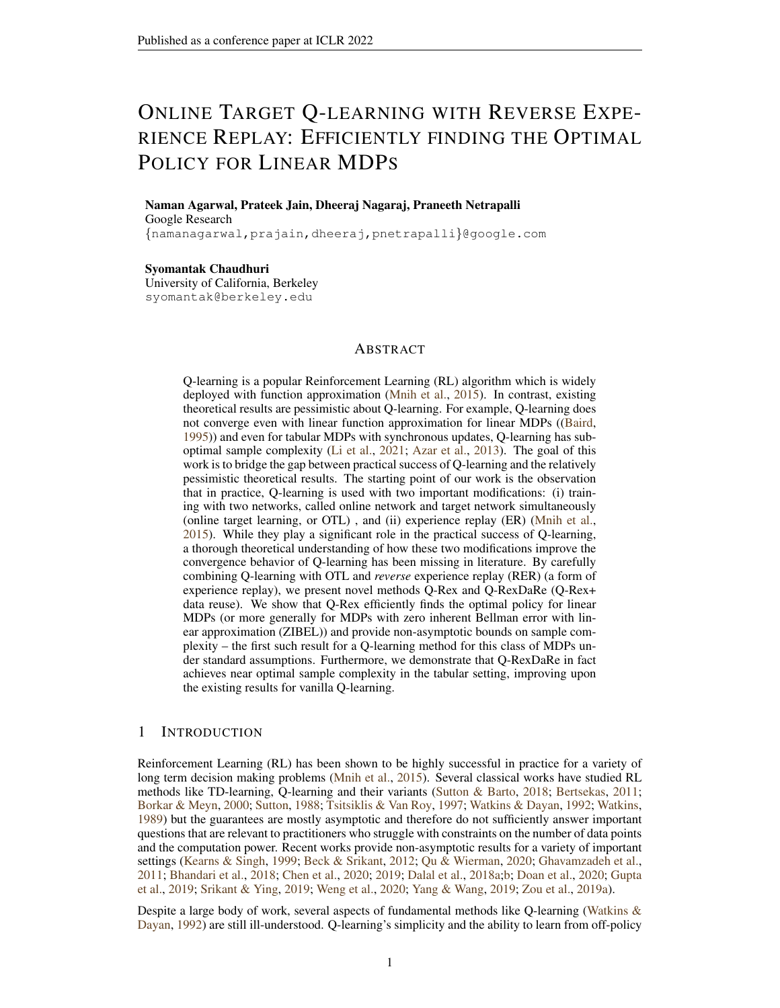*Where*  $L = \frac{b_1 K}{\log \frac{1}{1 - \gamma}}$ *a*. *Given*  $\epsilon \in (0, \frac{1}{1-\gamma}]$ , and the parameters are picked as given in Table [2](#page-7-3) (row

*5), then with probability at-least*  $1 - \delta$ *, we have:*  $\|Q^{K+1} - Q\|_1 < \epsilon$ . *This gives us a sample complexity of*

$$
\Theta(NKB) = \tilde{O}\left(\frac{1}{\mu_{\min}} \max\left(\frac{1}{(1-\gamma)^4 \min(\epsilon,\epsilon^2)}, \frac{\tau_{\max}}{1-\gamma}\right)\right).
$$

Even though the sample complexity provided in Theorem [2](#page-7-1) matches the sample complexity of *synchronous* Q-learning even with *asynchronous* data, it is still sub-optimal with respect to the min-max lower bounds (i.e, it has a dependence of has a dependence of  $\frac{1}{(1-\gamma)^4}$  instead of the optimal  $\frac{1}{(1-\gamma)^3}$ ). We resolve this gap for Q-RexDaRe in Theorem [3.](#page-8-1) For tabular MDPs, the number states can be large but the support of  $P(\cdot|s, a)$  is bounded in most problems of practical interest. Consider the following assumption (note that this holds for every tabular MDP with  $d = |\mathcal{S}|$ .)

<span id="page-8-2"></span>**Assumption 5.** *Tabular MDP is such that*  $|\textsf{supp}(P(\cdot|s, a))| \leq \bar{d} \in \mathbb{N}$ .

<span id="page-8-1"></span>Theorem 3 (Tabular MDP with Data Reuse). *For tabular MDPs, suppose additionally Assumption [5](#page-8-2) holds and we run Q-RexDaRe using Option I. There exist universal constants* C1, C2, C3, C<sup>4</sup> *such that when the parameter values satisfy the bounds in Table*  $2$  *(row 3), with probability at-least*  $1 - \delta$ *:* 

$$
\|Q_1^{K+1,1} - Q\|_1 \le C \left[ \frac{\exp\left(-\frac{\eta \mu_{\min} N B}{2}\right) + \gamma^{K}}{(1-\gamma)^2} + \frac{\eta \log\left(\frac{j S j / A/K}{\delta}\right)}{(1-\gamma)^3} \sqrt{\bar{d}} + \sqrt{\frac{\eta}{(1-\gamma)^3} \log\left(\frac{K j S j / A}{\delta}\right)} \right]
$$

*Suppose*  $\epsilon \in (0, \frac{1}{1-\gamma}]$ *. If we choose the parameters as per Table* [2](#page-7-3) *(row 6), then with probability at-least*  $1 - \delta$  *we have:*  $\|Q^{K+1}(s, a) - Q\|_1 < \epsilon$ . The sample complexity in this case is

$$
\Theta(NB) = \tilde{O}\left(\frac{1}{\mu_{min}} \max\left(\tau_{\text{mix}}, \frac{1}{\epsilon^2 (1-\gamma)^3}, \frac{\bar{d}}{(1-\gamma)^2}, \frac{\rho_{\bar{d}}}{\epsilon (1-\gamma)^3}\right)\right).
$$

#### <span id="page-8-0"></span>5 OVERVIEW OF THE ANALYSIS

We divide the analysis of Q-Rex and Q-RexDaRe into two parts: Analysis of  $w_1^{k,1}$  obtained at the end of outer-loop iteration  $k$  and the analysis of the algorithm within the outer-loop. The algorithm reduces to SGD for linear regression with Markovian data within an outer-loop due to OTL. That is, we try to find  $w_1^{k+1,1}$  such that  $\langle w_1^{k+1,1}, \phi(s, a) \rangle \approx R(s, a) + \mathbb{E}_{s'-P(j, a)} \sup_{a'} \langle w_1^{k,1}, \phi(s^{\theta}, a^{\theta}) \rangle$ . Therefore, we write  $w_1^{k+1,1} = \mathcal{T}(w_1^{k,1}) + \epsilon_k(w_1^{k,1})$ , where  $\mathcal T$  is the  $\gamma$  contractive Bellman operator whose unique fixed point is w and  $\epsilon_k$  is the noise to be controlled. Following a similar setting in in [\(Jain et al.,](#page-11-5) [2021b\)](#page-11-5), we control  $\epsilon_k$  with the following steps:

(1) We introduce a fictitious coupled process (see Section [C\)](#page-16-1)  $(\tilde{s}_t, \tilde{a}_t, \tilde{r}_t)$  where the data in different buffers are *exactly* independent (since the gaps of size u make the buffers *approximately* independent) and show that the algorithm run with the fictitious data has the same output as the algorithm run with the actual data with high probability when  $u$  is large enough.

(2) We give a bias-variance decomposition (Lemma [5\)](#page-18-0) for the error  $\epsilon_k$  where the exponentially decaying bias term helps forget the initial condition and the variance term arises due the inherent noise in the samples.

(3) We control the bias and variance terms separately in order to ensure that the noise  $\epsilon_k$  is small enough. RER plays a key role in controlling the variance term by endowing it with a supermartingale structure, which is not possible with forward order traversal (see Theorem [4\)](#page-19-0).

The procedure described above allows us to show that  $w_1^{k+1,1} \approx \mathcal{T}(w_1^{k,1})$  uniformly for  $k \leq K$ , which directly gives us a convergence bound to the fixed point of  $\mathcal T$  i.e, w (Theorem [1\)](#page-7-2). In the tabular case, the approximate Bellman iteration connects to the analysis of *synchronous* Q-learning in [\(Li et al.,](#page-11-1) [2021\)](#page-11-1), which allows us to obtain a better convergence guarantee (Theorem [2\)](#page-7-1). To obtain convergence guarantees for Q-RexDaRe, we first observe that if we re-use the data used in outerloop iteration 1 in all future outer-loop iterations  $k > 1$ ,  $\epsilon_k(w_1^{k,1})$  might not be small since  $w_1^{k,1}$ depends on  $\epsilon_k(\cdot)$ . However,  $(w_1^{k,1})_k$  approximates the deterministic path of the noiseless Bellman iterates:  $\bar{w}_1^{1,1} := w_1^{1,1}$  and  $\bar{w}_1^{k+1,1} := \mathcal{T}(\bar{w}_1^{k,1})$ . Since  $\|\epsilon_k(w_1^{k,1})\|_1 \leq \|\epsilon^k(w_1^{k,1}) - \epsilon^k(\bar{w}_1^{k,1})\|_1 +$  $\|\epsilon^k(\bar{w}_1^{k,1})\|_1$ , we argue inductively that  $\|\epsilon^k(w_1^{k,1}) - \epsilon^k(\bar{w}_1^{k,1})\|_1 \approx 0$  since  $w_1^{k,1} \approx \bar{w}_1^{k,1}$  and  $\|\epsilon^k(\bar{w}_1^{k,1})\|_{1} \approx 0$  since  $\bar{w}_1^{k,1}$  is a deterministic sequence and hence  $w_1^{k+1,1} \approx \bar{w}_1^{k+1,1}$ .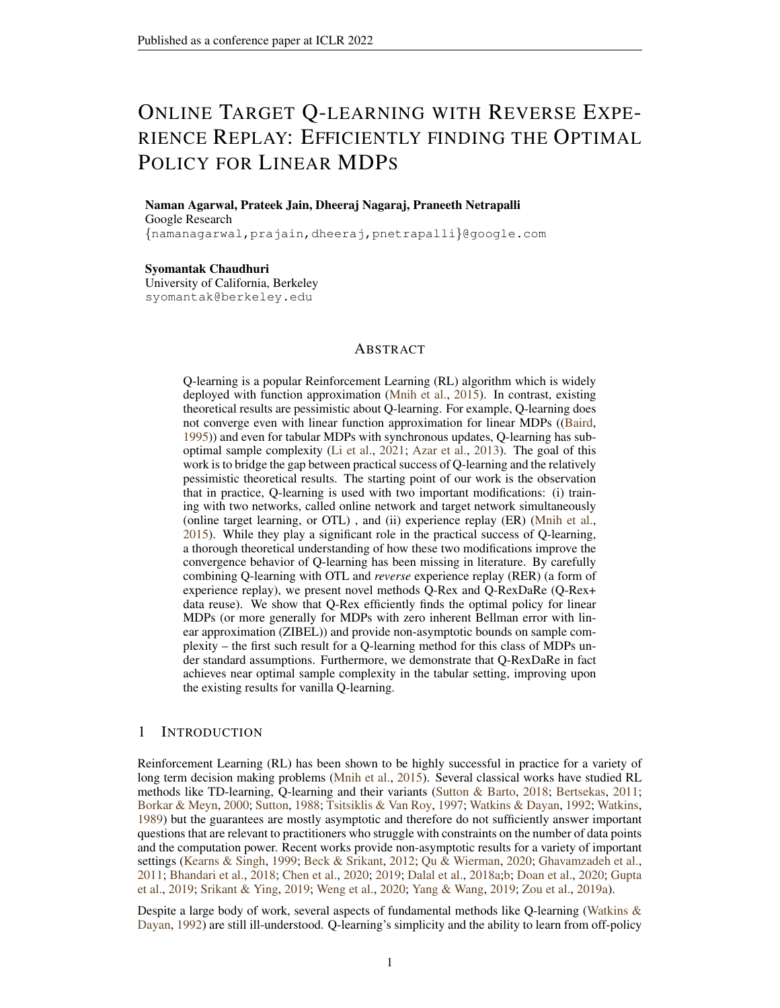## ACKNOWLEDGMENTS

Most of this work was done when D.N. was a graduate student at MIT and was supported in part by NSF grant DMS-2022448. Part of this work was done when D.N. was a visitor at the Simons Institute for Theory of Computing, Berkeley. We would also like to thank Gaurav Mahajan for introducing us to low-inherent Bellman error setting, and providing intuition that our technique might be applicable in this more general setting (than linear MDP) as well.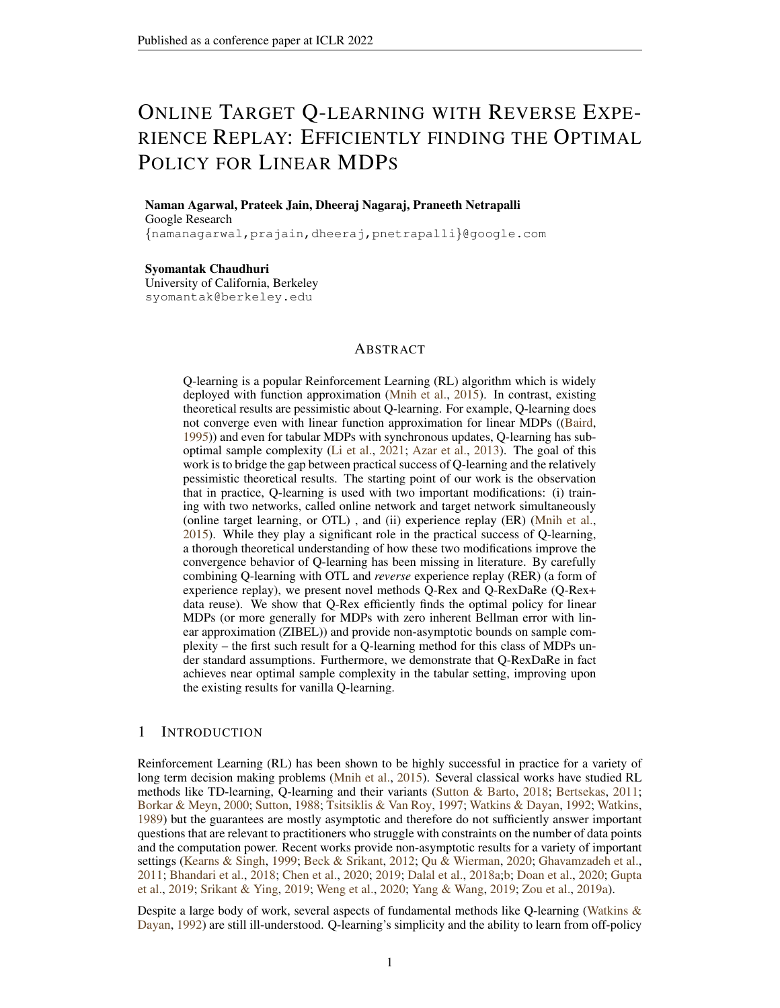#### **REFERENCES**

- <span id="page-10-14"></span>Alekh Agarwal, Sham Kakade, and Lin F Yang. Model-based reinforcement learning with a generative model is minimax optimal. In *Conference on Learning Theory*, pp. 67–83. PMLR, 2020.
- <span id="page-10-1"></span>Mohammad Gheshlaghi Azar, Remi Munos, and Hilbert J Kappen. Minimax pac bounds on the ´ sample complexity of reinforcement learning with a generative model. *Machine learning*, 91(3): 325–349, 2013.
- <span id="page-10-0"></span>Leemon Baird. Residual algorithms: Reinforcement learning with function approximation. In *Machine Learning Proceedings 1995*, pp. 30–37. Elsevier, 1995.
- <span id="page-10-4"></span>Carolyn L Beck and Rayadurgam Srikant. Error bounds for constant step-size q-learning. *Systems & control letters*, 61(12):1203–1208, 2012.
- <span id="page-10-2"></span>Dimitri P Bertsekas. Dynamic programming and optimal control 3rd edition, volume ii. *Belmont, MA: Athena Scientific*, 2011.
- <span id="page-10-5"></span>Jalaj Bhandari, Daniel Russo, and Raghav Singal. A finite time analysis of temporal difference learning with linear function approximation. In *Conference on learning theory*, pp. 1691–1692. PMLR, 2018.
- <span id="page-10-3"></span>Vivek S Borkar and Sean P Meyn. The ode method for convergence of stochastic approximation and reinforcement learning. *SIAM Journal on Control and Optimization*, 38(2):447–469, 2000.
- <span id="page-10-11"></span>Justin Boyan and Andrew W Moore. Generalization in reinforcement learning: Safely approximating the value function. *Advances in neural information processing systems*, pp. 369–376, 1995.
- <span id="page-10-15"></span>Guy Bresler, Prateek Jain, Dheeraj Nagaraj, Praneeth Netrapalli, and Xian Wu. Least squares regression with markovian data: Fundamental limits and algorithms. *arXiv preprint arXiv:2006.08916*, 2020.
- <span id="page-10-12"></span>Diogo Carvalho, Francisco S. Melo, and Pedro Santos. A new convergent variant of q-learning with linear function approximation. In H. Larochelle, M. Ranzato, R. Hadsell, M. F. Balcan, and H. Lin (eds.), *Advances in Neural Information Processing Systems*, volume 33, pp. 19412–19421. Curran Associates, Inc., 2020. URL [https://proceedings.neurips.cc/paper/2020/](https://proceedings.neurips.cc/paper/2020/file/e1696007be4eefb81b1a1d39ce48681b-Paper.pdf) [file/e1696007be4eefb81b1a1d39ce48681b-Paper.pdf](https://proceedings.neurips.cc/paper/2020/file/e1696007be4eefb81b1a1d39ce48681b-Paper.pdf).
- <span id="page-10-7"></span>Zaiwei Chen, Sheng Zhang, Thinh T Doan, John-Paul Clarke, and Siva Theja Maguluri. Finitesample analysis of nonlinear stochastic approximation with applications in reinforcement learning. *arXiv preprint arXiv:1905.11425*, 2019.
- <span id="page-10-6"></span>Zaiwei Chen, Siva Theja Maguluri, Sanjay Shakkottai, and Karthikeyan Shanmugam. Finite-sample analysis of contractive stochastic approximation using smooth convex envelopes. *arXiv preprint arXiv:2002.00874*, 2020.
- <span id="page-10-8"></span>Gal Dalal, Balázs Szörényi, Gugan Thoppe, and Shie Mannor. Finite sample analyses for td (0) with function approximation. In *Thirty-second AAAI conference on artificial intelligence*, 2018a.
- <span id="page-10-9"></span>Gal Dalal, Gugan Thoppe, Balázs Szörényi, and Shie Mannor. Finite sample analysis of twotimescale stochastic approximation with applications to reinforcement learning. In Sebastien ´ Bubeck, Vianney Perchet, and Philippe Rigollet (eds.), *Proceedings of the 31st Conference On Learning Theory*, volume 75 of *Proceedings of Machine Learning Research*, pp. 1199–1233. PMLR, 06-09 Jul 2018b. URL [https://proceedings.mlr.press/v75/dalal18a.](https://proceedings.mlr.press/v75/dalal18a.html) [html](https://proceedings.mlr.press/v75/dalal18a.html).
- <span id="page-10-10"></span>Thinh T Doan, Lam M Nguyen, Nhan H Pham, and Justin Romberg. Convergence rates of accelerated markov gradient descent with applications in reinforcement learning. *arXiv preprint arXiv:2002.02873*, 2020.
- <span id="page-10-13"></span>Jianqing Fan, Zhaoran Wang, Yuchen Xie, and Zhuoran Yang. A theoretical analysis of deep qlearning. In *Learning for Dynamics and Control*, pp. 486–489. PMLR, 2020.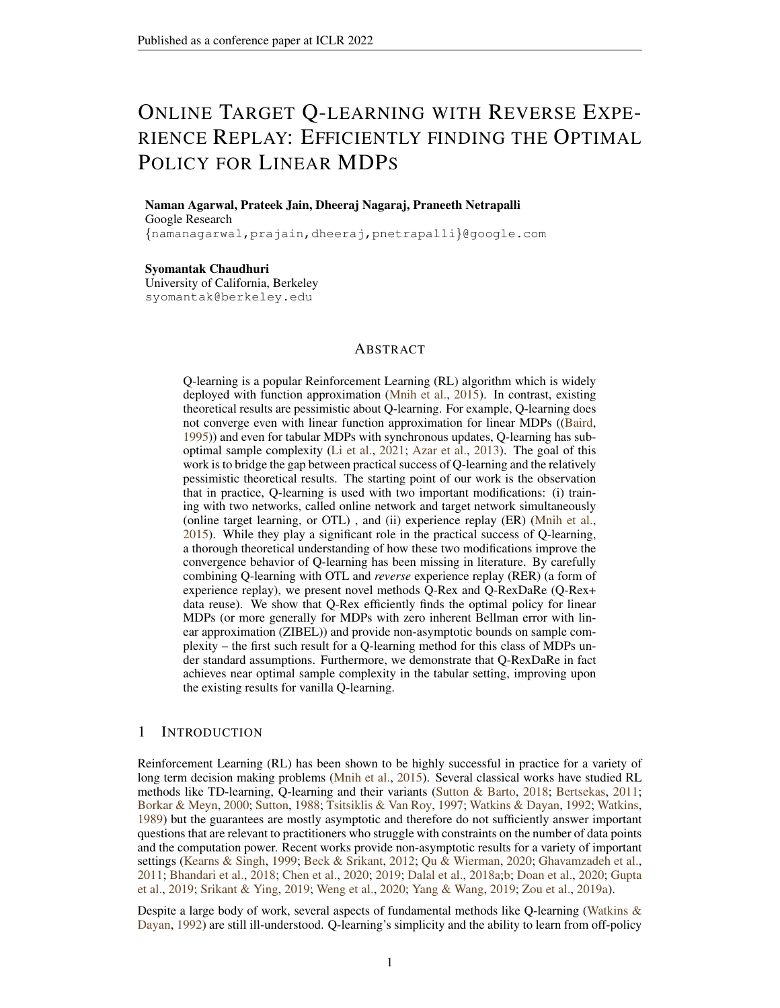- <span id="page-11-15"></span>David A Freedman. On tail probabilities for martingales. *the Annals of Probability*, pp. 100–118, 1975.
- <span id="page-11-3"></span>Mohammad Ghavamzadeh, Hilbert Kappen, Mohammad Azar, and Remi Munos. Speedy q- ´ learning. *Advances in neural information processing systems*, 24:2411–2419, 2011.
- <span id="page-11-16"></span>Sheldon Goldstein. Maximal coupling. *Zeitschrift für Wahrscheinlichkeitstheorie und verwandte Gebiete*, 46(2):193–204, 1979.
- <span id="page-11-8"></span>Geoffrey J Gordon. Reinforcement learning with function approximation converges to a region. *Advances in neural information processing systems*, 13, 2000.
- <span id="page-11-4"></span>Harsh Gupta, R. Srikant, and Lei Ying. Finite-time performance bounds and adaptive learning rate selection for two time-scale reinforcement learning. In H. Wallach, H. Larochelle, A. Beygelzimer, F. d'Alché-Buc, E. Fox, and R. Garnett (eds.), *Advances in Neural Information Processing Systems*, volume 32. Curran Associates, Inc., 2019. URL [https://proceedings.neurips.cc/paper/2019/file/](https://proceedings.neurips.cc/paper/2019/file/e354fd90b2d5c777bfec87a352a18976-Paper.pdf) [e354fd90b2d5c777bfec87a352a18976-Paper.pdf](https://proceedings.neurips.cc/paper/2019/file/e354fd90b2d5c777bfec87a352a18976-Paper.pdf).
- <span id="page-11-12"></span>Prateek Jain, Suhas S Kowshik, Dheeraj Nagaraj, and Praneeth Netrapalli. Near-optimal offline and streaming algorithms for learning non-linear dynamical systems. *arXiv preprint arXiv:2105.11558*, 2021a.
- <span id="page-11-5"></span>Prateek Jain, Suhas S Kowshik, Dheeraj Nagaraj, and Praneeth Netrapalli. Streaming linear system identification with reverse experience replay. *arXiv preprint arXiv:2103.05896*, 2021b.
- <span id="page-11-13"></span>Chi Jin, Zhuoran Yang, Zhaoran Wang, and Michael I Jordan. Provably efficient reinforcement learning with linear function approximation. In *Conference on Learning Theory*, pp. 2137–2143. PMLR, 2020.
- <span id="page-11-2"></span>Michael Kearns and Satinder Singh. Finite-sample convergence rates for q-learning and indirect algorithms. *Advances in neural information processing systems*, pp. 996–1002, 1999.
- <span id="page-11-7"></span>Gen Li, Yuting Wei, Yuejie Chi, Yuantao Gu, and Yuxin Chen. Breaking the sample size barrier in model-based reinforcement learning with a generative model. *Advances in neural information processing systems*, 33, 2020a.
- <span id="page-11-6"></span>Gen Li, Yuting Wei, Yuejie Chi, Yuantao Gu, and Yuxin Chen. Sample complexity of asynchronous q-learning: Sharper analysis and variance reduction. In H. Larochelle, M. Ranzato, R. Hadsell, M. F. Balcan, and H. Lin (eds.), *Advances in Neural Information Processing Systems*, volume 33, pp. 7031–7043. Curran Associates, Inc., 2020b. URL [https://proceedings.neurips.](https://proceedings.neurips.cc/paper/2020/file/4eab60e55fe4c7dd567a0be28016bff3-Paper.pdf) [cc/paper/2020/file/4eab60e55fe4c7dd567a0be28016bff3-Paper.pdf](https://proceedings.neurips.cc/paper/2020/file/4eab60e55fe4c7dd567a0be28016bff3-Paper.pdf).
- <span id="page-11-1"></span>Gen Li, Changxiao Cai, Yuxin Chen, Yuantao Gu, Yuting Wei, and Yuejie Chi. Is q-learning minimax optimal? a tight sample complexity analysis. *arXiv preprint arXiv:2102.06548*, 2021.
- <span id="page-11-11"></span>Long-Ji Lin. Self-improving reactive agents based on reinforcement learning, planning and teaching. *Machine learning*, 8(3-4):293–321, 1992.
- <span id="page-11-10"></span>Hamid Reza Maei, Csaba Szepesvari, Shalabh Bhatnagar, and Richard S. Sutton. Toward off-policy ´ learning control with function approximation. In *Proceedings of the 27th International Conference on International Conference on Machine Learning*, ICML'10, pp. 719–726. Omnipress, 2010. ISBN 9781605589077.
- <span id="page-11-9"></span>Francisco S Melo, Sean P Meyn, and M Isabel Ribeiro. An analysis of reinforcement learning with function approximation. In *Proceedings of the 25th international conference on Machine learning*, pp. 664–671, 2008.
- <span id="page-11-0"></span>Volodymyr Mnih, Koray Kavukcuoglu, David Silver, Andrei A Rusu, Joel Veness, Marc G Bellemare, Alex Graves, Martin Riedmiller, Andreas K Fidjeland, Georg Ostrovski, et al. Human-level control through deep reinforcement learning. *nature*, 518(7540):529–533, 2015.
- <span id="page-11-14"></span>Rémi Munos and Csaba Szepesvári. Finite-time bounds for fitted value iteration. *Journal of Machine Learning Research*, 9(5), 2008.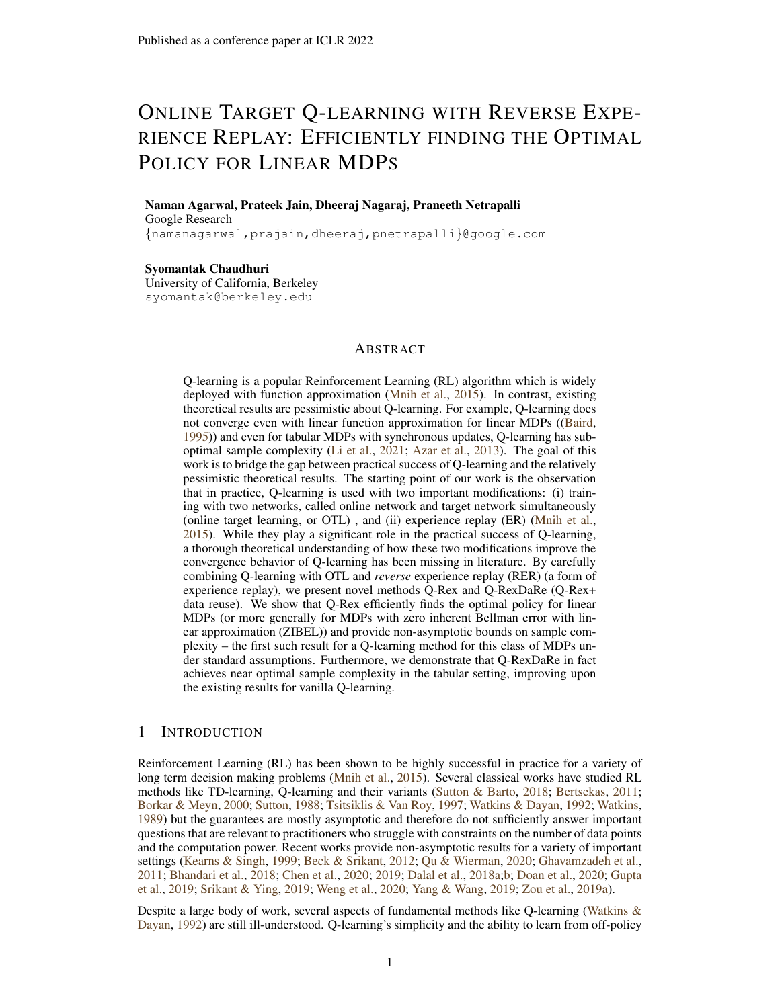- <span id="page-12-19"></span>Daniel Paulin. Concentration inequalities for markov chains by marton couplings and spectral methods. *Electronic Journal of Probability*, 20:1–32, 2015.
- <span id="page-12-14"></span>Theodore Perkins and Doina Precup. A convergent form of approximate policy iteration. *Advances in neural information processing systems*, 15, 2002.
- <span id="page-12-5"></span>Guannan Qu and Adam Wierman. Finite-time analysis of asynchronous stochastic approximation and q-learning. In *Conference on Learning Theory*, pp. 3185–3205. PMLR, 2020.
- <span id="page-12-16"></span>Martin Riedmiller. Neural fitted q iteration–first experiences with a data efficient neural reinforcement learning method. In *European conference on machine learning*, pp. 317–328. Springer, 2005.
- <span id="page-12-15"></span>Egor Rotinov. Reverse experience replay. *arXiv preprint arXiv:1910.08780*, 2019.
- <span id="page-12-6"></span>Rayadurgam Srikant and Lei Ying. Finite-time error bounds for linear stochastic approximation andtd learning. In *Conference on Learning Theory*, pp. 2803–2830. PMLR, 2019.
- <span id="page-12-1"></span>Richard S Sutton. Learning to predict by the methods of temporal differences. *Machine learning*, 3 (1):9–44, 1988.
- <span id="page-12-0"></span>Richard S Sutton and Andrew G Barto. *Reinforcement learning: An introduction*. MIT press, 2018.
- <span id="page-12-18"></span>Csaba Szepesvári and William D Smart. Interpolation-based q-learning. In *Proceedings of the twenty-first international conference on Machine learning*, pp. 100, 2004.
- <span id="page-12-10"></span>John N Tsitsiklis and Benjamin Van Roy. Feature-based methods for large scale dynamic programming. *Machine Learning*, 22(1):59–94, 1996.
- <span id="page-12-2"></span>John N Tsitsiklis and Benjamin Van Roy. An analysis of temporal-difference learning with function approximation. *IEEE transactions on automatic control*, 42(5):674–690, 1997.
- <span id="page-12-20"></span>Roman Vershynin. *High-dimensional probability: An introduction with applications in data science*, volume 47. Cambridge university press, 2018.
- <span id="page-12-11"></span>Martin J Wainwright. Stochastic approximation with cone-contractive operators: Sharp  $\ell_1$ -bounds for q-learning. *arXiv preprint arXiv:1905.06265*, 2019a.
- <span id="page-12-12"></span>Martin J Wainwright. Variance-reduced q-learning is minimax optimal. *arXiv preprint arXiv:1906.04697*, 2019b.
- <span id="page-12-21"></span>Martin J. Wainwright. *High-Dimensional Statistics: A Non-Asymptotic Viewpoint*. Cambridge Series in Statistical and Probabilistic Mathematics. Cambridge University Press, 2019c. doi: 10.1017/ 9781108627771.
- <span id="page-12-3"></span>Christopher JCH Watkins and Peter Dayan. Q-learning. *Machine learning*, 8(3-4):279–292, 1992.
- <span id="page-12-4"></span>Christopher John Cornish Hellaby Watkins. Learning from delayed rewards. 1989.
- <span id="page-12-7"></span>Bowen Weng, Huaqing Xiong, Lin Zhao, Yingbin Liang, and Wei Zhang. Momentum q-learning with finite-sample convergence guarantee. *arXiv preprint arXiv:2007.15418*, 2020.
- <span id="page-12-8"></span>Lin Yang and Mengdi Wang. Sample-optimal parametric q-learning using linearly additive features. In *International Conference on Machine Learning*, pp. 6995–7004. PMLR, 2019.
- <span id="page-12-17"></span>Andrea Zanette, Alessandro Lazaric, Mykel Kochenderfer, and Emma Brunskill. Learning near optimal policies with low inherent bellman error. In *International Conference on Machine Learning*, pp. 10978–10989. PMLR, 2020.
- <span id="page-12-9"></span>Shaofeng Zou, Tengyu Xu, and Yingbin Liang. Finite-sample analysis for sarsa with linear function approximation. In H. Wallach, H. Larochelle, A. Beygelzimer, F. d'Alche-Buc, E. Fox, and ´ R. Garnett (eds.), *Advances in Neural Information Processing Systems*, volume 32. Curran Associates, Inc., 2019a. URL [https://proceedings.neurips.cc/paper/2019/file/](https://proceedings.neurips.cc/paper/2019/file/9f9e8cba3700df6a947a8cf91035ab84-Paper.pdf) [9f9e8cba3700df6a947a8cf91035ab84-Paper.pdf](https://proceedings.neurips.cc/paper/2019/file/9f9e8cba3700df6a947a8cf91035ab84-Paper.pdf).
- <span id="page-12-13"></span>Shaofeng Zou, Tengyu Xu, and Yingbin Liang. Finite-sample analysis for sarsa with linear function approximation. *Advances in neural information processing systems*, 32, 2019b.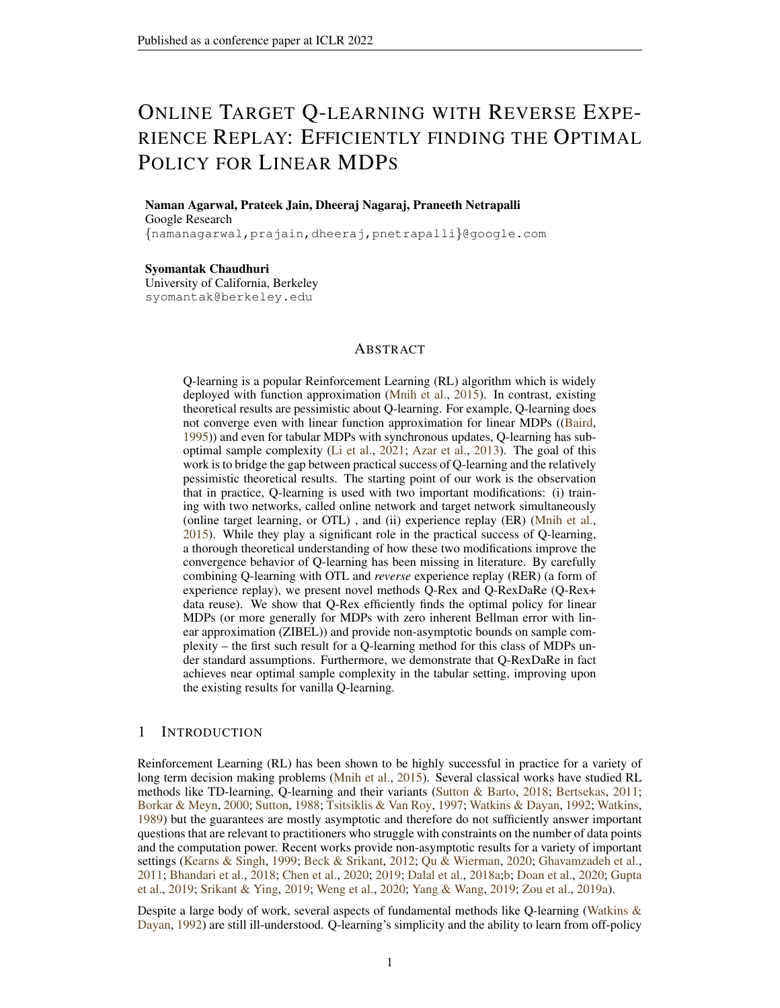# <span id="page-13-0"></span>A EXPERIMENTS

Even though OTL has a stabilizing effect on the Q-iteration, it reduces the rate of bias decay since the values are not updated for a long time. Therefore, the success of our procedure depends on picking the right values for the parameters  $N$ ,  $B$  and **Option I** vs. **Option II**. However, under the right conditions the algorithms which include OTL+RER converge to a much smaller final error as illustrated by the examples we provide in this section. If a better sample complexity is desired, then Q-RexDaRe can be used as shown by Theorem [3.](#page-8-1) Further research is needed to identify the practical conditions such as (function approximation coarseness, MDP reward structure etc.) under which techniques like OTL+RER help.

**100-State Random Walk** We first consider the episodic MDP [\(Sutton & Barto,](#page-12-0) [2018,](#page-12-0) example 6.2) – but with 100 states instead of 1000. Here the agent can either move left or right on a straight line, receiving a reward of 0 at each step. Reaching the right terminal point ends the episode with reward 1, while the left terminal point ends the episode with reward 0. In each episode, the initial point is uniformly random and the offline policy chooses right and left directions uniformly at random. We use state aggregation to obtain a linear function representation [\(Sutton & Barto,](#page-12-0) [2018\)](#page-12-0) with total 10 aggregate states. Along with 2 actions, this leads to a 20 dimensional embedding. We compare vanilla Q-learning, OTL+ER+Q-learning and EpiQ-Rex (Option II,  $N = 1$ ). The same step size (0.01) was chosen for all the algorithms. OTL+ER+Q has the same structure as EpiQ-Rex and was run with the same parameters as EpiQ-Rex . The main difference between the two algorithms is that OTL+ER+Q processes the experiences collected in each episode in a random order processing instead of reverse order. Refering to Figure [4,](#page-14-0) we note that the bias decay for EpiQ-Rex and OTL+ER+Q are slower than vanilla Q-learning due to the online target structure. However EpiQ-Rex converges to a better solution than the other algorithms.

**Mountain Car** We run an online control type experiment with the Mountain car problem [\(Sutton](#page-12-0) [& Barto,](#page-12-0) [2018,](#page-12-0) Example 10.1). The task here is to control the car and help it reach the correct peak (which ends the episode) as soon as possible (i.e, terminate the episode with fewest steps). The agent receives a reward of  $-1$  unless the correct peak is reached. Here we run EpiQ-Rex with **Option I** and  $N = 1$ , OTL+ER+Q-learning and vanilla Q-learning. The k-th episode is generated with the policy at the end of  $k - 1$ -th episode for each of the three algorithms. We use a  $n = 4$  tile coding to represent the Q values for a given action, each of which has  $4 \times 4$  squares. The step-size was picked as  $0.1/n$  and the result was averaged over 500 runs of the experiment. We refer to Figure [2](#page-14-1) for the outcomes. For the last 300 episodes, the mean episode length for Vanilla Q-learning was 145, EpiQ-Rex was 136 and OTL+ER+Q-learning was 143 (rounded to the nearest integer).

Grid-World We consider the grid-world problem which is a tabular MDP [\(Sutton & Barto,](#page-12-0) [2018,](#page-12-0) Example 3.5), which is a continuing task. Here, an agent can walk north, south, east or west in a  $5 \times 5$  grid. Trying to fall off the grid accrues a reward of  $-1$ , while reaching certain special states accrues a reward of 10 or 5. In our example, we also add a unif[−0.5, 0.5] noise to all rewards to make the problem harder. We run the grid world experiment with the discount factor  $\gamma = 0.9$  and step size 0.05 for Vanilla Q-learning, Q-Rex (Option II,  $B = 3000$ ,  $N = 1$ ) and OTL+ER+Qlearning which is run with the same parameters as Q-Rex but with random samples from the buffer. We run the experiment 30 times and plot the error in the Q-values vs. time in Figure [3.](#page-14-2)

Baird's Counter-Example Consider the famous Baird's counter-example shown in Figure [6.](#page-14-3) The features corresponding to each state is shown and the reward for any transition is 0. Thus,  $w = 0$ is the optimal solution. Since Assumption 4 made in this work is violated for this example, we consider the analog of the problem where at each step, a state is sampled uniformly at random and the corresponding transition, along with the 0 reward is used to learn the vector w. In the experiment, the corresponding transition, along with the 0 reward is used to learn the vector w. In the experiment, we set the problem and algorithmic parameters to be  $\gamma = 0.99$  and  $\eta = 0.01/\sqrt{5}$  (the factor of  $\sqrt{5}$ normalizes the features to satisfy Assumption 1). We set  $B = 50$ ,  $u = 0$ , and  $N = 5$  since there is no need for keeping a gap between the buffers in this experiment. Figure [7](#page-14-4) shows the non-convergent behavior of vanilla Q-learning while OTL-based Q-learning converges. Note that since the sampling of state, action and reward is done in a uniformly random fashion, it is not relevant to use reverse experience replay. It is easy to see that with data reuse, we only need few samples to ensure all states are covered; the rate of convergence would be same as that of OTL+Q-learning.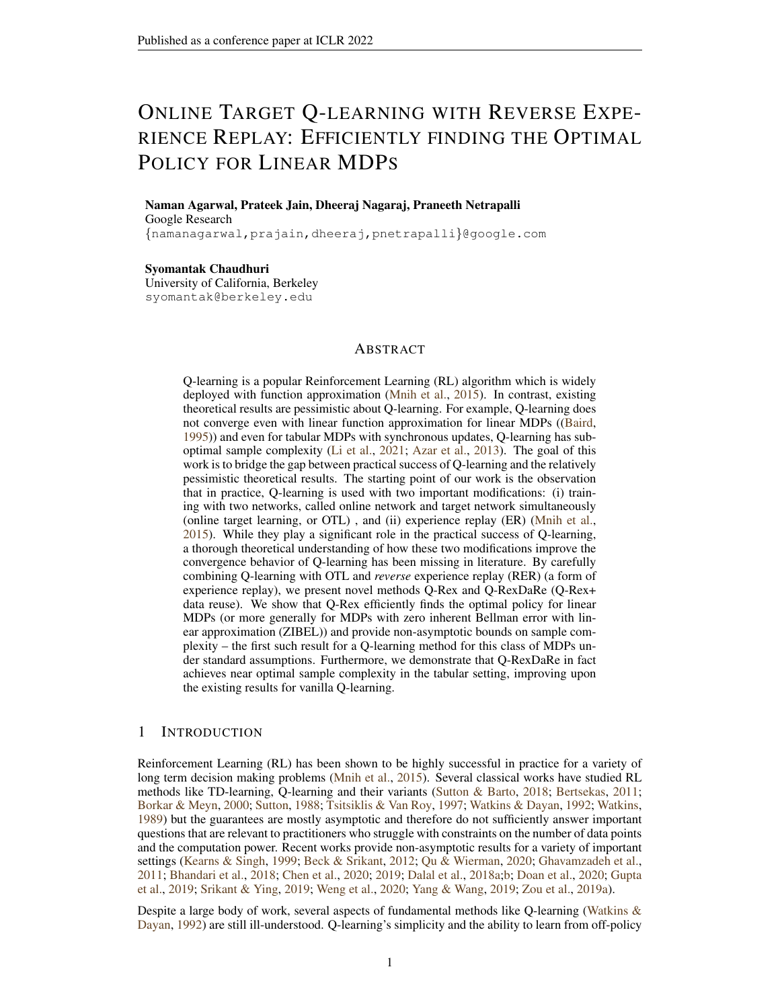

<span id="page-14-1"></span>Figure 2: Mountain Car problem Figure 3: Grid-world problem



<span id="page-14-0"></span>Figure 4: 100 State Random Walk Figure 5: Linear System Problem



<span id="page-14-3"></span>Figure 6: Feature embedding in the modified Baird's counter-example;  $\vec{e_i}$  represents the *i*th canonical basis vector in  $R^7$ . Each transition shown occurs with probability 1.



<span id="page-14-2"></span>



<span id="page-14-5"></span>



<span id="page-14-4"></span>Figure 7: Performance of vanilla Q-learning as compared to OTL+Q-learning, averaged over 10 independent runs

Linear Dynamical System with Linear Rewards We also compare the algorithms on a linear dynamical systems problem. While the problem described next is strictly not a linear MDP, the value functions for certain policies can be written as a linearly in terms of the initial condition; this is made precise next. Consider a linear dynamical system with initial state being  $X_0 \in \mathbb{R}^d$ . The state evolves as  $X_{t+1} = AX_t + \eta_t$ , where  $A \in \mathbb{R}^{d-d}$ . The reward obtained for such transition is given by  $\langle X_t, \theta \rangle$  for a fixed  $\theta \in \mathbb{R}^d$ . The maximum singular value of A is chosen less than 1 to ensure that the system is stable. The infinite horizon  $\gamma$ -discounted expected reward is given by  $\langle X_0, \sum_{i=0}^1 (\gamma A^T)^i \theta \rangle$ . Thus, the expected reward can be written as  $\langle X_0, w \rangle$ , where

$$
w = (I - \gamma A^T)^{-1} \theta.
$$

Since there are no actions in this case, the Q learning algorithms reduce to value function approximation (i.e, TD(0) type algorithms). We take the embedding  $\phi(X_t) = X_t$ , the identity mapping. We considered  $d = 5$ ,  $\gamma = 0.99$ ,  $\eta = 0.01$ , and a randomly generated normal matrix A and  $\theta$ . We Option II for Q-Rex along with  $B = 75$ ,  $u = 25$ , and  $N = 5$  for the experiments. For OTL+ER+Qlearning, we keep the same parameters, but with random order sampling, while ER+Q-learning does not include OTL. The results shown in Figure [5](#page-14-5) are averaged over 100 independent runs of the experiment. Note that the errors considered are using iterate averaging.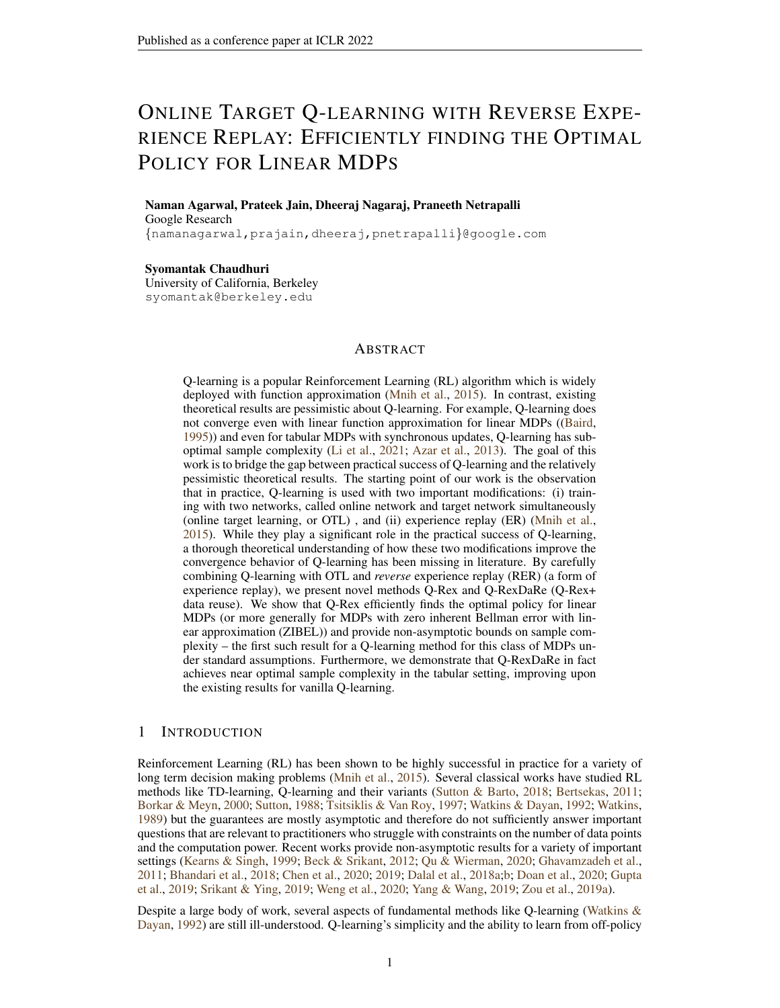As seen from Figure [5,](#page-14-5) Q-Rex outperforms vanilla Q-learning and OTL+ER-based Q-learning as one would expect based on the theory presented in this work. However, it is interesting to note that ER+Q-learning performs slightly better than Q-Rex. One possible reason could be due to the fact that in Q-Rex, the target gets updated at a slower rate at the cost of reducing bias. However, setting a smaller value of  $NB$  might resolve the issue.

#### <span id="page-15-0"></span>B DEFINITIONS AND NOTATIONS

#### B.1 Q-REXDARE

The psuedocode for Q-RexDaRe is given in Algorithm [2.](#page-15-1) Note that we reuse the sample data in every outer-loop iteration instead of drawing fresh samples.

<span id="page-15-1"></span>Algorithm 2 Q-RexDaRe

- 1: **Input:** learning rates  $\eta$ , horizon T, discount factor  $\gamma$ , trajectory  $X_t = \{s_t, a_t, r_t\}$ , number of outer-loops  $K$  buffer size  $B$ , buffer gap  $u$ 2: Total buffer size:  $S \leftarrow B + u$
- 3: Number of buffers loops:  $N \leftarrow T/S$
- 4:  $w_1^{1,1} = 0$  initialization
- 5: for  $k = 1, \ldots, K$  do
- 6: **for**  $j = 1, ..., N$  **do**
- 7: Form buffer Buf  $=\{X_1^{k,j}, \ldots, X_S^{k,j}\}$ , where,

$$
X_i^{k,j} \leftarrow X_{S(j-1)+i}
$$

8: Define for all 
$$
i \in [1, S], \phi_i^{k,j}, \phi(s_i^{k,j}, a_i^{k,j}).
$$

9: **for**  $i = 1, \ldots, B$  **do** 

10: 
$$
w_{i+1}^{k,j} = w_i^{k,j} + \eta \left[ r_{B+1-i}^{k,j} + \gamma \max_{a' \geq A} \langle \phi(s_{B+2-i}^{k,j}, a^0), w_1^{k,1} \rangle - \langle \phi_{B+1-i}^{k,j}, w_i^{k,j} \rangle \right] \phi_{B+1-i}^{k,j}
$$

$$
k, j+1, \ldots, k, j
$$

11:  $w_1^{k,j+1} = w_{B+1}^{k,j}$ <br>
12:  $w_1^{k+1,1} = w_1^{k,N+1}$  $12:$ 

13: **Return**  $w_0^{T+1}$ 

## B.2 EPIQ-REX

The psuedocode for EpiQ-Rex is given in Algorithm [3.](#page-16-0) Note that the buffers here are individual episodes and can vary in size due to inherent randomness. We do not require a gap here since separate episodes are assumed to be independent.

**MDP definition** Here we construct the MDP with a (possibly) random reward  $r$ . We consider non-episodic, i.e. infinite horizon, time homogenous Markov Decision Processes (MDPs) and we denote an MDP by MDP( $S, A, \gamma, P, r$ ) where S denotes the state space, A denotes the action space,  $\gamma$  represents the discount factor,  $P(s^{\hat{0}}|s, a)$  represents the probability of transition to state  $s^{\hat{0}}$  from the state s on action a. We assume for purely technical reasons that S and A are compact subsets of  $\mathbb{R}^n$  for some  $n \in \mathbb{N}$ ). r is a reward process (not to be confused with Markov Reward Processes i.e, MRP) indexed by  $S \times A \times S$ , such that  $r(s, a, s^{\theta}) \in [0, 1]$  almost surely. We will skip the measure theoretic details of the definitions and assume that the sequence of i.i.d. reward processes  $(r_t)_{t\geq0}$  can be jointly defined over a Polish probability space. The function  $R : S \times A \rightarrow [0,1]$ represents the deterministic reward  $R(s, a)$  obtained on taking action a at state s and is defined by  $R(s, a) = \mathbb{E}\left[\mathbb{E}_{s' \ P(js,a)}r(s, a, s^{\theta})\right]$ . Here the expectation is with respect to both the randomness in the reward process and in state  $s^{\theta}$ .

Now, given a trajectory,  $(s_t, a_t)_{t=1}^T$ , which is independent of i.i.d sequence of rewards processes  $(r_t)_{t=1}^T$ . We observe  $(s_t, a_t, r_t(s_t, a_t, s_{t+1}))_{t=1}^T$ , and we will henceforth denote  $r_t(s_t, a_t, s_{t+1})$  by just  $r_t$ .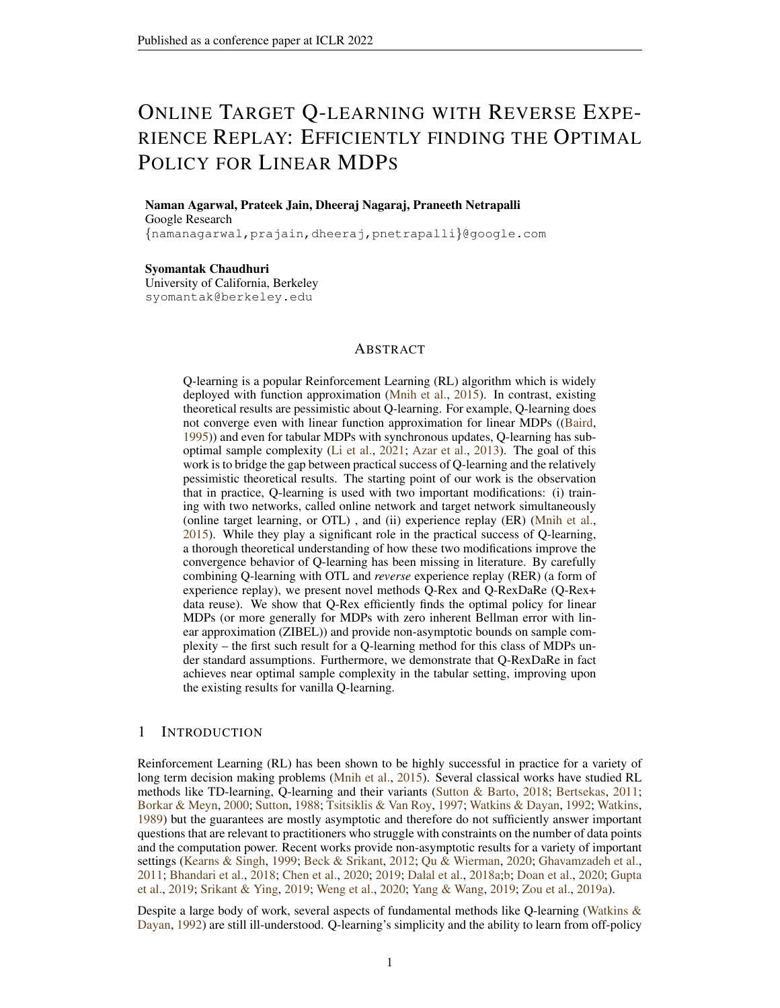#### <span id="page-16-0"></span>Algorithm 3 EpiQ-Rex

1: Input: learning rates  $\eta$ , number of episodes T, discount factor  $\gamma$ , Epsiodes  $E_t$  $\{(\mathbf{s}_1^t, a_1^t, r_1^t), \ldots, (\mathbf{s}_{B_t}^y, a_{B_t}^{t'}, r_{B_t}^t)\}\$ , Number of buffer per outer-loop iteration N. 2: Number of outer loop iterations:  $K \leftarrow T/N$ 3:  $w_1^{1,1} = 0$  initialization 4: for  $k = 1, \ldots, K$  do 5: **for**  $j = 1, ..., N$  **do** 6:  $t \leftarrow (k-1) * N + j$ 7: Collect experience and form buffer Buf =  $\{X_1^t, \ldots, X_{B_t}^t\}$ , where,  $X_i^t = (s_i^t, a_i^t, r_i^t)$ 8: Define for all  $i \in [1, B_t - 1], \phi_i^{k,j}$ ,  $\phi(s_i^{k,j}, a_i^{k,j})$ . 9: **for**  $i = 1, \ldots, B$  **do** 10:  $w_{i+1}^{k,j} = w_i^{k,j} + \eta \left[ r_{B_t}^{k,j} \right]_i + \gamma \max_{a' \geq A} \langle \phi(s_{B_t+1-i}^{k,j}, a^{\theta}), w_1^{k,1} \rangle - \langle \phi_{B_t-i}^{k,j}, w_i^{k,j} \rangle \right] \phi_{B_t-i}^{k,j}$ 11: **Option I:**  $w_1^{k,j+1} = w_{B_t}^{k,j}$ 12: **Option II:** $w_1^{k,j+1} = \frac{1}{B_t - 1} \sum_{i=2}^{B_t} w_i^{k,j}$ 13:  $w_1^{k+1,1} = w_1^{k,N+1}$ 14: **Return**  $w_1^{K,1}$ 

Notation Due to three loop nature of our algorithm it will be convenient to define some simplifying notation. To this end, consider the outer loop with index  $k \in [K]$  and buffer number  $j \in [N]$  inside this outer loop. Further given an  $i \in [S]$  define a time index as  $t_i^{k,j} = NS(k-1) + S(j-1) + i$ . We now denote the  $i$ -th state-action-reward tuple inside this buffer by

$$
(s^{k,j}_i, a^{k,j}_i, r^{k,j}_i) = (s_{t^{k,j}_i}, a_{t^{k,j}_i}, r_{t^{k,j}_i}).
$$

Similarly,  $R_i^{k,j} = R(s_i^{k,j}, a_i^{k,j})$ . For conciseness, we define for all  $i, j, k, \phi_i^{k,j} := \phi(s_i^{k,j}, a_i^{k,j})$ . Since we are processing the data in the reverse order within the buffer, the following notation will be useful for analysis:

$$
s^{k,j}_{\quad \ \ i}:=s^{k,j}_{B+1 \quad \ i}, a^{k,j}_{\quad \ \ i}:=a^{k,j}_{B+1 \quad \ i}, r^{k,j}_{\quad \ \ i}:=r^{k,j}_{B+1 \quad \ i}, R^{k,j}_{\quad \ \ i}:=R^{k,j}_{B+1 \quad \ i} \text{ and } \phi^{k,j}_{\quad \ \ i}:=\phi^{k,j}_{B+1 \quad \ i}.
$$

## <span id="page-16-1"></span>C COUPLED PROCESS

It can be seen that the buffers are approximately i.i.d. whenever we take  $u = O(\tau_{mix} \log \frac{T}{\delta})$  whenever Assumption [3](#page-5-1) is satisfied. For the sake of clarity of analysis, we will consider exactly independent buffers. That is, we assume the algorithms are run with a fictitious trajectory  $(\tilde{s}_t, \tilde{a}_t, \tilde{r}_t)$ , where we assume that the fictitious trajectory is generated such that the first state of every buffer is sampled from the stationary distribution  $\mu$ . We show that we can couple this fictitious process (i.e, define it on a common probability space as the original process  $(s_t, a_t, r_t)$  such that

<span id="page-16-2"></span>
$$
\mathsf{P}\left(\cap_{k=1}^K \cap_{j=1}^N \cap_{i=1}^{B+1} \{(s_i^{k,j}, r_i^{k,j}, a_i^{k,j}) = (\tilde{s}_i^{k,j}, \tilde{r}_i^{k,j}, \tilde{a}_i^{k,j})\}\right) \ge 1 - \delta.
$$
\n(4)

Notice that the equality does not hold within the gaps between the buffer which are of size  $u$  but inside the buffers of size  $B$  only. That is, the sequence of iterates obtained by running the algorithm with the original data  $(s_t, a_t, r_t)$  is the same as the sequence of iterates obtained by running the algorithm with the fictitious coupled data  $(\tilde{s}_t, \tilde{\alpha}_t, \tilde{r}_t)$  with high probability. We state this result formally in Lemma [16](#page-32-0) and prove it in Section [M.1.](#page-32-1) Henceforth, we will assume that we run the algorithm with data  $(\tilde{s}_t, \tilde{a}_t, \tilde{r}_t)$  and refer to Lemma [16](#page-32-0) to carry over the results to the original data set with high probability. We analogously define  $\tilde{\phi}_i^{k,j}$ . We will denote the iterates of the algorithm run with the coupled trajectory as  $\tilde{w}_i^{k,j}$  instead of  $w_i^{k,j}$  and will focus on it entirely. We now provide some definitions based on the above process. These definitions will be used repeatedly in our analysis.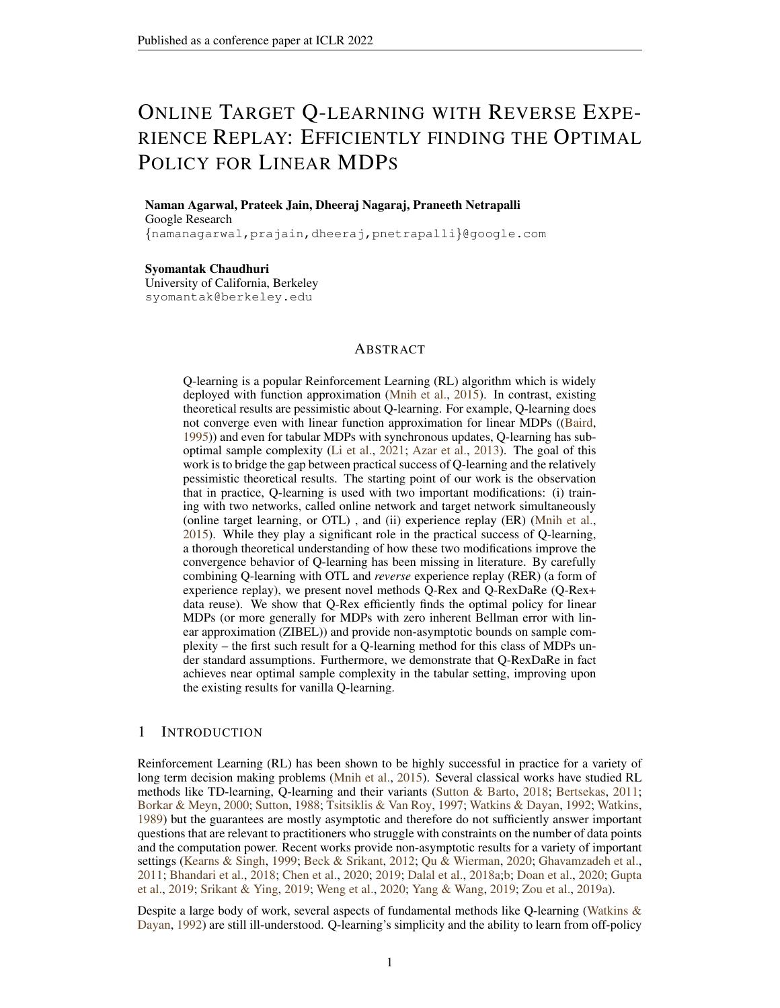## D BASIC STRUCTURAL LEMMAS

We first note some basic structural lemmas regarding ZIBEL MDPs under the assumptions in Section [2.1.](#page-5-2) We refer to Section [M](#page-32-2) for the proofs.

<span id="page-17-3"></span>Lemma 1. *For tabular MDPs satisfying the assumptions in Section [2.1,](#page-5-2) for both Q-Rex and Q-RexDaRe, we have that for every*  $k, j, i$  *we have that*  $\|\tilde{w}_i^{k,j}\|_\phi \leq \frac{1}{1-\gamma}$ 

The lemma above says, in particular, that the Q-value estimate given by our algorithm never exceeds  $\frac{1}{1-\gamma}$  due to 0 initialization. The proof is a straightforward induction argument, which we omit. We will henceforth use Lemma [1](#page-17-3) without explicitly mentioning it.

<span id="page-17-2"></span>**Lemma 2.** *Suppose*  $Q_w(s, a) := \langle w, \phi(s, a) \rangle$  *and let*  $Q(s, a) = \langle w, \phi(s, a) \rangle$  *be the optimal*  $Q$ *function. Then:*

$$
\sup_{(s,a)\geq S} |Q_w(s,a) - Q(s,a)| = ||w - w||_{\phi}
$$

*Moreover, we must have:*  $||x|| \ge ||x||_{\phi} \ge \frac{kx}{\overline{\kappa}}$  *for any*  $x \in \mathbb{R}^d$ .

<span id="page-17-0"></span>**Lemma 3.** For any  $w_0 \in \mathbb{R}^d$ , there exists a unique  $w_1 \in \mathbb{R}^d$  such that

$$
\langle w_1, \phi(s, a) \rangle = R(s, a) + \gamma \mathbb{E}_{s'} \left[ P(s, a) \sup_{a' \geq A} \langle \phi(s^{\theta}, a^{\theta}), w_0 \rangle \right].
$$

*We will denote this mapping*  $w_0 \rightarrow w_1$  *by*  $w_1 = \mathcal{T}(w_0)$ *.* 

<span id="page-17-1"></span>**Lemma 4.**  $\mathcal{T}: \mathbb{R}^d \to \mathbb{R}^d$  *is*  $\gamma$  *contractive in the norm*  $\|\cdot\|_{\phi}$ *. The unique fixed point of*  $\mathcal{T}$  *is*  $w$  *. Moreover, we have:*  $\|w\|_{\phi} \leq \frac{1}{1-\gamma}$  *and*  $\|w\| \leq \frac{1}{1-\gamma}$  $\frac{\kappa}{1-\gamma}$ .

In view of Lemma [4,](#page-17-1) we can begin to look at the following *noiseless Q*-iteration. Let  $\bar{w}^1 = w_1^{1,1} = 0$ and  $\bar{w}^{k+1} = \mathcal{T}(\bar{w}^k)$ . This converges geometrically to w with contraction coefficient  $\gamma$  under the norm  $\|\cdot\|_{\phi}$ . In our case, however, we only have sample access to the operator T. Therefore, our Q-iteration at the end of k-th outer loop can be written as  $\tilde{w}_1^{k+1,1} = \mathcal{T}(\tilde{w}_1^{k,1}) + \tilde{\epsilon}_k$  where  $\tilde{\epsilon}_k$  is the error introduced via sampling which needs to be controlled.

## E BIAS VARIANCE DECOMPOSITION

We begin our analysis by providing a bias-variance decomposition of the error with respect to the noiseless Q-iteration at every loop. We will need the following definitions which we use repeatedly through our analysis.

<span id="page-17-4"></span>Given step size  $\eta$ , outer loop index k and buffer index j, we define the following contraction matrices for  $a, b \in [B]$ .

$$
\tilde{H}_{a,b}^{k,j} := \prod_{i=a}^{b} \left( I - \eta \tilde{\phi}_i^{k,j} [\tilde{\phi}_i^{k,j}]^> \right). \tag{5}
$$

Whenever  $a > b$ , we will define  $\tilde{H}_{a,b}^{k,j} := I$ . In the tabular setting, we define for any  $(s, a) \in S \times A$ by  $\tilde{N}^k(s, a)$  to be the number of samples of  $(s, a)$  seen in the outer loop k (excluding the gaps),i.e.

$$
\tilde{N}^{k}(s, a) = \sum_{j=1}^{N} \sum_{i=1}^{B} \mathbb{1}((\tilde{s}_{i}^{k, j}, \tilde{a}_{i}^{k, j}) = (s, a))
$$

Further we denote by  $\tilde{N}_i^{k,j}(s, a)$ , the number of samples of  $(s, a)$  seen in the outer loop k in the buffers post the buffer j as well as the number of samples of  $(s, a)$  in buffer j before iteration i. Formally,

$$
\tilde{N}_i^{k,j}(s,a) := \sum_{r=1}^{i-1} \mathbb{1}\left( (\tilde{s}_r^{k,j}, \tilde{a}_r^{k,j}) = (s,a) \right) + \sum_{l=j+1}^{N} \sum_{r=1}^{B} \mathbb{1}\left( (\tilde{s}_r^{k,l}, \tilde{a}_r^{k,l}) = (s,a) \right) .
$$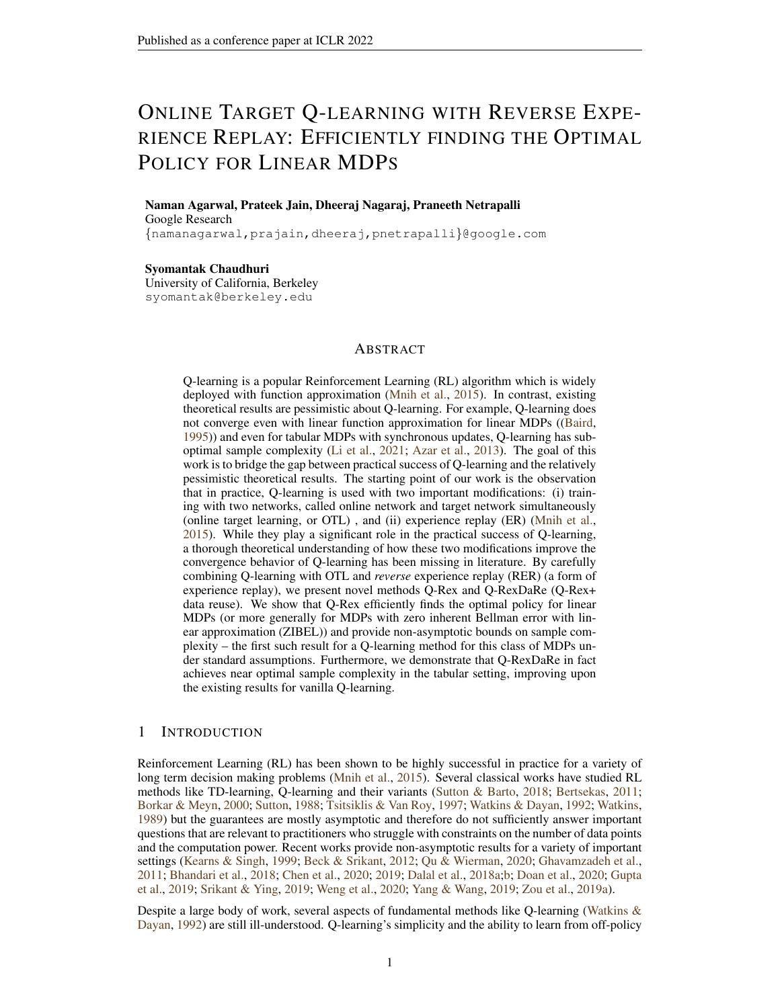We define the *error* term for any w:

$$
\tilde{\epsilon}_i^{k,j}(w) := \left[ \tilde{r}_i^{k,j} - \tilde{R}_i^{k,j} + \gamma \sup_{a' \geq A} \langle w, \phi(\tilde{s}_{i+1}^{k,j}, a^{\theta}) \rangle - \gamma \mathbb{E}_{s'} \left[ P(j \tilde{s}_i^{k,j}, \tilde{a}_i^{k,j}) \sup_{a' \geq A} \langle \phi(s^{\theta}, a^{\theta}), w \rangle \right] .
$$
 (6)

Finally we define the following shorthands for any  $i, j, k$ :

<span id="page-18-5"></span>
$$
\tilde{w}^{k+1,\vphantom{t}}:=\mathcal{T}(\tilde{w}_1^{k,1})\qquad \tilde{\epsilon}_i^{k,j}:=\tilde{\epsilon}_i^{k,j}(\tilde{w}_1^{k,1})\qquad \tilde{L}^{k,j}:=\eta\sum_{i=1}^B\tilde{\epsilon}_i^{k,j}\tilde{H}_{1,i-1}^{k,j}\tilde{\phi}_i^{k,j}\,.
$$

Given the above definition, the following the lemma provides the Bias-Variance decomposition which is the core of our analysis.

<span id="page-18-0"></span>Lemma 5 (Bias-Variance Decomposition). *For every* k*, we have that,*

<span id="page-18-1"></span>
$$
\tilde{\epsilon}_k := \tilde{w}_1^{k+1,1} - \tilde{w}^{k+1,1} = \prod_{j=N}^1 \tilde{H}_{1,B}^{k,j} (\tilde{w}_1^{k,1} - \tilde{w}^{k+1,1}) + \sum_{j=1}^N \prod_{l=N}^{j+1} \tilde{H}_{1,B}^{k,l} \tilde{L}^{k,j}
$$
(7)

Here and later on in the paper, we use the reverse order in the product to highlight the convention that higher indices l in  $\tilde{H}_{1,B}^{k,l}$  appear towards the left side of the product and further define  $\prod_{l=N}^{N+1}\tilde{H}_{1,B}^{k,l}=$ I. We call the first term in Equation  $(7)$  as the bias term and it decays geometrically with N and the second term is called the variance, which has zero mean. We will bound these terms separately. Since tabular setting allows for improved analysis of error, we will provide special cases for the tabular setting with refined bounds. We refer to Section [M.5](#page-33-0) for the proof of Lemma [5.](#page-18-0)

## F BOUNDING THE BIAS TERM

#### F.1 TABULAR CASE

In the tabular case, we have the following expression for bias. We omit the proof since it follows from a simple calculation.

<span id="page-18-2"></span>Lemma 6. *In the tabular setting, we have:*

$$
\langle \phi(s,a), \prod_{j=N}^1 \tilde{H}^{k,j}_{1,B}(\tilde{w}^{k,1}_1 - \tilde{w}^{k+1,1}) \rangle = (1-\eta)^{\tilde{N}^k(s,a)} \langle \tilde{w}^{k,1}_1 - \tilde{w}^{k+1,1}, \phi(s,a) \rangle
$$

For a particular outer loop k, we show that  $\tilde{N}^k(s, a)$  is  $\Omega(\mu_{\min} NB)$  with high probability whenever  $NB$  is large enough. For this we use [\(Paulin,](#page-12-19) [2015,](#page-12-19) Theorem 3.4) similar to the proof of [\(Li et al.,](#page-11-6) [2020b,](#page-11-6) Lemma 8). We give the proof in Section [M.6.](#page-33-1)

<span id="page-18-3"></span>**Lemma 7.** *There exists a constant C such that whenever*  $B \ge \tau_{\text{mix}}$  *and*  $NB \ge C \frac{\tau_{\text{mix}}}{\mu_{\text{min}}} \log(\frac{fS(j/A)}{\delta})$ , *with probability at least*  $1 - \delta$ *, we have that for every*  $(s, a) \in S \times A$ *:* 

$$
\tilde{N}^k(s, a) \ge \frac{1}{2}\mu(s, a)NB \ge \frac{1}{2}\mu_{\min} NB
$$

#### F.2 ZIBEL MDP CASE

<span id="page-18-4"></span>**Lemma 8.** Suppose  $g \in \mathbb{R}^d$  is fixed and  $\eta B < \frac{1}{4}$ . Then, the following hold:

*1.*

$$
\mathbb{E} \|\prod_{j=N}^{1} \tilde{H}_{1,B}^{k,j} g\|^2 \le \exp\left(-\frac{\eta NB}{\kappa}\right) \|g\|^2 \tag{8}
$$

*2. With probability at-least*  $1 - \delta$ *, we have:* 

$$
\mathbb{E} \|\prod_{j=N}^{1} \tilde{H}_{1,B}^{k,j} g\|_{\phi} \le \exp\left(-\frac{\eta NB}{\kappa}\right) \sqrt{\frac{\kappa}{\delta}} \|g\|_{\phi}
$$

We refer to Section [L.1](#page-28-0) for the proof.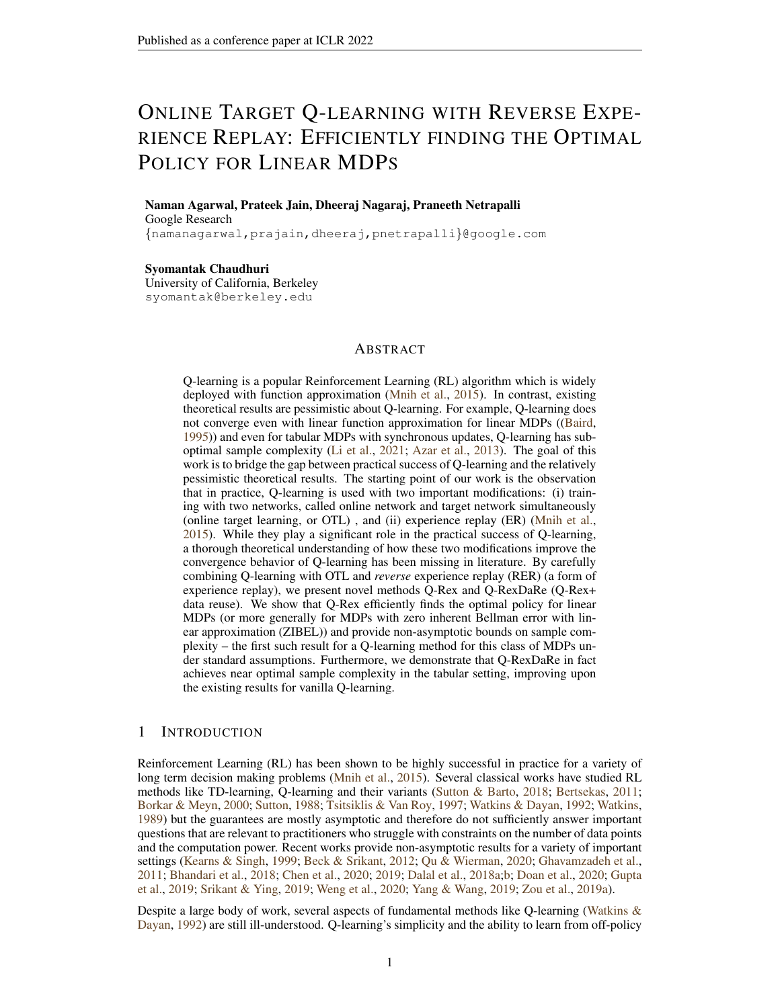# G BOUNDING THE VARIANCE TERM

#### G.1 TABULAR CASE

In the tabular case, it is clear that:

<span id="page-19-2"></span>
$$
\langle \phi(s, a), \sum_{j=1}^{N} \prod_{l=N}^{j+1} \tilde{H}_{1, B}^{k, l} \tilde{L}^{k, j} \rangle = \sum_{j=1}^{N} \sum_{i=1}^{B} (1 - \eta)^{\tilde{N}_{i}^{k, j}(s, a)} \eta \tilde{\epsilon}_{i}^{k, j} \mathbb{1}((\tilde{s}_{i}^{k, j}, \tilde{a}_{i}^{k, j}) = (s, a)) \tag{9}
$$

Now, we note that  $\tilde{N}_i^{k,j}(s, a)$  depends on data in buffers  $l > j$  and when  $i_1 < i$  inside buffer j. Following the discussion in [\(Li et al.,](#page-11-1) [2021\)](#page-11-1), we define the vector  $\text{Var}_P(V_k)$ ,  $\text{Var}_P(V) \in \mathbb{R}^{S-A}$ such that

$$
\text{Var}_P(V_k)(s, a) = \mathbb{E}_{s'} \left[ \sup_{a' \geq A} \langle \phi(s^{\theta}, a^{\theta}), \tilde{w}_1^{k, 1} \rangle - \mathbb{E}_{s'} \right]_{P(js, a)} \sup_{a' \geq A} \langle \phi(s^{\theta}, a^{\theta}), \tilde{w}_1^{k, 1} \rangle \right]^2 \tag{10}
$$

$$
\text{Var}_P(V)(s, a) = \mathbb{E}_{s'} \left[ \sup_{a' \geq A} \langle \phi(s^{\theta}, a^{\theta}), w \rangle - \mathbb{E}_{s'} \left[ \sup_{a' \geq A} \langle \phi(s^{\theta}, a^{\theta}), w \rangle \right]^2 \right] \tag{11}
$$

More generally, we define

$$
\text{Var}_P(V)(s, a; w) = \mathbb{E}_{s'}\left[P(s, a)\left[\sup_{a'\geq A}\langle\phi(s^{\text{0}}, a^{\text{0}}), w\rangle - \mathbb{E}_{s'}\right]P(s, a)\sup_{a'\geq A}\langle\phi(s^{\text{0}}, a^{\text{0}}), w\rangle\right]^2
$$

Similarly, we define  $\tilde{L}^{k,j}(w)$  by replacing  $w_1^{k,1}$  with any fixed, arbitrary w. It is easy to see that:

$$
\mathbb{E}\left[|\tilde{\epsilon}_i^{k,j}(w)|^2 \middle| (\tilde{s}_i^{k,j}, \tilde{a}_i^{k,j}) = (s,a)\right] \le 2(1+\gamma^2 \text{Var}_P(V)(s,a;w))\tag{12}
$$

<span id="page-19-1"></span>**Lemma 9.** In the tabular setting, suppose w is a fixed vector such that  $\langle w, \phi(s, a) \rangle \in [0, \frac{1}{1-\gamma}]$  for *every*  $(s, a) \in S \times A$ *. Fix*  $(s, a) \in S \times A$ *. Then there exists a universal constant* C *such that with probability atleast*  $1 - \delta$ *, we have that:* 

*Then,*

$$
\left|\langle \phi(s,a), \sum_{j=1}^N \prod_{l=N}^{j+1} \tilde{H}^{k,l}_{1,B} \tilde{L}^{k,j}(w) \rangle \right| \leq C \sqrt{\eta \log(2/\delta) (1+\gamma^2 \text{Var}_P(V)(s,a;w))} + C \frac{\eta \log(2/\delta)}{1-\gamma}
$$

## G.2 ZIBEL MDP CASE

We will use an appropriate exponential super-martingale to bound the error term in the ZIBEL MDP case just like in the proof of [\(Jain et al.,](#page-11-5) [2021b,](#page-11-5) Lemma 27). The following thereom summarizes the result and we refer to Section [L.3](#page-29-0) for its proof.

<span id="page-19-0"></span>**Theorem 4.** Suppose  $x, w \in \mathbb{R}^d$  are fixed. Then, there exists a universal constant C such that with *probability at least*  $1 - \delta$ *, we have:* 

<span id="page-19-3"></span>
$$
\left| \langle x, \sum_{j=1}^{N} \prod_{l=N}^{j+1} \tilde{H}^{k,l}_{1,B} \tilde{L}^{k,j}(w) \rangle \right| \leq C \|x\| \left( 1 + \|w\|_{\phi} \right) \sqrt{\eta \log(2/\delta)} \,. \tag{13}
$$

By a direct application of [\(Vershynin,](#page-12-20) [2018,](#page-12-20) Theorem 8.1.6), we derive the following corollary. We remind the reader that  $C_{\Phi}$  is the covering number defined in Definition [3.](#page-5-3)

**Corollary 1.** Suppose  $x, w \in \mathbb{R}^d$  are fixed. Then, there exists a universal constant C such that with *probability at least*  $1 - \delta$ *, we have:* 

$$
\bigg\|\sum_{j=1}^N\prod_{l=N}^{j+1}\tilde{H}^{k,l}_{1,B}\tilde{L}^{k,j}(w)\bigg\|_\phi\leq C(1+\|w\|_\phi)\sqrt{\eta}\left[C_\Phi+\sqrt{\log(\frac{2}{\delta})}\right].
$$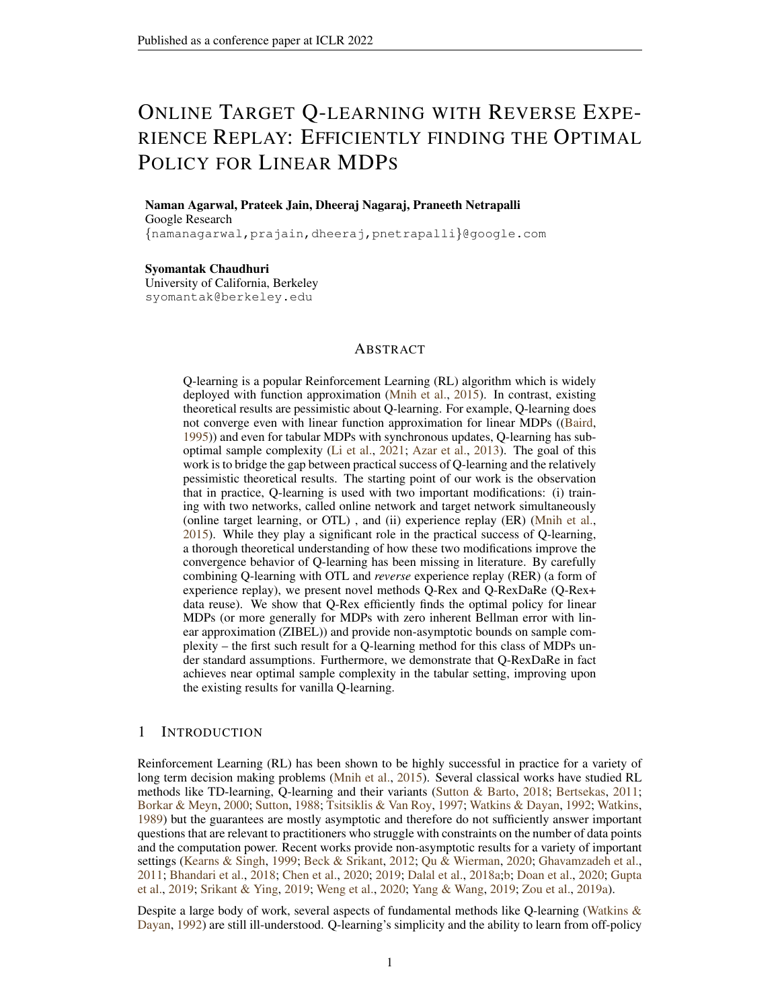In order to apply the theorem above, we will need to control  $||w_1^{k,1}||_{\phi}$  uniformly for all k. The following lemma presents such a bound and we refer to Section [L.4](#page-31-0) for the proof.

<span id="page-20-0"></span>**Lemma 10.** Suppose  $\tilde{w}_1^{k,1}$  are the iterates of Q-Rex with coupled data from a ZIBEL MDP. *There exist universal constants*  $C, C_1, C_2$  *such that whenever*  $NB > C_1 \frac{\kappa}{\eta} \log \left( \frac{K \kappa}{\delta(1-\gamma)} \right)$ ,  $\eta <$  $C_2 \frac{(1-\gamma)^2}{C^2 + \log(K)}$  $\frac{(1-\gamma)^2}{C_{\phi}^2 + \log(K/\delta)}$  and  $\eta B < \frac{1}{4}$ , with probability at-least  $1-\delta$ , the following hold:

- *1. For every*  $1 \leq k \leq K$ ,  $\|\tilde{w}_1^{k,1}\|_{\phi} \leq \frac{4}{1-\gamma}$
- 2. For every  $1 \leq k \leq K$ ,  $\|\tilde{\epsilon}_k\|_{\phi} \leq \sqrt{\frac{25K\kappa}{\delta(1-\gamma)^2}} \exp(-\frac{\eta NB}{\kappa}) + \frac{C^D \overline{\eta}}{(1-\gamma)^2}$  $\frac{C^D \overline{\eta}}{(1-\gamma)} \left[ C_{\Phi} + \sqrt{\log(\frac{2K}{\delta})} \right]$

## H PROOF OF THEOREM [1](#page-7-2)

*Proof.* Consider the Q learning iteration:

$$
\tilde{w}_1^{k+1,1} = \mathcal{T}(\tilde{w}_1^{k,1}) + \tilde{\epsilon}_k.
$$

Using Lemma [4,](#page-17-1) we conclude:  $\tilde{w}_1^{k+1,1} - w = \mathcal{T}(\tilde{w}_1^{k,1}) - \mathcal{T}(w_1) + \epsilon_k$  and thence:  $\|\tilde{w}_1^{k+1,1} - w\|_{\phi} \leq \gamma \|\tilde{w}_1^{k,1} - w\|_{\phi} + \sup_{l} \|\epsilon_l\|_{\phi}.$ 

Unrolling the recursion above, we conclude:

$$
\|\tilde{w}_1^{K+1,1} - w\|_{\phi} \le \gamma^{K} \|w\|_{\phi} + \frac{\sup_{l} k \|\epsilon_l\|_{\phi}}{1 - \gamma}
$$

Now, we invoke item 2 of Lemma [10](#page-20-0) along with the constraints on  $N, B, K, \eta$  and Lemma [2](#page-17-2) to conclude the result.

 $\Box$ 

# I PROOF OF THEOREM [2](#page-7-1)

In this section we analyze the output of Q-Rex in the tabular setting and obtain convergence guarantees. To connect with the standard theory for tabular MDP Q-learning in [\(Li et al.,](#page-11-1) [2021\)](#page-11-1), let us use the standard Q-function notation where we assume for all k,  $\tilde{Q}_1^{k,1} \in \mathbb{R}^S$  A and we have that  $\tilde{Q}_1^{k,1}(s,a) = \langle \tilde{w}_1^{k,1}, \phi(s,a) \rangle$ . Since  $\phi(s,a)$  are the standard basis vectors, we must have  $\tilde{Q}_1^{k,1} = \tilde{w}_1^{k,1}$ . In the tabular setting, we see by using Lemmas [5,](#page-18-0) [6,](#page-18-2) [7,](#page-18-3) and [9](#page-19-1) that for any  $\delta > 0$ , there exists a universal constant C, whenever  $NB \geq C \frac{\tau_{\text{mix}}}{\mu_{\text{min}}} \log(\frac{jSJ/A/K}{\delta})$ , with probability at-least  $1 - \delta$ , for every  $k \in [K]$  and every  $(s, a) \in S \times \mathcal{A}$ :

$$
\tilde{Q}_1^{k+1,1} = \mathcal{T}\left[\tilde{Q}_1^{k,1}\right] + \tilde{\epsilon}_k, \qquad (14)
$$

<span id="page-20-1"></span> $V$ icuai

<span id="page-20-2"></span>where  $\tilde{\epsilon}_k \in \mathbb{R}^{S-A}$  is such that for all  $(s, a)$ ,

$$
|\tilde{\epsilon}_k(s,a)| \le C \sqrt{\eta \log \left(\frac{KjSj|Aj}{\delta}\right) \left(1 + \gamma^2 \text{Var}_P(V)(s,a;\tilde{Q}_1^{k,1})\right)} + C \frac{\eta \log(\frac{KjSj|Aj}{\delta})}{1 - \gamma} + (1 - \eta)^{\frac{\mu_{\min} NB}{2}} \left\| \tilde{Q}_1^{k,1} - \mathcal{T} \left[\tilde{Q}_1^{k,1}\right] \right\|_{\gamma}.
$$
\n(15)

Now that we have set-up the notation, we will roughly follow the analysis methods used in [\(Li et al.,](#page-11-1) [2021\)](#page-11-1). Since we start our algorithm with  $\tilde{Q}_1^{1,1} = 0$ , and  $r_t \in [0,1]$  almost surely, we can easily show that  $\tilde{Q}_1^{k,1}(s, a) \in [0, \frac{1}{1-\gamma}]$  for every  $k, s, a$ . Therefore, we upper bound  $\Big\|$  $\tilde{Q}_1^{k,1}\hspace{-0.5mm}-\hspace{-0.5mm}\mathcal{T}\left[\tilde{Q}_1^{k,1}\right]\hspace{-0.5mm}\bigg\|_{\hspace{-0.8mm}\mathcal{T}}$  $\leq \frac{1}{1-\gamma}$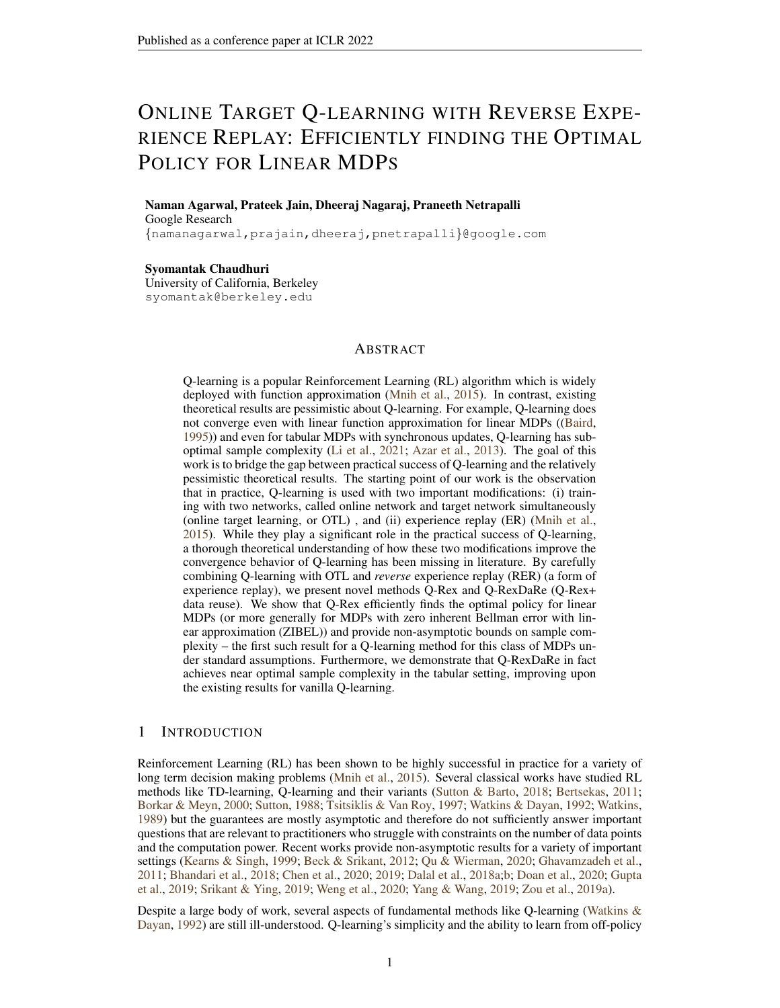in Equation [\(15\)](#page-20-1) to conclude that with probability at-least  $1 - \delta$ , for every  $k \in [K]$  and every  $(s, a) \in \mathcal{S} \times \mathcal{A}$ :

$$
|\tilde{\epsilon}_k(s,a)| \le C\sqrt{\eta \log(\frac{K/Sj|A_j}{\delta})\gamma^2 \left[\text{Var}_P(V_k)(s,a)\right]} + \alpha_{\eta}
$$
\n(16)

Where 
$$
\alpha_{\eta} := C \frac{\eta \log \left( \frac{K/Sj/Aj}{\delta} \right)}{1 - \gamma} + C \sqrt{\eta \log \left( \frac{K/Sj/Aj}{\delta} \right)} + \frac{\exp \left( \frac{\eta \mu_{\min} NB}{2} \right)}{1 - \gamma}
$$

Now we define  $\Delta_k = \tilde{Q}_1^{k,1} - Q$  and  $\pi_k : S \to A$  to be the deterministic policy given by  $Q_1^{k,1}$  i.e,  $\pi_k(s) := \arg \sup_{a \ge A} \tilde{Q}_1^{k,1}(s,a)$  and  $\pi$  to be optimal policy given by  $\pi(s) :=$ arg sup<sub>a2A</sub> Q (s, a). We use the convention that we pick a single maximizing action using some rule whenever there are multiple. Similarly, we let  $P^{\pi_k}$ , to be the Markov transition kernel over  $S \times A$  given by  $P^{\pi_k}((s, a), (s^{\theta}, a^{\theta})) = P(s^{\theta}|s, a) \mathbb{1}(a^{\theta} = \pi_k(s^{\theta}))$ . Similarly, we define  $P^{\pi^*}$  with respect to the policy  $\pi$ . It is easy to show that:

<span id="page-21-1"></span>
$$
\mathcal{T}(\tilde{Q}_1^{k,1}) = R + \gamma P^{\pi_k} \tilde{Q}_1^{k,1}.
$$

Similarly,

$$
Q = \mathcal{T}(Q) = R + \gamma P^{\pi^*} Q .
$$

Furthermore given any  $Q \in \mathbb{R}^{S-A}$ , letting  $\pi_Q$  being the greedy policy with respect to the function  $Q$ we have that for any policy  $\pi$ , it can be easily seen from the definitions that following element-wise inequality follows:

<span id="page-21-0"></span>
$$
P^{\pi}Q \le P^{\pi_Q}Q.
$$

We now use Equation  $(14)$  along with the equations above to conclude:

$$
\gamma P^{\pi^*} \Delta_k + \tilde{\epsilon}_k \le \Delta_{k+1} \le \gamma P^{\pi_k} \Delta_k + \tilde{\epsilon}_k. \tag{17}
$$

Here, the inequality is assumed to be point-wise. By properties of Markov transition kernels, we can write:

$$
\sum_{k=1}^{K} \gamma^{K-k} \left( P^{\pi^*} \right)^{K-k} \tilde{\epsilon}_k + \gamma^K \left( P^{\pi^*} \right)^K \Delta_1 \leq \Delta_{K+1}
$$
\n
$$
\leq \sum_{k=1}^{K} \gamma^{K-k} \left( \prod_{l=K}^{k+1} P^{\pi_l} \right) \tilde{\epsilon}_k + \gamma^K \left( \prod_{l=K}^{1} P^{\pi_l} \right) \Delta_1. \quad (18)
$$

Here, we use the convention that  $\prod_{l=K}^{K+1} P^{\pi_l} = I$ . We bound the lower bound and the upper bound given in Equation [\(18\)](#page-21-0) separately in order to bound  $\|\Delta_{K+1}\|_1$ .

We first consider the lower bound. Using [\(Azar et al.,](#page-10-1) [2013,](#page-10-1) Lemma 7), we have:

<span id="page-21-3"></span><span id="page-21-2"></span>
$$
\left\| \left(I - \gamma P^{\pi^*}\right)^{-1} \sqrt{\text{Var}_P(V)} \right\|_{\mathcal{I}} \le \sqrt{\frac{2}{(1-\gamma)^3}}.
$$
 (19)

We also note from [\(Li et al.,](#page-11-1) [2021,](#page-11-1) Equation 64) and basic calculations that:

$$
\|\sqrt{\text{Var}_P(V_k)} - \sqrt{\text{Var}_P(V)}\|_{\mathcal{I}} \le \sqrt{\|\text{Var}_P(V_k) - \text{Var}_P(V)\|_{\mathcal{I}}}
$$
  

$$
\le \sqrt{\frac{4}{1-\gamma} \|\Delta_k\|_{\mathcal{I}}}.
$$
 (20)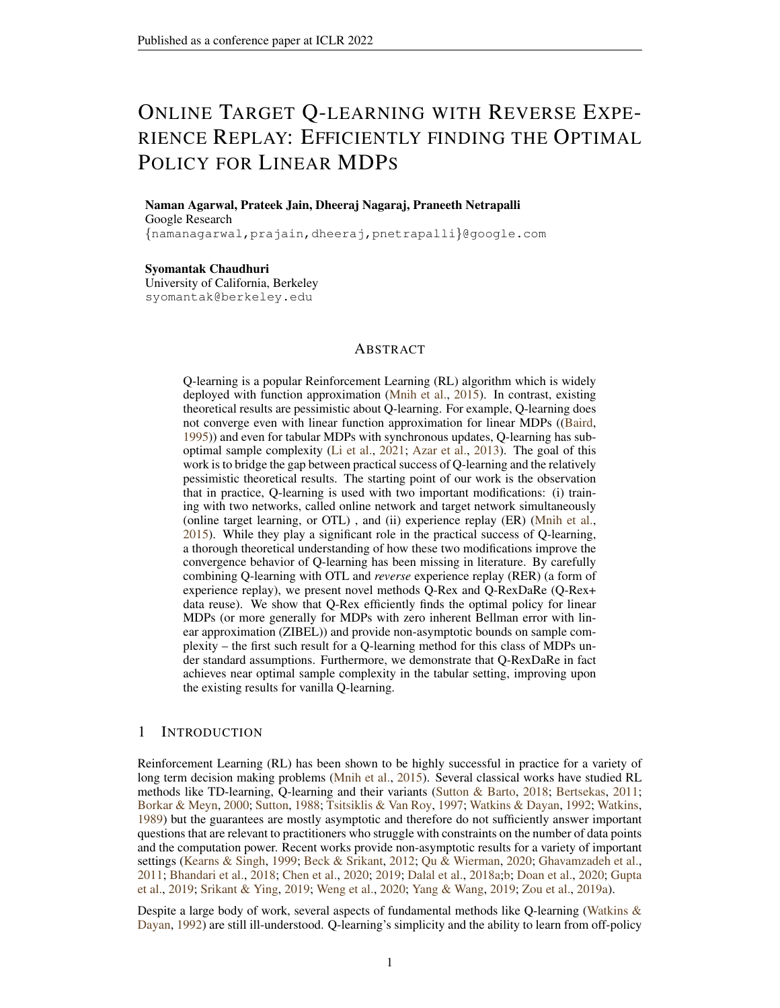Using Equations [\(15\)](#page-20-1) [\(16\)](#page-21-1), we conclude that there exist universal constants  $C, C<sub>1</sub>$  such that with probability at least  $1 - \delta$  (interpreting the inequalities as element-wise):

$$
\Delta_{K+1} \ge -\frac{\alpha_{\eta} + \gamma^{K}}{1 - \gamma} - C\sqrt{\eta \gamma^{2} \log\left(\frac{K}{\delta}\right)} \sum_{k=1}^{K} \gamma^{K-k} \left(P^{\pi^{*}}\right)^{K-k} \sqrt{\text{Var}_{P}(V_{k})}
$$
\n
$$
\ge -\frac{\alpha_{\eta} + \gamma^{K}}{1 - \gamma} - C\sqrt{\eta \gamma^{2} \log\left(\frac{K}{\delta}\right)} \sum_{k=1}^{K} \gamma^{K-k} \left(P^{\pi^{*}}\right)^{K-k} \sqrt{\text{Var}_{P}(V)} - C_{1} \sqrt{\frac{1}{1 - \gamma}} \sqrt{\eta \gamma^{2} \log\left(\frac{K}{\delta}\right)} \sum_{k=1}^{K} \gamma^{K-k} \sqrt{\|\Delta_{k}\|_{\mathcal{T}}}
$$
\n
$$
\ge -\frac{\alpha_{\eta} + \gamma^{K}}{1 - \gamma} - C\sqrt{\eta \gamma^{2} \log\left(\frac{K}{\delta}\right)} \sum_{k=1}^{K} \gamma^{K-k} \sqrt{\|\Delta_{k}\|_{\mathcal{T}}}
$$
\n
$$
-C_{1} \sqrt{\frac{1}{1 - \gamma}} \sqrt{\eta \gamma^{2} \log\left(\frac{K}{\delta}\right)} \sum_{k=1}^{K} \gamma^{K-k} \sqrt{\|\Delta_{k}\|_{\mathcal{T}}}
$$
\n
$$
\ge -\frac{\alpha_{\eta} + \gamma^{K}}{1 - \gamma} - C\sqrt{\frac{\eta \gamma^{2}}{(1 - \gamma)^{3}} \log\left(\frac{K}{\delta}\right)} \sum_{k=1}^{K} \gamma^{K-k} \sqrt{\|\Delta_{k}\|_{\mathcal{T}}}
$$
\n
$$
-C_{1} \sqrt{\frac{1}{1 - \gamma}} \sqrt{\eta \gamma^{2} \log\left(\frac{K}{\delta}\right)} \sum_{k=1}^{K} \gamma^{K-k} \sqrt{\|\Delta_{k}\|_{\mathcal{T}}}. \tag{21}
$$

<span id="page-22-1"></span>In the above chain, the first inequality follows from Equations [\(16\)](#page-21-1) [\(18\)](#page-21-0), the second inequality from Equation [\(20\)](#page-21-2) and the fourth inequality from Equation [\(19\)](#page-21-3). For the upper bound consider the following set of equations interpreting them element-wise which hold for a universal constant C and with probability at least  $1 - \delta$ .

$$
\Delta_{K+1} \leq \sum_{k=1}^{K} \gamma^{K-k} \left( \prod_{l=K}^{k+1} P^{\pi_l} \right) \tilde{\epsilon}_{k} + \gamma^{K} \left( \prod_{l=K}^{1} P^{\pi_l} \right) \Delta_{1}
$$
\n
$$
\leq \frac{\alpha_{\eta} + \gamma^{K}}{1 - \gamma} + C \sqrt{\eta \gamma^{2} \log \left( \frac{K|S||A|}{\delta} \right)} \sum_{k=1}^{K} \gamma^{K-k} \left( \prod_{l=K}^{k+1} P^{\pi_l} \right) \sqrt{\text{Var}_{P}(V_k)}
$$
\n
$$
\leq \frac{\alpha_{\eta} + \gamma^{K}}{1 - \gamma} + C \sqrt{\eta \gamma^{2} \log \left( \frac{K|S||A|}{\delta} \right)} \sum_{k=1}^{K} \gamma^{K-k} \sqrt{\left( \prod_{l=K}^{k+1} P^{\pi_l} \right) \text{Var}_{P}(V_k)}
$$
\n
$$
= \frac{\alpha_{\eta} + \gamma^{K}}{1 - \gamma} + C \sqrt{\eta \gamma^{2} \log \left( \frac{K|S||A|}{\delta} \right)} \sum_{k=1}^{K} \gamma^{K-k} \frac{k}{2} \sqrt{\left( \prod_{l=K}^{k+1} P^{\pi_l} \right) \text{Var}_{P}(V_k)}
$$
\n
$$
\leq \frac{\alpha_{\eta} + \gamma^{K}}{1 - \gamma} + C \sqrt{\eta \gamma^{2} \log \left( \frac{K|S||A|}{\delta} \right)} \sqrt{\sum_{k=1}^{K} \gamma^{K-k}} \sqrt{\sum_{k=1}^{K} \gamma^{K-k} \left( \prod_{l=K}^{k+1} P^{\pi_l} \right) \text{Var}_{P}(V_k)}
$$
\n
$$
\leq \frac{\alpha_{\eta} + \gamma^{K}}{1 - \gamma} + C \sqrt{\frac{\eta \gamma^{2}}{1 - \gamma} \log \left( \frac{K|S||A|}{\delta} \right)} \sqrt{\sum_{k=1}^{K} \gamma^{K-k} \left( \prod_{l=K}^{k+1} P^{\pi_l} \right) \text{Var}_{P}(V_k)}
$$
\n
$$
\leq \frac{\alpha_{\eta} + \gamma^{K}}{1 - \gamma} + C \sqrt{\frac{\eta \gamma^{2}}{1 - \gamma} \log \left( \frac{K|S||A
$$

<span id="page-22-0"></span>In the above chain, the first inequality follows from Equation [\(18\)](#page-21-0), the second inequality follows from Equation [\(16\)](#page-21-1), the third inequality follows from Jensen's inequality and noting that  $P^{\pi}$  is a Markov operator, the fourth inequality via Cauchy-Schwartz and the last inequality by noting that that  $\|\mathsf{Var}_P (V_k)\|_{1} \leq 1/(1 - \gamma)^2$ .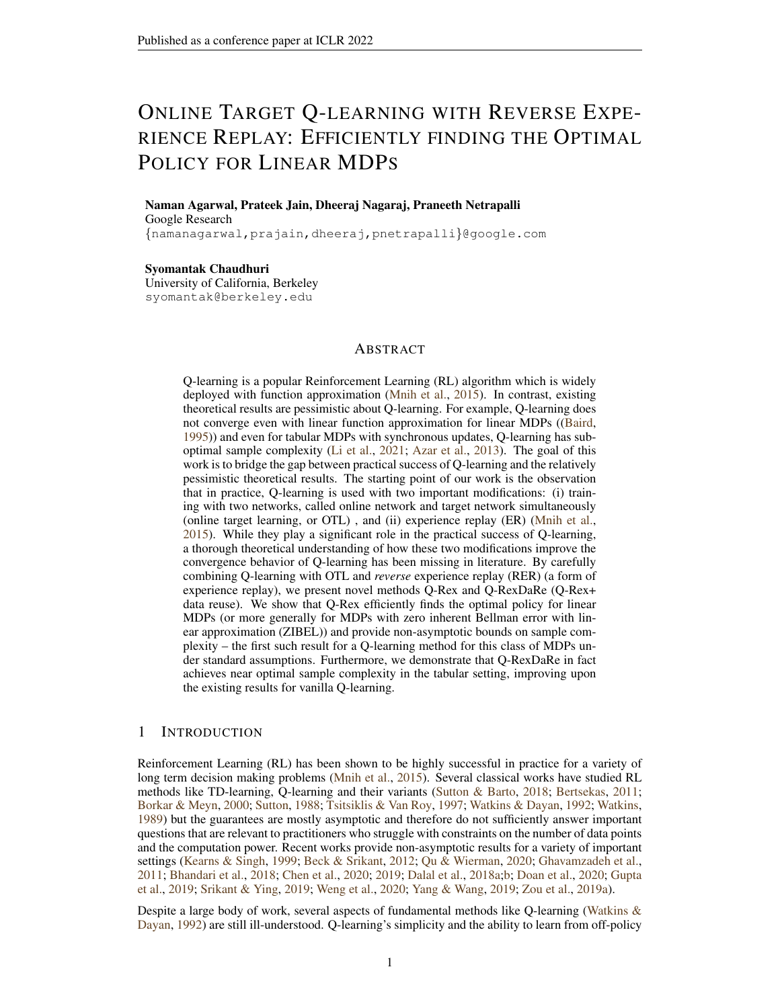It can now be verified that [\(Li et al.,](#page-11-1) [2021,](#page-11-1) Lemma 5) applies in our setting to conclude that:

$$
\sum_{k=K/2+1}^K \gamma^{K-k} \left( \prod_{l=K}^{k+1} P^{\pi_l} \right) \text{Var}_P(V_k) \leq \frac{4}{\gamma^2 (1-\gamma)^2} \left( 1 + 2 \max_{K/2+1-k} \| \Delta_k \|_1 \right).
$$

<span id="page-23-0"></span>Using the equation above, along with Equations [\(22\)](#page-22-0) and [\(21\)](#page-22-1), we conclude there exists a universal constant C such that with probability at least  $1 - \delta$ , we have:

$$
\|\Delta_{K+1}\|_{1} \leq \frac{\alpha_{\eta} + \gamma^{K}}{1 - \gamma} + C\sqrt{\frac{\eta}{(1 - \gamma)^{3}}\log\left(\frac{KjSj/Aj}{\delta}\right)}\sqrt{1 + \max_{K/2+1-k} \| \Delta_{k} \|_{1} + \frac{\gamma^{K/2}}{(1 - \gamma)}} (23)
$$

We note that this works with every K replaced with l for any  $l \leq K$ , importantly under the same event (with probability at least  $1 - \delta$ ) described above for which Equation [\(23\)](#page-23-0) holds. Define  $L = \frac{K}{2^s}$  for some  $s = \lceil \log_2(1 + C \log(\frac{1}{1-\gamma})) \rceil$ . Under the conditions of the Theorem, i.e,  $K > C_2 \frac{1}{(1-\gamma)} \left( \log(\frac{1}{1-\gamma}) \right)^2$ , we have  $\frac{\gamma^{1/2}}{1-\gamma} < 1$ . Therefore we conclude from the discussion above that for every  $K \geq l \geq L$ , we must have:

$$
\|\Delta_{l+1}\|_{1} \leq \frac{\alpha_{\eta} + \gamma^{L}}{1 - \gamma} + C\sqrt{\frac{\eta}{(1 - \gamma)^{3}} \log\left(\frac{KjSj/Aj}{\delta}\right)} \sqrt{1 + \max_{l/2+1 \leq k \leq l} \|\Delta_{k}\|_{1}}
$$
  

$$
\leq \frac{\alpha_{\eta} + \gamma^{L}}{1 - \gamma} + C\sqrt{\frac{\eta \log\left(\frac{KjSj/Aj}{\delta}\right)}{(1 - \gamma)^{3}}} + C\sqrt{\frac{\eta \log\left(\frac{KjSj/Aj}{\delta}\right)}{(1 - \gamma)^{3}}} \sqrt{\max_{l/2+1 \leq k \leq l} \|\Delta_{k}\|_{1}}
$$
(24)

To analyze this recursion, we have the following lemma which establishes hyper-contractivity, whose proof we defer to Section [M.8.](#page-35-0)

<span id="page-23-1"></span>**Lemma 11.** *Suppose*  $\alpha, \beta \ge 0$ . *Consider the function*  $f : \mathbb{R}^+ \to \mathbb{R}^+$  *given by*  $f(u) = \alpha + \beta\sqrt{u}$ . **Then,** f has the unique fixed point:  $u := \left( \frac{\beta + \sqrt{\beta^2 + 4\alpha}}{2} \right)$ 2  $\int_{0}^{2}$ *. For*  $t \in \mathbb{N}$ *, denoting*  $f^{(t)}$  *to be the t fold composition of f with itself, we have for any*  $u \in \mathbb{R}^+$ *:* 

$$
|f^{(t)}(u) - u| \leq \beta^{(2 - \frac{1}{2^{t-1}})} |u - u|^{1/2 \over 2^t}.
$$

Now consider for  $0 \le a < s$ ,

<span id="page-23-2"></span>
$$
u_a := \sup_{\frac{K}{2^{s-a}} \atop l \le K} \|\Delta_{l+1}\|_{\mathcal{I}}
$$

In lemma [11,](#page-23-1) define f with  $\alpha = \frac{\alpha_{\eta} + \gamma^L}{1 - \gamma} + C$  $\sqrt{\eta \log \left( \frac{KjSjJAj}{\delta} \right)}$  $\frac{\delta}{(1-\gamma)^3}$  and  $\beta = C$  $\sqrt{\eta \log \left( \frac{KjSjJAj}{\delta} \right)}$  $\frac{\delta}{(1-\gamma)^3}$ . The fixed point  $u$  is such that:

$$
u \leq C \left[ \frac{\eta \log\left(\frac{K/Sj/Aj}{\delta}\right)}{(1-\gamma)^3} + \frac{\alpha_\eta + \gamma^L}{1-\gamma} + \sqrt{\frac{\eta \log\left(\frac{K/Sj/Aj}{\delta}\right)}{(1-\gamma)^3}} \right] \tag{25}
$$

Clearly, by Equation [\(24\)](#page-23-2), we have:  $u_a \le f(u_{a-1})$  and  $\|\Delta_{K+1}\| \le f(u_{s-1})$ . By monotonicity of  $f(\cdot)$  and the fact that  $u_0 \leq \frac{1}{1-\gamma}$  (Lemma [1\)](#page-17-3):

$$
u_{s-1} \le f^{(s-1)}(u_0) \le f^{(s-1)}\left(\frac{1}{1-\gamma}\right).
$$

Therefore,

$$
\|\Delta_{K+1}\|_{\mathcal{I}} \le f(u_{s-1}) \le f^{(s)}\left(\frac{1}{1-\gamma}\right)
$$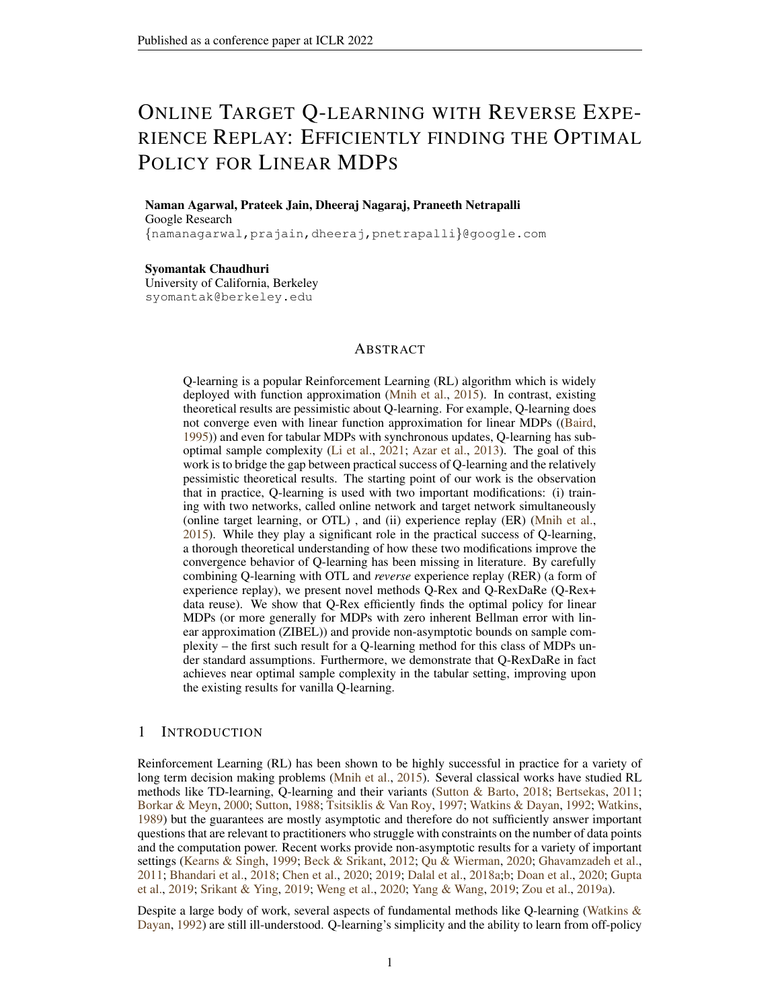Applying Lemma [11,](#page-23-1) we conclude:

<span id="page-24-0"></span>
$$
\|\Delta_{K+1}\|_{1} \leq u + \beta^{\left(2\frac{1}{2^{s-1}}\right)}\left|\frac{1}{1-\gamma} - u\right|^{2^s} \tag{26}
$$

Note that under the constraints on the parameter  $\eta$  and K as stated in the Theorem, we must have  $u \leq \frac{1}{(1-\gamma)^3}$ . By our choice of s, we must have:  $\left|\frac{1}{(1-\gamma)}-u\right|\frac{1}{2^s} \leq C^{\theta}$ . Using this in Equation [26](#page-24-0) and the fact that  $\beta^{(2-\frac{1}{2^{s-1}})} \leq \beta + \beta^2$ , we conclude that with probability at-least  $1-\delta$ , we must have:

$$
\|\Delta_{K+1}\| \le C \left[ \frac{\eta \log\left(\frac{Kj}{\delta}\right)}{(1-\gamma)^3} + \frac{\alpha_\eta + \gamma^L}{1-\gamma} + \sqrt{\frac{\eta \log\left(\frac{Kj}{\delta}\right)}{(1-\gamma)^3}} \right]
$$

This proves the first part of the theorem. For the second part, we directly substitute the values provided to verify that we indeed obtain  $\epsilon$  error.

#### J PROOF OF THEOREM [3](#page-8-1)

s

We will now show uniform convergence type result under Assumption [5.](#page-8-2) For  $(s, a) \in S \times A$  and  $s^{\theta} \in \text{supp}(P(\cdot|s, a))$ . We define the random variables for all k:

$$
\hat{P}_k(s^{\theta}|s,a) = \eta \sum_{j=1}^N \sum_{i=1}^B (1-\eta)^{\tilde{N}_i^{k,j}(s,a)} \mathbb{1}(\tilde{s}_{i+1}^{k,j} = s^{\theta}, \tilde{s}_i^{k,j} = s, \tilde{a}_i^{k,j} = a)
$$
  

$$
\bar{P}_k(s^{\theta}|s,a) := \eta \sum_{j=1}^N \sum_{i=1}^B (1-\eta)^{\tilde{N}_i^{k,j}(s,a)} P(s^{\theta}|s,a) \mathbb{1}(\tilde{s}_i^{k,j} = s, \tilde{a}_i^{k,j} = a).
$$

<span id="page-24-1"></span>**Lemma 12.** *Suppose Assumption [5](#page-8-2) holds. Then, with probability at-least*  $1 - \delta$ *, we must have for any fixed* (s, a)*:*

$$
\sum_{\text{logp}(P(\text{ }j_{S,a}))} |\hat{P}_k(s^\text{ } | s, a) - \bar{P}_k(s^\text{ } | s, a)| \leq C \sqrt{\eta \bar{d} \log(4/\delta)} + C \eta \bar{d} \log(4/\delta)
$$

We refer to Section [L.5](#page-31-1) for the proof. We now proceed with the proof of Theorem [3.](#page-8-1) Recall the noiseless iteration  $\bar{w}^k$  defined in the discussion following the statement of Lemma [4.](#page-17-1) We define  $\bar{D}_k := w_0^{k,0} - \bar{w}^k$ . Observe that we cannot apply Lemma [9](#page-19-1) as in the proof of Theorem [2](#page-7-1) where we used  $w = w_0^{k,0}$  in order to bound  $||\epsilon_k||_1$ . This is because of data re-use which causes  $w_0^{k,0}$  to depend on the 'variance' term.

However, note that  $\bar{w}^k$  is a deterministic sequence and we can apply Lemma [9](#page-19-1) and then use the fact that  $\bar{w}^k \approx w_0^{k,0}$  to show a similar concentration inequality. To this end, we prove the following lemma:

<span id="page-24-2"></span>Lemma 13. *In the tabular setting, we have almost surely:*

$$
\left| \left\langle \phi(s,a), \sum_{j=1}^{N} \prod_{l=N}^{j+1} \tilde{H}^{k,l}_{1,B} \tilde{L}^{k,j}(w) - \sum_{j=1}^{N} \prod_{l=N}^{j+1} \tilde{H}^{k,l}_{1,B} \tilde{L}^{k,j}(v) \right\rangle \right|
$$
  
\n
$$
\leq \gamma \|w-v\|_{\phi} \sum_{s' \geq \text{supp}(P(j,s,a))} |\hat{P}_k(s^{\theta}|s,a) - \bar{P}_k(s^{\theta}|s,a)| \tag{27}
$$

The proof follows from elementary arguments via. the mean value theorem and triangle inequality. We refer to Section [M.7](#page-34-0) for the proof. We are now ready to give the proof of Theorem [3.](#page-8-1)

*Proof of Theorem [3.](#page-8-1)* We proceed with a similar setup as the proof of Theorem [2.](#page-7-1) Notice that due to data reuse, the noise  $\epsilon_k$  in outer loop k is given by  $\epsilon_1(\tilde w_1^{k,1})$ 

$$
Q_1^{k+1,1} = \mathcal{T}\left[Q_1^{k,1}\right] + \epsilon_1(\tilde{Q}_1^{k,1}).
$$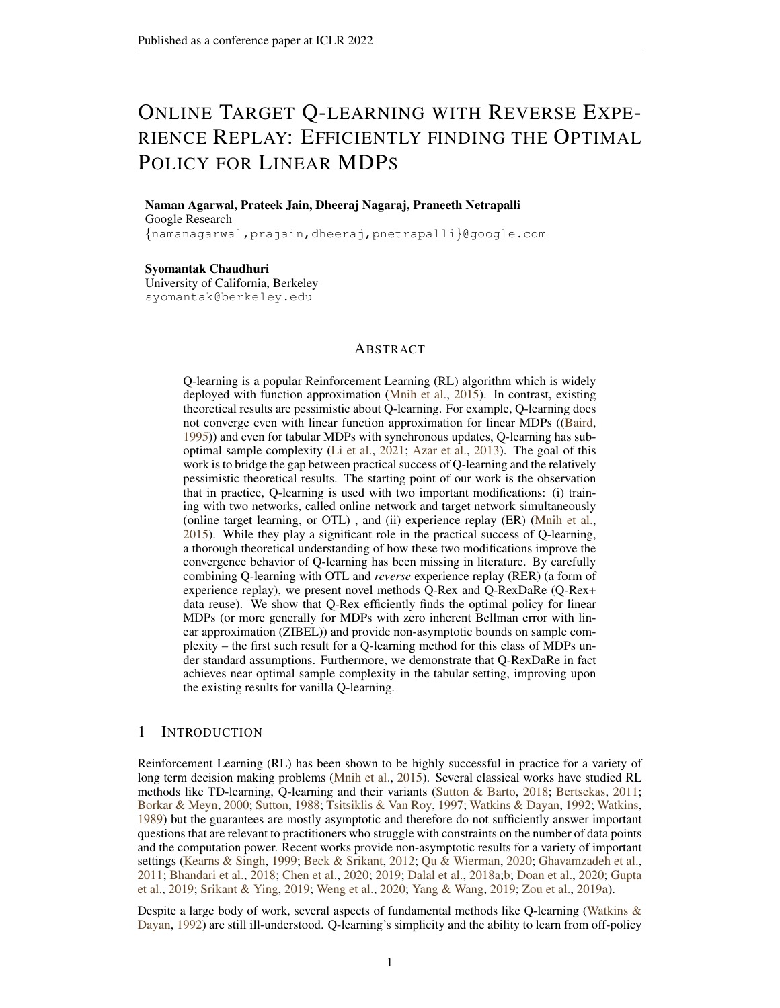We also define the noiseless Q iteration such that  $\bar{Q}_1^{1,1} = \tilde{Q}_1^{1,1}$  and  $\bar{Q}_1^{k+1,1} = \mathcal{T}(\bar{Q}_1^{k,1})$ . Let  $\bar{\Delta}_k :=$  $\tilde{Q}_1^{k,1} - \bar{Q}_1^{k,1}.$ 

Now, by Lemma [5,](#page-18-0) we can write down

$$
\epsilon_{1}(\tilde{Q}_{1}^{k,1})(s,a) = (1 - \eta)^{\tilde{N}^{1}(s,a)}(\tilde{Q}_{1}^{k,1} - \tilde{Q}^{k}, ) + \langle \phi(s,a), \sum_{j=1}^{N} \prod_{l=N}^{j+1} \tilde{H}_{1,B}^{1,l} \tilde{L}^{1,j}(\tilde{Q}_{1}^{k,1}) \rangle
$$
  
\n
$$
= (1 - \eta)^{\tilde{N}^{1}(s,a)}(\tilde{Q}_{1}^{k,1} - \tilde{Q}^{k}, ) + \langle \phi(s,a), \sum_{j=1}^{N} \prod_{l=N}^{j+1} \tilde{H}_{1,B}^{1,l} \left( \tilde{L}^{1,j}(\tilde{Q}_{1}^{k,1}) - \tilde{L}^{1,j}(\bar{Q}_{1}^{k,1}) \right) \rangle
$$
  
\n
$$
+ \langle \phi(s,a), \sum_{j=1}^{N} \prod_{l=N}^{j+1} \tilde{H}_{1,B}^{1,l} \tilde{L}^{1,j}(\bar{Q}_{1}^{k,1}) \rangle
$$
(28)

We bound each of the terms above separately. By union bound, the following statements all hold simulataneously with probability at-least 1 – δ. By Theorem [7,](#page-18-3) whenever  $NB > C \frac{\tau_{\text{mix}}}{\mu_{\text{min}}} \log(\frac{|\mathcal{S}|jA}{\delta})$ , we must have  $\tilde{N}^{(1)}(s, a) \geq \frac{\mu_{\min}}{2} NB$ . A simple observation using recursion shows that  $\tilde{Q}_1^{k,1}(s,a), \bar{Q}_1^{k,1}(s,a) \in [0, \frac{1}{1-\gamma}]$ . Using Lemmas [12](#page-24-1) and [13](#page-24-2) we conclude that we must have:

<span id="page-25-0"></span>
$$
\sup_{(s,a)\,2S} \left| \langle \phi(s,a), \sum_{j=1}^N \prod_{l=N}^{j+1} \tilde{H}_{1,B}^{1,l} \left( \tilde{L}^{1,j} (\tilde{Q}_1^{k,1}) - \tilde{L}^{1,j} (\bar{Q}_1^{k,1}) \right) \rangle \right|
$$
  
 
$$
\leq C \|\bar{\Delta}_k\|_{\mathcal{I}} \left[ \sqrt{\eta \bar{d} \log \left( \frac{|S| |A|}{\delta} \right)} + \eta \bar{d} \log \left( \frac{|S| |A|}{\delta} \right) \right]
$$
(29)

Now observe that  $\bar{Q}_{1}^{k,1}$  is a deterministic sequence. Therefore, using Lemma [9](#page-19-1) uniformly for every  $k \leq K$  and  $(s, a) \in S \times \mathcal{A}$ :

$$
\left| \langle \phi(s,a), \sum_{j=1}^N \prod_{l=N}^{j+1} \tilde{H}_{1,B}^{1,l} \tilde{L}^{1,j} (\bar{Q}_1^{k,1}) \rangle \right| \le C \sqrt{\eta \log\left( \frac{j S j j A j K}{\delta} \right)} (1 + \text{Var}_P(\bar{V}_k)(s,a)) + C \frac{\eta \log\left( \frac{j S j j A j K}{\delta} \right)}{1 - \gamma}
$$
\n(30)

Where,  $\mathsf{Var}_P(\bar{V}_k) := \mathsf{Var}_P(V)(s,a;\bar{Q}^{k,1}_1).$ 

We now combine all the above with Equation [\(28\)](#page-25-0) to show that with probability at least  $(1 - \delta)$ , we must have uniformly for every  $k \leq K$  and  $(s, a) \in S \times A$ :

$$
|\tilde{\epsilon}_{1}(\tilde{Q}_{1}^{k,1})(s,a)| \leq \frac{1}{1-\gamma} \exp\left(-\frac{\eta\mu_{\min}NB}{2}\right) + C\|\bar{\Delta}_{k}\|_{\mathcal{I}} \left[\sqrt{\eta\bar{d}\log\left(\frac{|\mathcal{S}|j\Delta j}{\delta}\right)} + \eta\bar{d}\log\left(\frac{|\mathcal{S}|j\Delta j}{\delta}\right)\right] + C\sqrt{\eta\log\left(\frac{|\mathcal{S}|j\Delta jK}{\delta}\right)(1 + \text{Var}_{P}(\bar{V}_{k})(s,a))} + C\frac{\eta\log\left(\frac{|\mathcal{S}|j\Delta jK}{\delta}\right)}{1-\gamma}
$$
(31)

We will now present a crude bound on  $\|\bar{\Delta}_k\|_{\mathcal{I}}$  to reduce the analysis of Q-RexDaRe to the analysis of Q-Rex.

<span id="page-25-2"></span>**Claim 1.** Whenever  $\eta \leq C_1 \frac{(1-\gamma)^2}{\sqrt{|S|}}$  $\frac{1}{d} \frac{\partial f}{\partial g} \left( \frac{f(S)J(A)}{\delta} \right)$ , with probability at-least  $1 - \delta$ , we must have for every  $k \leq K$  *uniformly:* 

<span id="page-25-1"></span>
$$
\|\bar{\Delta}_k\|_{\mathcal{I}} \ \leq C\frac{\exp\left(\frac{\eta\mu_{\min}NB}{2}\right)}{(1-\gamma)^2} + C\sqrt{\frac{\eta}{(1-\gamma)^4}\log\left(\frac{jSjjAJK}{\delta}\right)}
$$

*Applying this directly to Equation* [\(31\)](#page-25-1)*, we conclude that with probability at least*  $(1 - \delta)$ *, we must have uniformly for every*  $k \leq K$  *and*  $(s, a) \in S \times A$ *:*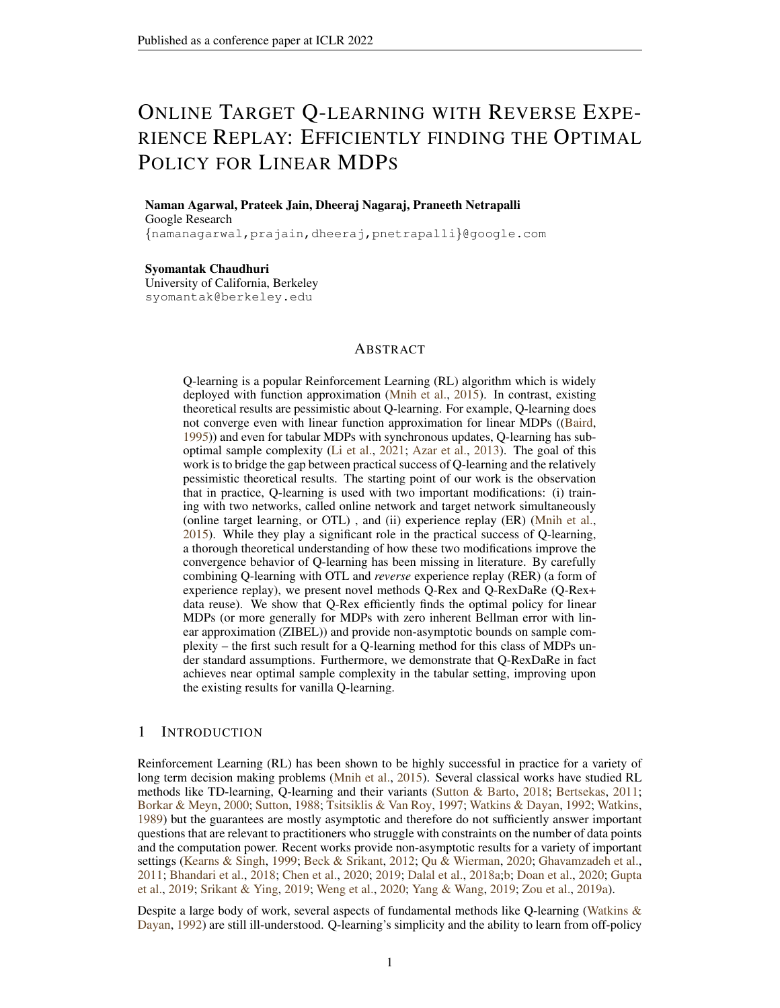$$
|\tilde{\epsilon}_{1}(\tilde{Q}_{1}^{k,1})(s,a)| \leq \frac{C}{(1-\gamma)} \exp\left(-\frac{\eta\mu_{\min}NB}{2}\right) + C \frac{\eta \log\left(\frac{|S|jA|K}{\delta}\right)}{(1-\gamma)^{2}} \sqrt{\bar{d}} + C\sqrt{\eta \log\left(\frac{|S|jA|K}{\delta}\right)(1+\text{Var}_{P}(\bar{V}_{k})(s,a))} + C \frac{\eta \log\left(\frac{|S|jA|K}{\delta}\right)}{1-\gamma}
$$
(32)

*Proof of Claim [1.](#page-25-2)* First note that  $\mathcal T$  is  $\gamma$  contractive under the sup norm. Therefore,

$$
\|\bar{\Delta}_{k+1}\|_{\mathcal{I}} = \left\|\mathcal{T}(\tilde{w}_1^{k,1}) - \mathcal{T}(\bar{w}_1^{k,1}) + \tilde{\epsilon}_k\right\|_{\mathcal{I}}
$$
  
\n
$$
\leq \left\|\mathcal{T}(\tilde{w}_1^{k,1}) - \mathcal{T}(\bar{w}_1^{k,1})\right\|_{\mathcal{I}} + \|\tilde{\epsilon}_k\|_{\mathcal{I}}
$$
  
\n
$$
\leq \gamma \|\bar{\Delta}_k\|_{\mathcal{I}} + \|\tilde{\epsilon}_k\|_{\mathcal{I}}
$$
\n(33)

In Equation [\(31\)](#page-25-1), note that  $\text{Var}_P(\bar{V}_k)(s, a) \leq \frac{1}{(1-\gamma)^2}$ . Therefore, under the conditions of this Claim, we can take  $C_1$  small enough so that uniformly for every  $(s, a)$  and  $k \leq K$  with probability at-least  $(1 - \delta)$ , Equation [\(31\)](#page-25-1) becomes:

$$
\|\tilde{\epsilon}_k(\tilde{Q}_1^{k,1})\|_{\mathcal{I}} \le \frac{\exp\left(-\frac{\eta\mu_{\min}NB}{2}\right)}{1-\gamma} + \|\bar{\Delta}_k\|_{\mathcal{I}} \left(\frac{1-\gamma}{2}\right) + C\sqrt{\frac{\eta}{(1-\gamma)^2}\log\left(\frac{jSj/A/K}{\delta}\right)}
$$

Combining the display above and the fact that  $\tilde{\epsilon}_k = \tilde{\epsilon}_1(\tilde{Q}_1^{k,1})$  in Equation [\(33\)](#page-26-0), we conclude that with probability at-least  $1 - \delta$ , for every  $k \leq K$  uniformly:

$$
\|\bar{\Delta}_{k+1}\|_{\mathcal{I}} \le \frac{1+\gamma}{2} \|\bar{\Delta}_{k}\|_{\mathcal{I}} + \frac{\exp\left(\frac{\eta\mu_{\min}NB}{2}\right)}{1-\gamma} + C\sqrt{\frac{\eta}{(1-\gamma)^2}\log\left(\frac{JSj/A/K}{\delta}\right)}\tag{34}
$$

Unrolling the recursion above and using the fact that  $\|\bar{\Delta}_1\|_1 = 0$ , we conclude the statement of the claim.

$$
\qquad \qquad \Box
$$

<span id="page-26-0"></span>.

We also note that the deterministic iterations  $\bar{Q}_1^{k,1}$  converges exponentially in sup norm to  $Q$  due to  $\gamma$  contractivity of  $\mathcal T$ . That is:

<span id="page-26-1"></span>
$$
\|\bar{Q}_1^{k,1} - Q\|_1 \le \frac{\gamma^k}{(1-\gamma)}
$$
\n(35)

We are now ready to connect up with the proof of Theorem [2](#page-7-1) with minor modifications. We follow the same analysis as the proof of Theorem [2](#page-7-1) but with  $\text{Var}_P(\tilde{V}_k)$  replaced with  $\text{Var}_P(\bar{V}_k)$ . Similar to the proof of Theorem [2,](#page-7-1) we can control  $\textsf{Var}_P(\bar{V}_k)$  with respect to  $\textsf{Var}_P(V^-)$  and  $\|\bar{Q}_1^{k,1} - Q^-\|$   $\pi$ along with Equation [\(35\)](#page-26-1). We also replace  $\alpha_n$  with

$$
\alpha_\eta^{\rm dr}:=\frac{C}{(1-\gamma)}\exp\left(-\tfrac{\eta\mu_{\min}NB}{2}\right)+C\frac{\eta\log\left(\tfrac{[\mathcal{S}]]\mathcal{A}/K}{\delta}\right)}{(1-\gamma)^2}\sqrt{\bar{d}}+C\frac{\eta\log\left(\tfrac{[\mathcal{S}]]\mathcal{A}/K}{\delta}\right)}{1-\gamma}
$$

Therefore, we conclude a version of Equation [\(23\)](#page-23-0):

$$
\|\Delta_{K+1}\|_{1} \le \frac{\alpha_{\eta}^{\mathsf{dr}} + \gamma^{K}}{1 - \gamma} + C\sqrt{\frac{\eta}{(1 - \gamma)^{3}}\log\left(\frac{K}{\delta}\right)}\sqrt{1 + \frac{\gamma^{K/2}}{(1 - \gamma)}}\tag{36}
$$

Where  $\Delta_k := Q_1^{k,1} - Q\,$  . Using the bounds on the parameters given in the statement of the Theorem, we conclude the result.

 $\Box$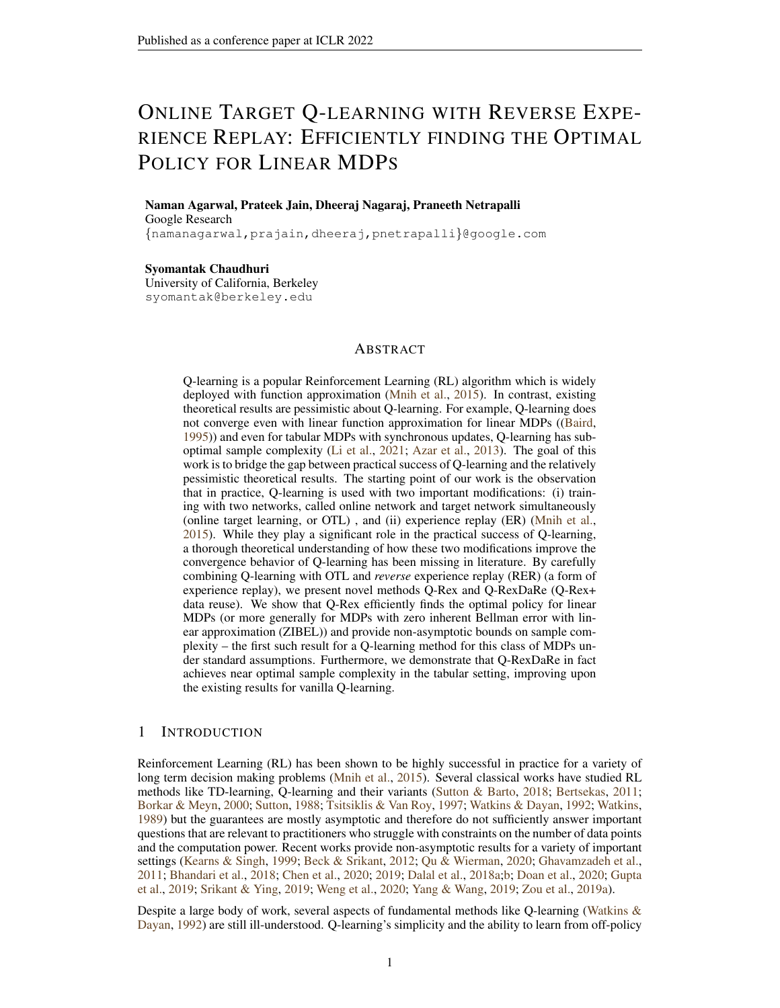## <span id="page-27-0"></span>K MINIMAX LOWERBOUNDS FOR TABULAR MDPS

Suppose  $\Theta$  denotes the class of all tuples  $(M, \pi)$  where M is a tabular MDP and  $\pi$  is an exploratory policy such that under the policy  $\pi$ , the MDP achieves a stationary distribution  $\mu$  with minimum probability at-least  $\mu_{\min}$  (see section [2.1\)](#page-5-2). The rewards are almost surely in the set [0,1]. We receive the stationary sequence  $(s_t, a_t, r_t)_{t=1}^T$  from MDP M under policy  $\pi$ , which we denote as  $(s_t, a_t, r_t)_{t=1}^T \sim (M, \pi)$ . Let F be the class of all estimators f which estimate Q for the MDP M with  $f((s_t, a_t, r_t)_{t=1}^T)$ . We write the minimax risk as:

$$
\mathcal{L}(\Theta, T) := \inf_{f \supseteq \mathcal{F}} \sup_{(\mathcal{M}, \pi) \supseteq \Theta} \mathbb{E}_{(s_t, a_t, r_t)_{t=1}^T \quad (\mathcal{M}, \pi)} \| f((s_t, a_t, r_t)_{t=1}^T) - Q \|_{\mathcal{H}}
$$

<span id="page-27-1"></span>**Theorem 5.** *There exists a constant* C *such that, for every*  $\mu_{min} \in (0, 1/4)$ ,  $\gamma \in (0, 1/2)$  *and*  $T \geq C \frac{1}{\mu_{\min}(1-\gamma)}$ , we must have:

$$
\mathcal{L}(\theta, T) \ge C \sqrt{\frac{1}{T(1 - \gamma)^3 \mu_{\min}}}
$$

.

Therefore, we need  $T \geq \frac{1}{\epsilon^2 \mu_{\min}(1-\gamma)^3}$  in order to achieve  $\epsilon$  error for the  $Q$  values.

*Proof.* We will use Le-Cam's two point method to prove the result. Consider a class of MDPs denoted by MDP(q, p) (p,  $q \in [0, 1]$ ) with state space  $S = \{0, 1\}$ , only one possible action, reward function  $R : S \to \mathbb{R}$ ,  $R(s) = s$ , and discount factor  $\gamma \in [0, 1)$ . The transition probability for the MDP is given by  $P(0|0) = 1 - q$ ,  $P(1|0) = q$ ,  $P(0|1) = p$  and  $P(1|1) = 1 - p$ .

Under these conditions, the stationary distribution is given by  $\mu(0) = \frac{p}{p+q}$  and  $\mu(1) = \frac{q}{p+q}$  and the value function can be written as

$$
V(1) = \frac{1}{1 - \gamma(1 - p) - \gamma ph(q)},
$$
  

$$
V(0) = \frac{h(q)}{1 - \gamma(1 - p) - \gamma ph(q)}
$$

where  $h(q) := \frac{\gamma q}{1 - \gamma (1 - q)}$ . Since there is only one action in each state, the value function coincides with the Q function.

For showing the lower bound, consider two MDPs with parameters  $(p_1, q)$  and  $(p_2, q)$  with  $q <$  $\min\{p_1, p_2\}$  and  $p_1, p_2 < 0.5$ . The stationary trajectories of length T under the two MDPs, denoted by the random variables  $X_{1}^{(i)}$  $\sum_{1:T}^{(i)}$  for  $i = 1, 2$ , satisfies

$$
\mathsf{KL}(X_{1:T}^{(2)}||X_{1:T}^{(1)}) \leq \frac{2q(p_1 - p_2)^2}{(p_1 + q)(p_2 + q)^2 \ln 2} + T \frac{2q(p_1 - p_2)^2}{(p_2 + q)p_1 \ln 2},
$$

using  $KL(Ber(a)||Ber(b)) \leq \frac{2(a-b)^2}{b \ln 2}$  whenever  $b \leq 1/2$ . Observe that  $\mu_{\min}^{(2)} = \mu^{(2)}(1) = \frac{q}{p_2+q}$  and  $\mu_{\min}^{(1)} = \mu^{(1)}(1) = \frac{q}{p_1+q}$ . Combining this with the KL divergence bound above, we conclude that  $KL(X_{1:T}^{(2)})$  $\frac{1}{1:T}$   $||X_{1:T}^{(1)}||$  $\binom{11}{1:T}$  <  $\frac{1}{8}$  if we set Now let  $p_1 = \frac{1-\gamma}{2}$ ,  $p_2 - p_1 = c \sqrt{\frac{p_1}{T \mu_{\min}^{(1)}}}$  for small enough constant c and  $T \& \frac{p(p+q)}{q}$  $\frac{q+q}{q}$ . (notice that the equation gives  $p_2 < 0.5$  when T satisfies the condition above and  $p_1 < 0.25$ ). By Pinsker's inequality, we must have TV $(X_{1:T}^{(2)}$  $X_{1:T}^{(1)}, X_{1:T}^{(1)} \leq \frac{1}{2}.$ 

Elementary calculations show that  $|V^{(1)}(1) - V^{(2)}(1)| \& \frac{|p_1 - p_2|}{(1 - \gamma)^2} = \frac{C}{(1 - \gamma)^2} \sqrt{\frac{p_1}{T\mu_{\min}^{(1)}}}$  since  $q < p_1$  $\frac{1-\gamma}{2}$ . Therefore:

$$
|V^{(1)}(1) - V^{(2)}(1)| \& \sqrt{\frac{1}{T(1-\gamma)^3 \mu_{\min}^{(1)}}}
$$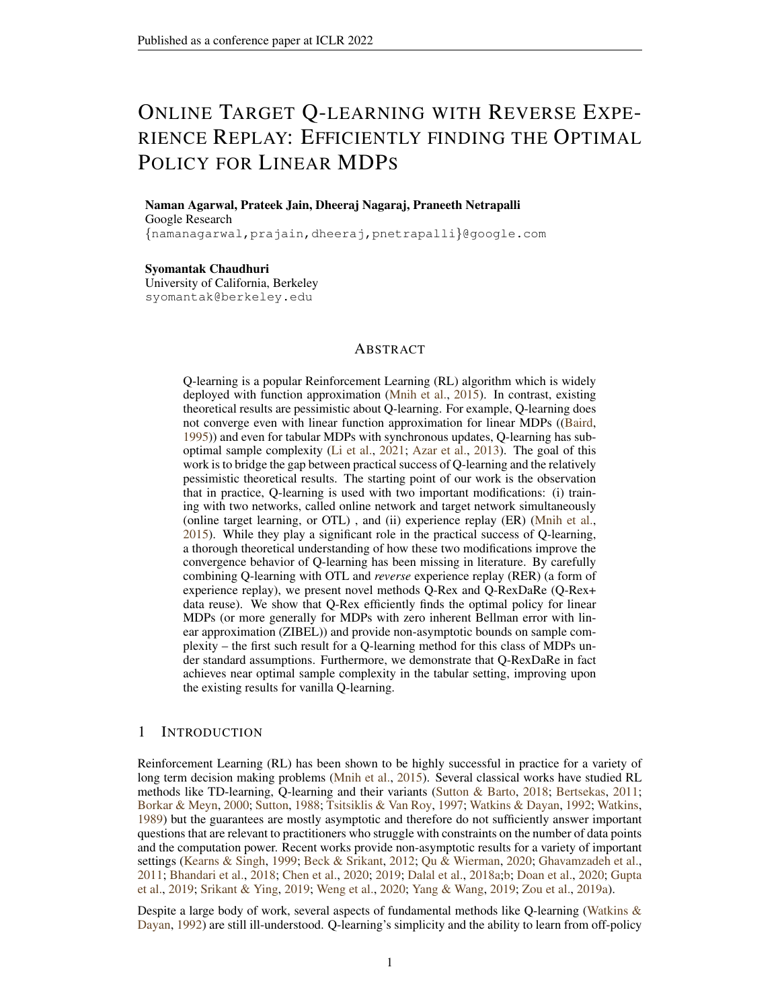Consider the semi-metric  $\rho(x, y) =$  $\frac{1}{1 - \gamma(1-x) - \gamma x h(q)} - \frac{1}{1 - \gamma(1-y) - \gamma y h(q)}$  for  $x, y \in (0,1)$ . Let  $P_i$  be the distribution of  $X_{1:T}^{(i)}$  $\mathbf{1}_{1:T}^{(i)}$ , and let the distribution be parameterised by  $\theta(\mathsf{P}_i) = V^{(i)}(1)$  for  $i = 1, 2$ . Let  $\hat{\theta}$  be any estimator based on the observations. By [\(Wainwright,](#page-12-21) [2019c,](#page-12-21) Chapter 15),

<span id="page-28-1"></span>
$$
\min_{\hat{\theta}} \max_{P2 \text{ fP}_1, P_2 g} \mathbb{E}_P \left[ |\hat{\theta} - \theta(P)| \right] \ge C \sqrt{\frac{1}{T (1 - \gamma)^3 \mu_{\text{min}}^{(1)}}} (1 - \text{TV}(X_{1:T}^{(2)}, X_{1:T}^{(1)}))
$$
\n
$$
\ge C_1 \sqrt{\frac{1}{T (1 - \gamma)^3 \mu_{\text{min}}^{(1)}}}
$$
\n(37)

⇒ for less than  $\epsilon$  error, T has to be at-least  $\frac{1}{\mu_{\min}^{(1)} \epsilon^2 (1-\gamma)^3}$ .

 $q = \frac{\mu_{\min}(1-\gamma)}{1-2\mu}$  $\frac{\mu_{\min}(1-\gamma)}{1-2\mu_{\min}}$ ,  $T \propto \frac{1}{(1-\gamma)\mu_{\min}}$ , we can ensure that  $\mu_{\min}^{(1)} = 2\mu_{\min}$  and  $\mu_{\min}^{(2)} \ge \mu_{\min}$ , which ensures that MDP( $p_1, q$ ) and MDP( $p_2, q$ ) are both elements of  $\Theta$ . Therefore, the two point risk in the LHS of Equation [\(37\)](#page-28-1) lower bounds  $\mathcal{L}(\Theta, T)$ , which allows us to conclude the result by substituting  $\mu_{\min}^{(1)} = \mu_{\min}.$  $\Box$ 

#### L PROOFS OF CONCENTRATION INEQUALITIES

#### <span id="page-28-0"></span>L.1 PROOF OF LEMMA [8](#page-18-4)

First, we leverage the techniques established in [\(Jain et al.,](#page-11-5) [2021b,](#page-11-5) Lemma 28) to show Lemma [14.](#page-28-2) The proof follows by a simple re-writing of the proof of the aforementioned lemma which uses a linear approximation (in  $\eta$ ) to  $\tilde{H}_{1,B}^{k,j}$ . We omit the proof for the sake of clarity.

<span id="page-28-2"></span>**Lemma 14.** Suppose  $\eta B < \frac{1}{3}$ . Then, the following PSD inequalities hold almost surely:

$$
I - 2\eta \left( 1 + \frac{\eta B}{1 - 2\eta B} \right) \sum_{i=1}^{B} \tilde{\phi}_i^{k,j} \left( \tilde{\phi}_i^{k,j} \right)^{>} \preceq \left( \tilde{H}_{1,B}^{k,j} \right)^{>} \tilde{H}_{1,B}^{k,j} \preceq I - 2\eta \left( 1 - \frac{\eta B}{1 - 2\eta B} \right) \sum_{i=1}^{B} \tilde{\phi}_i^{k,j} \left( \tilde{\phi}_i^{k,j} \right)^{>}
$$
\n
$$
(38)
$$

*Proof of Lemma [8.](#page-18-4)* We begin by proving the first part. Using Assumption [1](#page-5-4) and the fact that the decoupled trajectory  $(\tilde{s}, \tilde{a})_t$  is assumed to be mixed at the start of every buffer, we begin by first noting from Lemma [14](#page-28-2) that:

<span id="page-28-4"></span>
$$
0 \le \mathbb{E}(\tilde{H}_{1,B}^{k,j}) \tilde{H}_{1,B}^{k,j} \le I - \eta B \mathbb{E}_{(s,a)} \mu \phi(s,a) (\phi(s,a))^\mathsf{T} \le (1 - \frac{\eta B}{\kappa}) I. \tag{39}
$$

Now, observe that:

$$
\|\prod_{j=N}^{1} \tilde{H}_{1,B}^{k,j} g\|^2 = g^{\geq} \prod_{j=1}^{N-1} (\tilde{H}_{1,B}^{k,j})^{\geq} \left[ (\tilde{H}_{1,B}^{k,N})^{\geq} \tilde{H}_{1,B}^{k,N} \right] \prod_{j=N-1}^{1} \tilde{H}_{1,B}^{k,j} g \tag{40}
$$

Now note that  $\tilde{H}^{k,N}_{1,B}$  is independent of  $\tilde{H}^{k,j}_{1,B}$  for  $j \leq N-1$ . Therefore, taking conditional expectation conditioned on  $H_{1,B}^{k,j}$  for  $j \leq N-1$  in Equation [\(40\)](#page-28-3) and using Equation [\(39\)](#page-28-4), we conclude:

$$
\mathbb{E} \|\prod_{j=N}^{1} \tilde{H}_{1,B}^{k,j} g\|^2 \leq (1 - \frac{\eta B}{\kappa}) \mathbb{E} \|\prod_{j=N}^{1} \tilde{H}_{1,B}^{k,j} g\|^2
$$

Applying the equation above inductively, we conclude the result.

We now prove Part 2. We apply Markov's inequality to Part 1 along with Lemma [2](#page-17-2) to show that with probability at least  $1 - \delta$ :

$$
\|\prod_{j=N}^1 \tilde{H}_{1,B}^{k,j} g\|_{\phi} \leq \|\prod_{j=N}^1 \tilde{H}_{1,B}^{k,j} g\| \leq \frac{\exp\left(\frac{\eta NB}{\kappa}\right)}{\rho \frac{\pi}{\delta}} \|g\| \leq \exp\left(-\frac{\eta NB}{\kappa}\right) \sqrt{\frac{\kappa}{\delta}} \|g\|_{\phi}.
$$

<span id="page-28-3"></span> $\Box$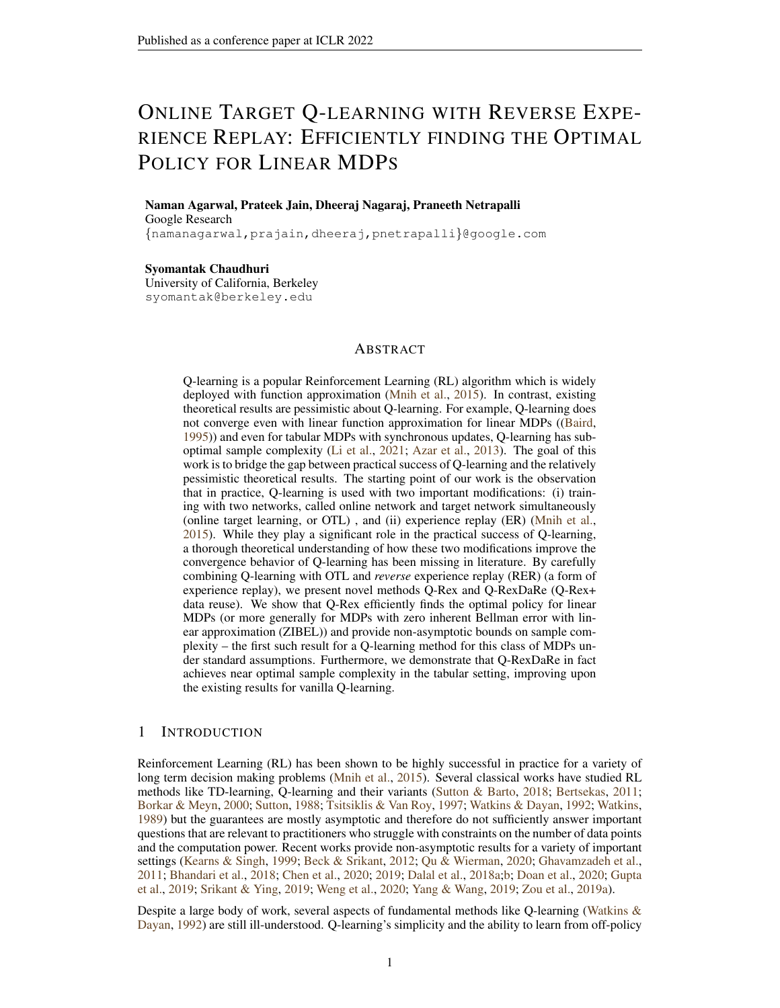#### L.2 PROOF OF LEMMA [9](#page-19-1)

*Proof.* We intend to apply Freedman's inequality [\(Freedman,](#page-11-15) [1975\)](#page-11-15) like in [\(Li et al.,](#page-11-1) [2021,](#page-11-1) Theorem 4), but in an asynchronous fashion and with Markovian data. Here, reverse experience replay endows our problem with the right filtration structure. Using Equation [\(9\)](#page-19-2), we can write

<span id="page-29-2"></span>
$$
\langle \phi(s, a), \sum_{j=1}^{N} \prod_{l=N}^{j+1} \tilde{H}_{1, B}^{k, l} \tilde{L}^{k, j}(w) \rangle = \eta \sum_{j=1}^{N} \sum_{i=1}^{B} X_{i}^{k, j} \tag{41}
$$

Where  $X_i^{k,j} := (1 - \eta)^{\tilde{N}_i^{k,j}(s,a)} \tilde{\epsilon}_i^{k,j} \mathbb{1}((\tilde{s}_i^{k,j}, \tilde{a}_i^{k,j}) = (s,a)).$  This allows us to define the sequence of sigma algebras  $\mathcal{F}_i^{k,j} = \sigma((\tilde{s}_m^{k,l}, \tilde{a}_m^{k,l}) : (l > j \text{ and } m \in [B]) \text{ or } (l = j \text{ and } m \leq i))$  - that is, it is the sigma algebra of all states and rewards which appeared before and including  $(\tilde{s}_i^{k,j}, \tilde{a}_i^{k,j})$ inside the buffer j and all the states in buffers  $l > j$ . Notice that  $\tilde{N}_i^{k,j}(s, a)$  is measurable with respect to the sigma algebra  $\mathcal{F}_i^{k,j}$ . Using the fact that the buffers are independent, we conclude that:  $\mathbb{E}\left[X_i^{k,j}|\mathcal{F}_i^{k,j}\right] = 0$  and

$$
\mathbb{E}\left[|X_i^{k,j}|^2|\mathcal{F}_i^{k,j}\right] \le 2\left[1+\gamma^2 \text{Var}_P(V)(s,a;w)\right] \mathbb{1}\big((\tilde{s}_i^{k,j},\tilde{a}_i^{k,j}) = (s,a)\big)(1-\eta)^{2\tilde{N}_i^{k,j}(s,a)}.
$$

It is also clear from our assumptions that  $|X_i^{j,k}| \leq \frac{2}{1-\gamma}$  almost surely. Consider the almost sure inequality for the sum of conditional variances:

$$
W^{k} = \sum_{j=1}^{N} \sum_{i=1}^{B} \mathbb{E}\left[ |X_{i}^{k,j}|^{2} | \mathcal{F}_{i}^{k,j} \right]
$$
  
\n
$$
\leq 2 \left[ 1 + \gamma^{2} \text{Var}_{P}(V)(s, a; w) \right] \sum_{j=1}^{K} \sum_{i=1}^{B} \mathbb{1}\big( (\tilde{s}_{i}^{k,j}, \tilde{a}_{i}^{k,j}) = (s, a) \big) (1 - \eta)^{2\tilde{N}_{i}^{k,j}(s,a)}
$$
  
\n
$$
= 2 \left[ 1 + \gamma^{2} \text{Var}_{P}(V)(s, a; w) \right] \sum_{t=0}^{\tilde{N}^{k}(s,a)} (1 - \eta)^{2t} \leq 2 \left( \frac{1 + \gamma^{2} \text{Var}_{P}(V)(s, a; w)}{\eta} \right) (42)
$$

We now apply [\(Li et al.,](#page-11-1) [2021,](#page-11-1) Equation (144), Theorem 4) with  $R = \frac{1}{1-\gamma}$  and  $\sigma^2 =$  $2\left(\frac{1+\gamma^2Var_P(V)(s,a;w)}{\eta}\right)$  to conclude the result.  $\Box$ 

## <span id="page-29-0"></span>L.3 PROOF OF THEOREM [4](#page-19-0)

*Proof.* For the sake of convenience, in this proof we will take  $\sigma^2 := 4(1 + ||w||_{\phi}^2)$ . Suppose  $\lambda \in \mathbb{R}$ . For  $1 \leq m \leq N$  consider:

$$
X_m := \eta \lambda^2 \sigma^2 \bigg\langle x, \prod_{l=N}^{N} \tilde{H}_{1,B}^{k,l} \left( \prod_{l=N}^{N} \tilde{H}_{1,B}^{k,l} \right)^2 x \bigg\rangle + \lambda \bigg\langle x, \sum_{j=N-m+1}^{N} \left( \prod_{l=N}^{j+1} \tilde{H}_{1,B}^{k,l} \right) \tilde{L}^{k,j}(w) \bigg\rangle
$$
  

$$
X_0 := ||x||^2 \eta \lambda^2 \sigma^2
$$

Here we use the convention that  $\prod_{l=N}^{j+1} \tilde{H}_{1,B}^{k,l} = I$  whenever  $j+1 > N$ . We claim that the sequence  $\exp(X_m)$  forms a super martingale under an appropriate filtration. In this proof only, consider the sigma algebra  $\mathcal{F}_m$  to be the sigma algebra of all the state action reward tuples in buffers  $N, \ldots, N$  $m + 1$  and let  $\mathcal{F}_0$  be the trivial sigma algebra. Notice that  $\exp(X_m)$  is  $\mathcal{F}_m$  measurable.

<span id="page-29-1"></span>**Lemma 15.** *Fix*  $N \ge m \ge 1$ . Suppose  $Y \in \mathbb{R}^d$  is a  $\mathcal{F}_{m-1}$  *measurable random vector. Then,* 

$$
\mathbb{E}\left[\exp\left(\eta\lambda^2\sigma^2\langle Y,\tilde{H}^{k,N-m+1}_{1,B}\left(\tilde{H}^{k,N-m+1}_{1,B}\right)^>Y\rangle+\lambda\langle Y,\tilde{L}^{k,N-m+1}(w)\rangle\right)\bigg|\mathcal{F}_{m-1}\right]\leq \exp\left(\eta\lambda^2\sigma^2\|Y\|^2\right)
$$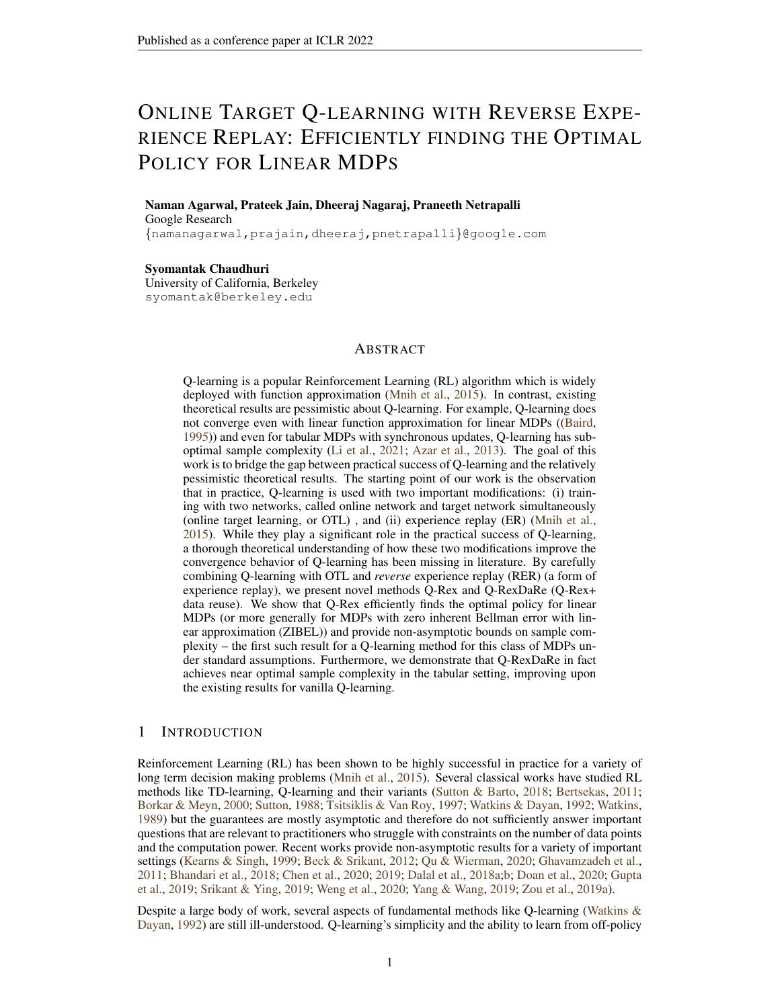In particular, taking  $Y=\left(\prod_{l=N}^N \substack{m+2 \ \tilde H^{k,l}_{1,B}}\right)^>x$  , we conclude that  $\exp(X_m)$  is a super martingale *with respect to the filtration*  $\mathcal{F}_m$ 

*Proof of Lemma [15.](#page-29-1)* In the proof of this lemma, we will drop the superscripts  $k, m$  for the sake of convenience and due to conditioning on  $\mathcal{F}_{m-1}$ , we will treat Y as a constant. Now we define the natural filtration on the buffer under consideration  $(\mathcal{G}_i)_{i=1}^B$  where  $\mathcal{G}_i$  is the sigma algebra of the all state-action tuples from  $(s_1, a_1), \ldots, (s_i, a_i)$  and rewards  $(r_h)_{1-h < i}$ .

Note that by the definition of  $\tilde{L}(w)$ , we write:  $\tilde{L}(w) = \sum_{i=1}^{B} \eta \tilde{\epsilon}_i(w) \tilde{H}_{1,i-1} \tilde{\phi}_i$ . With this in mind, for  $h \in [B]$  define  $\tilde{L}_h(w) = \sum_{i=1}^h \eta \tilde{\epsilon}_i(w) \tilde{H}_{1,i-1} \tilde{\phi}_i$ . Now,  $\tilde{L}(w) = \eta \tilde{\epsilon}_B(w) \tilde{H}_{1,B-1} \tilde{\phi}_B + \tilde{L}_{B-1}(w)$ 

Now, notice that the random variables  $\langle Y, \tilde{L}_{B-1} \rangle, \langle Y, \tilde{H}_{1,B-1} \tilde{\phi}_B \rangle$  and  $\langle Y, \tilde{H}_{1,B}^{k,m} \left( \tilde{H}_{1,B}^{k,m} \right)^{> Y} \rangle$  are  $\mathcal{G}_B$  measureable. Furthermore, we must have:  $E[\tilde{\epsilon}_B(w)|\mathcal{G}_B] = 0$  and  $|\tilde{\epsilon}_B(w)| \leq 2(1 + \|w\|_{\phi}) \leq$  $\sqrt{2}\sigma$ . Therefore, applying conditional Hoeffding's lemma, we have:

$$
\mathbb{E}\left[\exp\left(\eta\lambda^{2}\sigma^{2}\langle Y,\tilde{H}_{1,B}\left(\tilde{H}_{1,B}\right)^{>}Y\rangle+\lambda\langle Y,\tilde{L}(w)\rangle\right)\bigg|\mathcal{G}_{B}\right]
$$
\n
$$
=\exp\left(\eta\lambda^{2}\sigma^{2}\langle Y,\tilde{H}_{1,B}\left(\tilde{H}_{1,B}\right)^{>}Y\rangle+\lambda\langle Y,\tilde{L}_{B-1}(w)\rangle\right)\mathbb{E}\left[\exp\left(\lambda\eta\tilde{\epsilon}_{B}(w)\langle Y,\tilde{H}_{1,B-1}\tilde{\phi}_{B}\rangle\right)\bigg|\mathcal{G}_{B}\right]
$$
\n
$$
\leq \exp\left(\eta\lambda^{2}\sigma^{2}\langle Y,\tilde{H}_{1,B}\left(\tilde{H}_{1,B}\right)^{>}Y\rangle+\lambda\langle Y,\tilde{L}_{B-1}(w)\rangle\right)\exp\left(\lambda^{2}\eta^{2}\sigma^{2}|\langle Y,\tilde{H}_{1,B-1}\tilde{\phi}_{B}\rangle|^{2}\right)
$$
\n(43)

In the third step we have used the conditional version of Hoeffding's lemma. Now, consider  $Z :=$  $(\tilde{H}_{1,B-1})^{\geq} Y$ . Clearly,

$$
\langle Y, \tilde{H}_{1,B} \left( \tilde{H}_{1,B} \right)^{>} Y \rangle + \eta |\langle Y, \tilde{H}_{1,B} \rangle|^{2} = Z^{>} \tilde{H}_{B,B} \tilde{H}_{B,B} Z + \eta Z^{>} \tilde{\phi}_{B} (\tilde{\phi}_{B})^{>} Z
$$
  

$$
= Z^{>} \left[ I - \eta \tilde{\phi}_{B} (\tilde{\phi}_{B})^{>} + ||\tilde{\phi}_{B}||^{2} \eta^{2} \tilde{\phi}_{B} (\tilde{\phi}_{B})^{>} \right] Z
$$
  

$$
\leq ||Z||^{2}
$$

Here we have used the fact that  $\eta < 1$  and  $\|\tilde{\phi}_B\| < 1$ . Using the bounds above in Equation [\(43\)](#page-30-0), we conclude:

<span id="page-30-0"></span>
$$
\mathbb{E}\left[\exp\left(\eta\lambda^{2}\sigma^{2}\langle Y,\tilde{H}_{1,B}\left(\tilde{H}_{1,B}\right)^{>Y}\rangle+\lambda\langle Y,\tilde{L}_{B}(w)\rangle\right)\bigg|\mathcal{G}_{B}\right]
$$
\n
$$
\leq \exp\left(\eta\lambda^{2}\sigma^{2}\langle Y,\tilde{H}_{1,B-1}\left(\tilde{H}_{1,B-1}\right)^{>Y}\rangle+\lambda\langle Y,\tilde{L}_{B-1}(w)\rangle\right) \tag{44}
$$

Using Equation [\(44\)](#page-30-1) recursively, we conclude the first statement of the lemma. The last part of the lemma follows easily from the definition of  $X_m$ .  $\Box$ 

By Lemma [15,](#page-29-1) we conclude that  $exp(X_m)$  is a super martingale with respect to the filtration  $\mathcal{F}_m$ . Therefore, we must have:

$$
\mathsf{E} \exp(X_N) \le \exp(X_0) = \exp(\eta \|x\|^2 \lambda^2 \sigma^2).
$$

It is also clear that  $X_N \geq \lambda \left\langle x, \sum_{j=N}^N \frac{m+1}{m+1} \left( \prod_{l=N}^{j+1} \tilde{H}^{k,l}_{1,B} \right) \tilde{L}^{k,j}(w) \right\rangle$ . Applying Chernoff bound with we conclude that the concentration inequality in Equation [\(13\)](#page-19-3). We can then directly apply [\(Vershynin,](#page-12-20) [2018,](#page-12-20) Theorem 8.1.6) to Equation [\(13\)](#page-19-3) in order to obtain uniform concentration bounds.

<span id="page-30-1"></span> $\Box$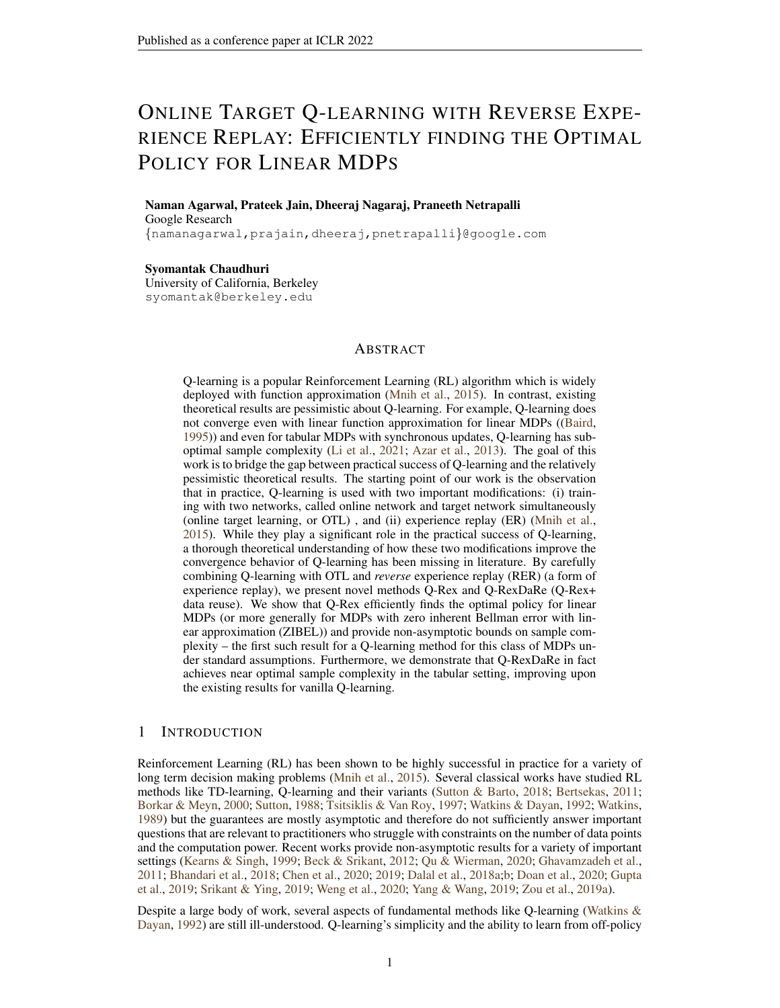#### <span id="page-31-0"></span>L.4 PROOF OF LEMMA [10](#page-20-0)

*Proof of Lemma [10.](#page-20-0)* By definition of  $\tilde{\epsilon}_k$ , we have:  $\tilde{w}_1^{k+1,1} = \mathcal{T}(\tilde{w}_1^{k,1}) + \tilde{\epsilon}_k$ . Therefore, for any  $(s, a) \in S \times A$ , we must have:

$$
\langle \phi(s,a), \tilde{w}_1^{k+1,1} \rangle = R(s,a) + \gamma \mathbb{E}_{s'} \left[ P(j_{s,a}) \sup_{a' \geq A} \langle \phi(s^{\theta}, a^{\theta}), \tilde{w}_1^{k,1} \rangle + \langle \phi(s,a), \tilde{\epsilon}_k \rangle \right].
$$

Using the fact that  $R(s, a) \in [0, 1]$ , we conclude:

<span id="page-31-3"></span>
$$
\|\tilde{w}_1^{k+1,1}\|_{\phi} \le 1 + \gamma \|\tilde{w}_1^{k,1}\|_{\phi} + \|\tilde{\epsilon}_k\|_{\phi}
$$
\n(45)

By independence of outer-loops for the coupled data, we note that  $\tilde{w}_1^{k,1}$  is independent of the data in buffer k. Therefore we can apply Theorem [4](#page-19-0) (and resp. Lemma [8\)](#page-18-4) conditionally with  $w = \tilde{w}_1^{k,1}$ (and resp.  $g = \tilde{w}_1^{k,1} - w$ ), the bias variance decomposition given in Lemma [5](#page-18-0) and the bound on  $\|w\|_{\phi}$  in Lemma [4](#page-17-1) to conclude that with probability at-least 1 −  $\delta$ , for every  $k \leq K$ :

$$
\|\tilde{\epsilon}_k\|_{\phi} \le \sqrt{\frac{K\kappa}{\delta}} \exp\left(-\frac{\eta NB}{\kappa}\right) (\|\tilde{w}_1^{k,1}\|_{\phi} + \frac{1}{1-\gamma}) + C(1 + \|\tilde{w}_1^{k,1}\|_{\phi})\sqrt{\eta} \left[C_{\Phi} + \sqrt{\log(\frac{2K}{\delta})}\right]
$$
\n(46)

We now choose constants  $C_1$  and  $C_2$  in the statement of the Lemma such that Equation [46](#page-31-2) implies:

<span id="page-31-2"></span>
$$
\|\tilde{\epsilon}_k\|_{\phi} \le \frac{1-\gamma}{2} \|\tilde{w}_1^{k,1}\|_{\phi} + 1
$$

Using the equation above in Equation [\(45\)](#page-31-3), we conclude:

$$
\|\tilde{w}_1^{k+1,1}\|_\phi\leq 2+\frac{1+\gamma}{2}\|\tilde{w}_1^{k,1}\|_\phi\,.
$$

Unrolling the recursion above and noting  $w_1^{1,1} = 0$ , we conclude that with probability at-least  $1 - \delta$ , we must have  $\|\tilde{w}_1^{k,1}\|_{\phi} \leq \frac{4}{1-\gamma}$  for every  $k \leq K$ . The bound in item 2 follows by using item 1, Equation [\(46\)](#page-31-2) and the fact that  $\tilde{w}_1^{k,1}$  is independent of the data in buffer k due to our coupling.  $\Box$ 

## <span id="page-31-1"></span>L.5 PROOF OF LEMMA [12](#page-24-1)

*Proof.* For the sake of convenience, we will take  $\bar{d} = |\text{supp}(P(\cdot|s, a))|$  and index supp $(P(\cdot|s, a))$ by  $[\bar{d}]$ . Consider  $Y \in \{-1,1\}^{\bar{d}}$ . We consider the class of random variables indexed by elements of  $\{-1,1\}^{\bar{d}}$ :

$$
\Delta(Y;s,a) = \sum_{s'} Y_{s'} \left[ \hat{P}_k(s^{\theta}|s,a) - \bar{P}(s^{\theta}|s,a) \right]
$$

The proof proceeds in a similar way to the proof of Lemma [9](#page-19-1) via the Freedman inequality. To bring out the similarities we define similar notation. Consider the sequence of sigma algebras  $\mathcal{F}_i^{k,j}$  for  $i \in [B]$  and  $j \in [K]$  as defined in the proof of Lemma [9.](#page-19-1) We now define

$$
X_i^{k,j}(Y) := (1-\eta)^{\tilde{N}_i^{k,j}(s,a)} \sum_{s'} Y_{s'} \left( \mathbb{1}(\tilde{s}_{i+1}^{k,j} = s^{\theta}, \tilde{s}_i^{k,j} = s, \tilde{a}_i^{k,j} = a) - P(s^{\theta}|s,a) \mathbb{1}(\tilde{s}_i^{k,j} = s, \tilde{a}_i^{k,j} = a) \right).
$$

We note that  $E\left[X_i^{k,j}(Y)|\mathcal{F}_i^{k,j}\right] = 0$  and  $|X_i^{k,j}(Y)| \leq 2$  almost surely and a simple calculation reveals that:  $\mathbb{E}\left[ |X_i^{k,j}(Y)|^2 | \mathcal{F}_i^{k,j} \right] \leq (1-\eta)^{2\tilde{N}_i^{k,j}} 1\!\!\!1(\tilde{s}_i^{k,j}=s,\tilde{a}_i^{k,j}=a)$ 

It is also clear that:  $\Delta(Y; s, a) = \eta \sum_{j=1}^{K} \sum_{i=1}^{B} X_i^{k,j}(Y)$ . Apply Freedman's concentration inequality, we conclude for any fixed  $Y \in \{-1,1\}^{\overline{d}}$  and  $(s, a) \in S \times \mathcal{A}$ ,

$$
P(|\Delta(Y;s,a)| > C\sqrt{\eta \log(2/\delta)} + \eta \log(2/\delta)) \le \delta
$$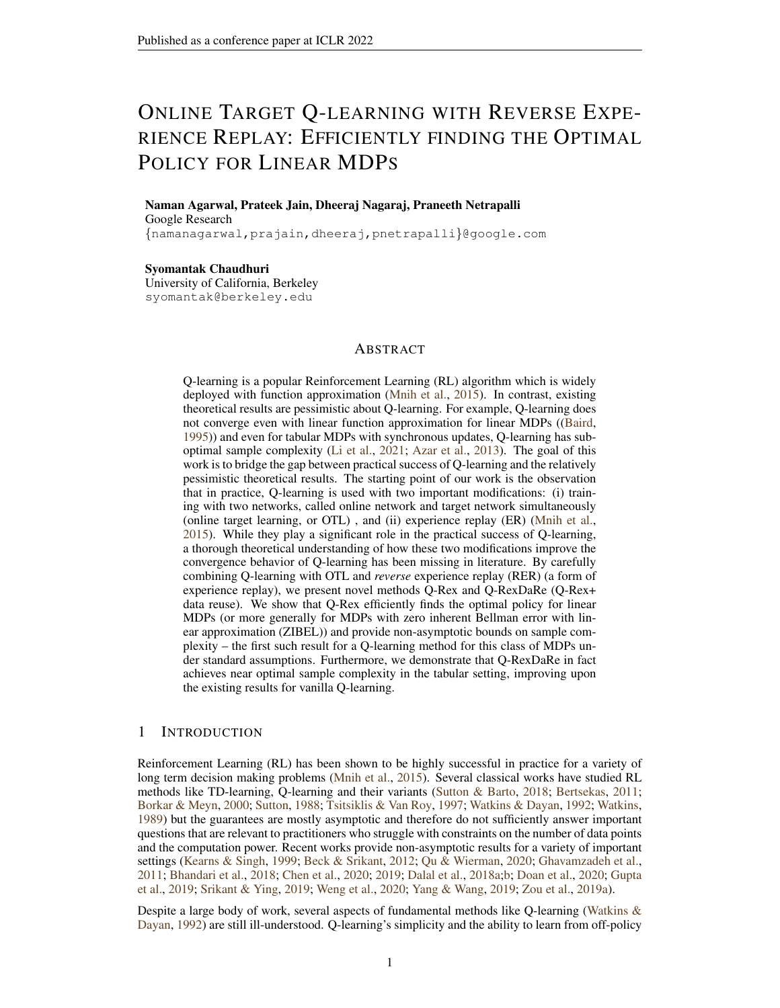Applying a union bound over all  $Y \in -1, 1^d$ , we conclude:

$$
\mathsf{P}(\sup_{Y\supset\mathcal{F}}|\Delta(Y;s,a)|) > C\sqrt{\eta\bar{d}\log(4/\delta)} + \eta\bar{d}\log(4/\delta)) \leq \delta.
$$

We complete the proof by noting that

$$
\sup_{Y \, 2f-1, 1g^{\bar{d}}} |\Delta(Y; s, a)| = \sum_{s' \, 2\text{supp}(P(js, a))} |\hat{P}_k(s^{\theta}|s, a) - \bar{P}_k(s^{\theta}|s, a)|
$$

## <span id="page-32-2"></span>M TECHNICAL LEMMAS

#### <span id="page-32-1"></span>M.1 COUPLING LEMMA

We first introduce some useful notation: Let  $D^{k,j}$  (resp.  $\tilde{D}^{k,j}$ ) be the tuple of random variables  $(s_i^{k,j}, a_i^{k,j}, r_i^{k,j})_{i=1}^{B+1}$  (resp.  $(\tilde{s}_i^{k,j}, \tilde{a}_i^{k,j}, \tilde{r}_i^{k,j})_{i=1}^{B+1}$ ).

<span id="page-32-0"></span>Lemma 16. *Suppose*

$$
u \ge \begin{cases} C\tau_{\text{mix}}\log(\frac{T}{\delta}) & \text{in the tabular setting} \\ C\tau_{\text{mix}}\log(\frac{T}{C_{\text{mix}}\delta}) & \text{in the general setting} \end{cases}
$$
(47)

*Then, we can define the sequences*  $(s_t, a_t, r_t)$  *and*  $(\tilde{s}_t, \tilde{a}_t, \tilde{r}_t)$  *on a common probability space such that:*

- *1. The tuples*  $D^{k,j}$  *and*  $\tilde{D}^{k,j}$  *have the same distribution for every*  $(k, j)$ *,*
- 2. *The sequence*  $\tilde{D}^{k,j}$  for  $k \leq N, j \leq K$  *is i.i.d.*
- *3. Equation* [\(4\)](#page-16-2) *holds*

*Proof.* The proof of this lemma for the tabular case is a rewriting of the the proofs of Lemmas 1,2,3 in [\(Bresler et al.,](#page-10-15) [2020\)](#page-10-15). For the general state space case, we apply appropriate modifications as pioneered in [\(Goldstein,](#page-11-16) [1979\)](#page-11-16).  $\Box$ 

## M.2 PROOF OF LEMMA [2](#page-17-2)

*Proof.* The first part follows from the definitions. For the second part, note that:  $||x|| \ge ||x||_{\phi}$ follows from Cauchy-Schwarz inequality and Assumption [1.](#page-5-4) For the reverse inequality we use Assumption [4](#page-5-0) to show that:

<span id="page-32-3"></span>
$$
||x||_{\phi}^{2} \ge \mathbb{E}_{(s,a)} \ \mu \langle \phi(s,a), x \rangle^{2} \ge \frac{||x||^{2}}{\kappa}
$$

#### M.3 PROOF OF LEMMA [3](#page-17-0)

*Proof.* Existence is guaranteed by Definition [\(2\)](#page-4-2) and uniqueness follows from the assumption that  $\mathsf{span}(\Phi)=\mathsf{R}^d.$  $\Box$ 

#### M.4 PROOF OF LEMMA [4](#page-17-1)

*Proof.* Suppose  $w_0, \tilde{w}_0 \in \mathbb{R}^d$  are arbitrary. Let  $w_1 = \mathcal{T}(w_0)$  and  $\tilde{w}_1 = \mathcal{T}(\tilde{w}_0)$ . For any  $\phi(s, a)$ , we have:

$$
|\langle \phi(s, a), w_1 - \tilde{w}_1 \rangle| = \gamma \left| \mathbb{E}_{s'} \quad P(js, a) \sup_{a' \ge A} \langle \phi(s^{\theta}, a^{\theta}), w_0 \rangle - \mathbb{E}_{s'} \quad P(js, a) \sup_{a' \ge A} \langle \phi(s^{\theta}, a^{\theta}), \tilde{w}_0 \rangle \right| \tag{48}
$$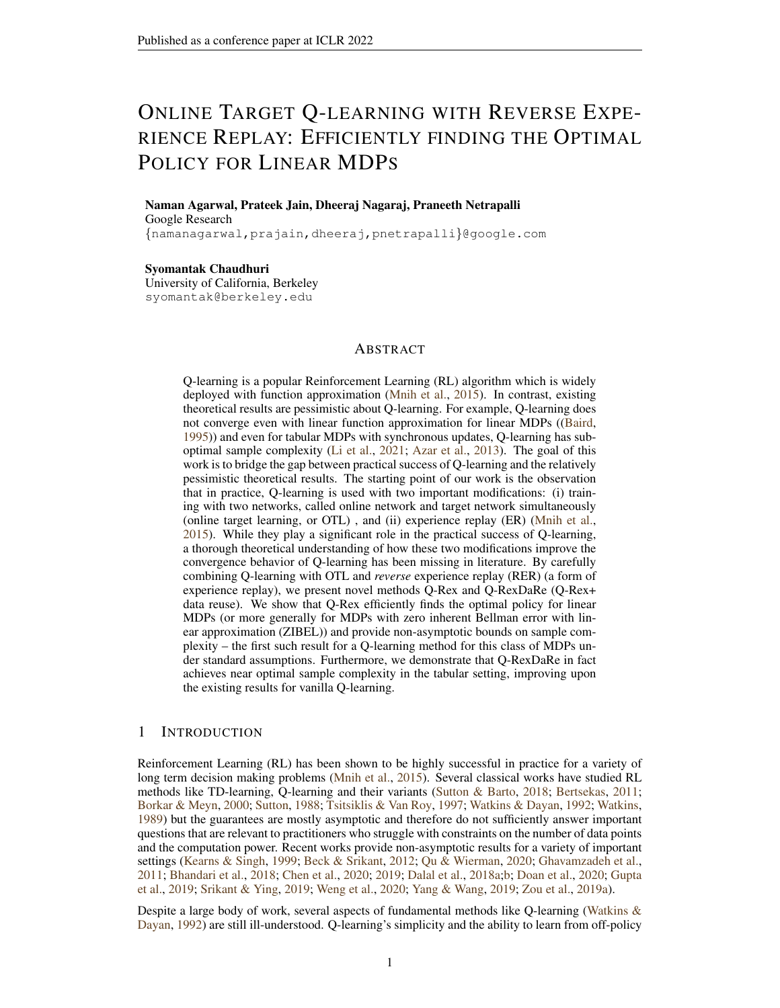By Assumption [2,](#page-5-5) for every fixed  $s^{\theta}$  there exist  $a_{\max}^{\theta}(s^{\theta}), \tilde{a}_{\max}^{\theta}(s^{\theta})$  such that

$$
\sup_{a' \ge A} \langle \phi(s^{\theta}, a^{\theta}(s^{\theta})), w_0 \rangle = \langle \phi(s^{\theta}, \tilde{a}^{\theta}_{\max}(s^{\theta})), w_0 \rangle \text{ and } \sup_{a' \ge A} \langle \phi(s^{\theta}, a^{\theta}), \tilde{w}_0 \rangle = \langle \phi(s^{\theta}, \tilde{a}^{\theta}_{\max}(s^{\theta})), \tilde{w}_0 \rangle.
$$

## Therefore for any  $s^{\theta}$  it holds that,

$$
\langle \phi(s^{\theta}, \tilde{a}_{\max}^{\theta}), w_0 - \tilde{w}_0 \rangle \le \sup_{a' \ge A} \langle \phi(s^{\theta}, a^{\theta}), w_0 \rangle - \sup_{a' \ge A} \langle \phi(s^{\theta}, a^{\theta}), \tilde{w}_0 \rangle \le \langle \phi(s^{\theta}, a_{\max}^{\theta}), w_0 - \tilde{w}_0 \rangle
$$
  
\n
$$
\implies \Big| \sup_{a' \ge A} \langle \phi(s^{\theta}, a^{\theta}), w_0 \rangle - \sup_{a' \ge A} \langle \phi(s^{\theta}, a^{\theta}), \tilde{w}_0 \rangle \Big| \le \|w_0 - \tilde{w}_0\|_{\phi}.
$$

Combining this with Equation [\(48\)](#page-32-3), we conclude the  $\gamma$ -contractivity of T. By contraction mapping theorem,  $\mathcal T$  has a unique fixed point we conclude that it is w by considering  $Q(s, a) :=$  $\langle w, \phi(s, a) \rangle$  and showing that it satisfies the bellman optimality condition in Equation [\(2\)](#page-3-1). For the norm inequality, we note that since  $R(s, a) \in [0, 1]$  by assumption and  $w = \mathcal{T}(w)$ , we have:  $|\langle \phi(s, a), w \rangle| \le 1 + \gamma \|w\|_{\phi}$ . Therefore,  $\|w\| \le \frac{1}{1 - \gamma}$ . The second norm equality follows from Lemma [2.](#page-17-2)  $\Box$ 

#### <span id="page-33-0"></span>M.5 PROOF OF LEMMA [5](#page-18-0)

*Proof.* We write the iteration in the outer-loop  $k$  as:

$$
\tilde{w}_{i+1}^{k,j} = \left[ I - \eta \tilde{\phi}^{k,j} [\tilde{\phi}^{k,j}]^> \right] \tilde{w}_i^{k,j} + \eta \tilde{\phi}^{k,j} \left[ \tilde{r}_{i}^{k,j} + \gamma \sup_{a' \geq A} \langle \tilde{w}_1^{k,1}, \phi(\tilde{s}^{k,j}_{(i-1)}, a^0) \rangle \right]
$$

Using the fact that  $\langle \tilde{w}^{k+1}, \tilde{\phi}^{k,j} \rangle = \tilde{R}^{k,j} + \gamma \mathbb{E}_{s'-P(j\tilde{s}_{-i}^{k,j}, \tilde{\alpha}_{-i}^{k,j})} \sup_{a' \geq A} \langle \phi(s^{\theta}, a^{\theta}), \tilde{w}_1^{k,1} \rangle$ , and recalling the notation in  $(5)$ , $(6)$ , we write:

$$
\tilde{w}^{k,j}_{i+1} - \tilde{w}^{k+1, \quad \ \ } = \left[ I - \eta \tilde{\phi}^{k,j} [\tilde{\phi}^{k,j}]^> \right] \left( \tilde{w}^{k,j}_i - w^{k+1, \, \, } \right) + \eta \tilde{\phi}^{k,j}_{{\phantom{i}i}\atop i} \epsilon^{k,j}_{{\phantom{i}i}\atop i}
$$

Therefore,

$$
\tilde{w}_{1}^{k,j+1}-\tilde{w}^{k+1,~}=\tilde{H}_{1,B}^{k,j}(\tilde{w}_{1}^{k,j}-\tilde{w}^{k+1,~})+\tilde{L}^{k,j}
$$

Unfurling further, and using the fact that  $\tilde{w}_1^{k,N+1} = \tilde{w}_1^{k+1,1}$ , we conclude the statement of the lemma.

 $\Box$ 

.

#### <span id="page-33-1"></span>M.6 PROOF OF LEMMA [7](#page-18-3)

We let  $\tilde{N}^{k,j}(s,a) := \sum_{i=1}^B \mathbb{1}((\tilde{s}_i^{k,j},\tilde{a}_i^{k,j}) = (s,a)).$  We want to show that the quantity  $\sum_{j=1}^N \tilde{N}^{k,j}(s,a)$  concentrates around its expectation. Note that  $\tilde{N}^{k,j}(s,a) = B\mu(s,a)$  and that  $\tilde{N}^{k,j}(s, a)$  are i.i.d. for  $j \in [N]$ . From the proof of [\(Paulin,](#page-12-19) [2015,](#page-12-19) Theorem 3.4) and the fact that  $\gamma_{\text{ps}} \ge \frac{1}{2\tau_{\text{mix}}},$  we conclude:

$$
\mathbb{E} \exp(\lambda(\sum_{j=1}^{N} \tilde{N}^{k,j}(s, a) - B\mu(s, a))) = \prod_{j=1}^{N} \mathbb{E} \exp(\lambda(\tilde{N}^{k,j}(s, a) - B\mu(s, a)))
$$

$$
\leq \exp\left(\frac{8N(B + 2\tau_{\text{mix}})\mu(s, a)\tau_{\text{mix}}\lambda^2}{1 - 20\lambda\tau_{\text{mix}}}\right) \tag{49}
$$

Following the Chernoff bound in the proof of [\(Paulin,](#page-12-19) [2015,](#page-12-19) Theorem 3.4), we conclude:

$$
\mathbb{P}(|\tilde{N}^k(s,a) - NB\mu(s,a)| > t) \le 2 \exp\left(-\frac{t^2}{16\tau_{\text{mix}}(B + 2\tau_{\text{mix}})K\mu(s,a) + 40t\tau_{\text{mix}}}\right) \tag{50}
$$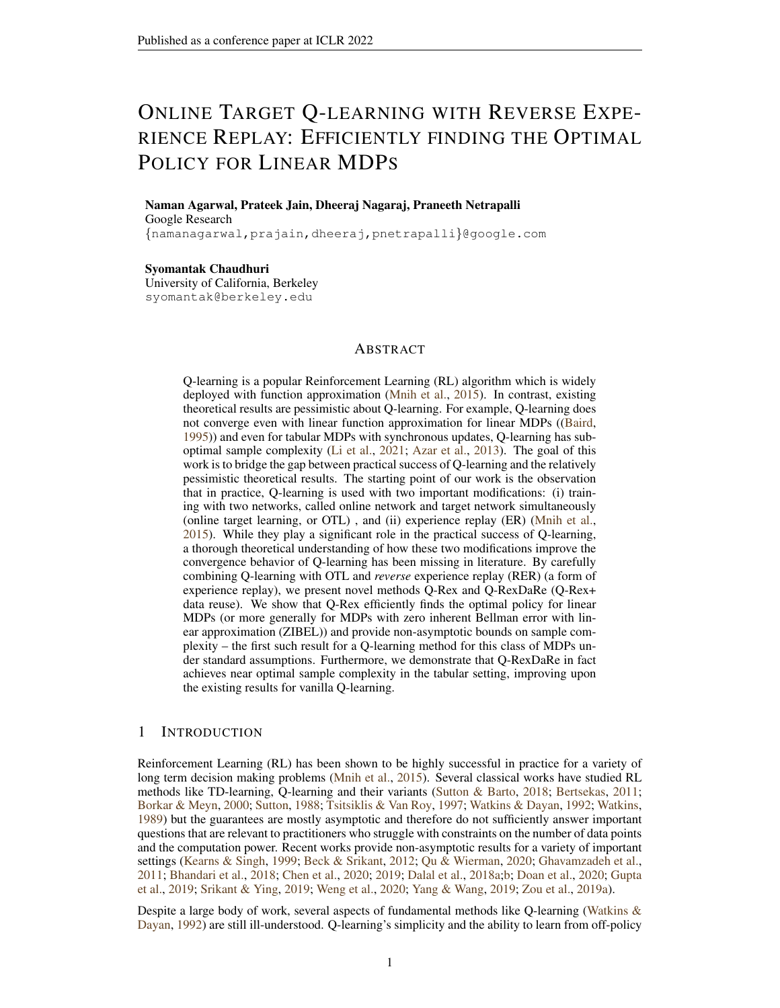Taking  $t = \frac{1}{2} NB\mu(s, a)$ , whenever  $B \ge \tau_{\text{mix}}$  (by assumption), we must have:

$$
\mathsf{P}\left(\tilde{N}^k(s, a) \le \frac{1}{2}NB\mu(s, a)\right) \le 2\exp\left(-C\frac{KB\mu(s, a)}{\tau_{\text{mix}}}\right)
$$

for some constant C. Further, via a union bound over all state action pairs  $(s, a)$ , we conclude the statement of the lemma.

#### <span id="page-34-0"></span>M.7 PROOF OF LEMMA [13](#page-24-2)

We first prove a simple consequence of multivariate calculus.

<span id="page-34-2"></span>**Lemma 17.** Let  $f : \mathbb{R}^n \to \mathbb{R}$  be defined by  $f(x) = \sup_i x_i$ . Then, for every  $x, y \in \mathbb{R}^n$ , there exists  $\zeta \in \mathbb{R}^d$  such that  $\|\zeta\|_1 = 1$ ,  $\zeta_i \ge 0$  and:

$$
f(x) - f(y) = \langle \zeta, x - y \rangle
$$

*Proof.* We consider the log-sum-exp function. Given  $L \in \mathbb{R}^+$ , define  $f_L(x) :=$  $\frac{1}{L} \log \left( \sum_{i=1}^n \exp(Lx_i) \right)$ . An elementary calculation shows that:

$$
\frac{\log(n)}{L} + \sup_i x_i \ge f_L(x) \ge \sup_i x_i
$$

Therefore, for any fixed  $x$ ,

$$
\lim_{L \, / \, 7} f_L(x) = f(x) \, .
$$

<span id="page-34-1"></span>Now,  $\nabla f_L(x) = (p_1, \ldots, p_n)$  where  $p_i = \frac{\exp(Lx_i)}{\sum_{j=1}^n \exp(Lx_j)}$ . Clearly,  $\langle \nabla f_L(x), e_i \rangle \geq 0$  and  $\|\nabla f_L(x)\|_1 = 1$ . By the mean value theorem there exists  $\beta_L$  such that:

$$
f_L(x) - f_L(y) = \langle \nabla f_L(\beta_L), x - y \rangle.
$$
 (51)

Now, the simplex in  $\mathbb{R}^n$  (denoted by  $\Delta_n$ ) is compact. Therefore, there exists a sub-sequence  $L_k \to \infty$  such that  $\lim_{k \to \infty} \nabla f_{L_k}(\beta_{L_k}) = \zeta \in \Delta_n$ . Taking limit along the sub-sequence  $L_k$ in Equation [\(51\)](#page-34-1), we conclude the result.

<span id="page-34-3"></span>*Proof of Lemma [13.](#page-24-2)* In the tabular setting, we have the following expression using Equation [\(41\)](#page-29-2):

$$
\text{L.H.S.} = \left| \eta \gamma \sum_{j=1}^{K} \sum_{i=1}^{B} (1 - \eta)^{\tilde{N}_{i}^{k,j}(s,a)} \mathbb{1} \left[ (\tilde{s}_{i}^{k,j}, \tilde{a}_{i}^{k,j}) = (s,a) \right] \left[ \tilde{\epsilon}_{i}^{k,j}(w) - \tilde{\epsilon}_{i}^{k,j}(v) \right] \right| \tag{52}
$$

Where

$$
\tilde{\epsilon}_i^{k,j}(w) := \left[ \sup_{a' \geq A} \langle w, \phi(\tilde{s}_{i+1}^{k,j}, a^\emptyset) \rangle - \mathbb{E}_{s'} \left[ P(\tilde{s}_i^{k,j}, \tilde{a}_i^{k,j}) \sup_{a' \geq A} \langle \phi(s^\emptyset, a^\emptyset), w \rangle \right] \right]
$$

Now, by an application of Lemma [17,](#page-34-2) we show that for some  $\eta(\cdot|s^{\theta}, w, v) \in \Delta(\mathcal{A})$ , depending only on  $(s^{\theta}, w, v)$ , we have:

$$
\sup_{a' \ge A} \langle w, \phi(s^{\theta}, a^{\theta}), w \rangle - \sup_{a' \ge A} \langle w, \phi(s^{\theta}, a^{\theta}), v \rangle = \sum_{a' \ge A} \zeta(a^{\theta} | s^{\theta}, w, v) \langle \phi(s^{\theta}, a^{\theta}), w - v \rangle
$$

Now, using the definition of  $\hat{P}_k(\cdot|s, a)$  and  $\bar{P}(\cdot|s, a)$  in the discussion preceding Lemma [12,](#page-24-1) we can simplify Equation [\(52\)](#page-34-3) to:

$$
\text{L.H.S.} = \gamma \bigg| \sum_{\substack{s' \ge \text{supp}(P(\ j_s, a))\\a' \ge A}} \left( \hat{P}_k(s^{\theta}|s, a) - \bar{P}_k(s^{\theta}|s, a) \right) \zeta(a^{\theta}|s^{\theta}, w, v) \langle \phi(s^{\theta}, a^{\theta}), w - v \rangle \bigg| \tag{53}
$$

We conclude the statement of the lemma by an application of the Holder inequality.  $\Box$